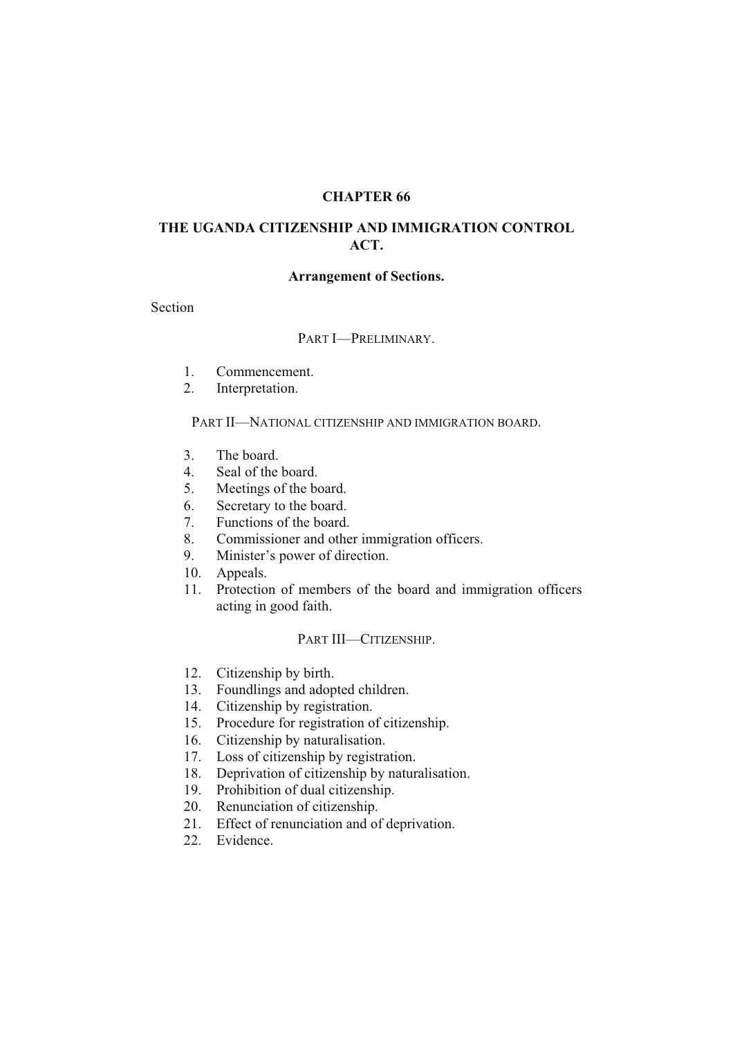## **CHAPTER 66**

# **THE UGANDA CITIZENSHIP AND IMMIGRATION CONTROL ACT.**

### **Arrangement of Sections.**

Section

# PART I—PRELIMINARY.

- 1. Commencement.
- 2. Interpretation.

#### PART II—NATIONAL CITIZENSHIP AND IMMIGRATION BOARD.

- 3. The board.
- 4. Seal of the board.
- 5. Meetings of the board.
- 6. Secretary to the board.
- 7. Functions of the board.
- 8. Commissioner and other immigration officers.
- 9. Minister's power of direction.
- 10. Appeals.
- 11. Protection of members of the board and immigration officers acting in good faith.

### PART III—CITIZENSHIP.

- 12. Citizenship by birth.
- 13. Foundlings and adopted children.
- 14. Citizenship by registration.
- 15. Procedure for registration of citizenship.
- 16. Citizenship by naturalisation.
- 17. Loss of citizenship by registration.
- 18. Deprivation of citizenship by naturalisation.
- 19. Prohibition of dual citizenship.
- 20. Renunciation of citizenship.
- 21. Effect of renunciation and of deprivation.
- 22. Evidence.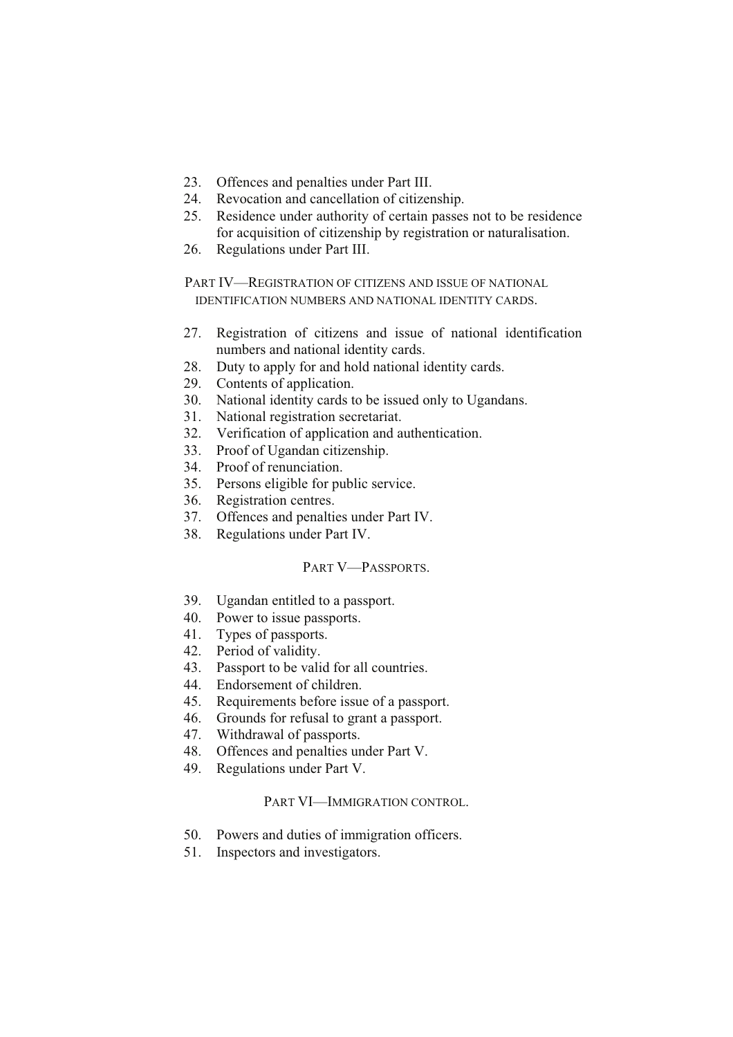- 23. Offences and penalties under Part III.
- 24. Revocation and cancellation of citizenship.
- 25. Residence under authority of certain passes not to be residence for acquisition of citizenship by registration or naturalisation.
- 26. Regulations under Part III.

PART IV—REGISTRATION OF CITIZENS AND ISSUE OF NATIONAL IDENTIFICATION NUMBERS AND NATIONAL IDENTITY CARDS.

- 27. Registration of citizens and issue of national identification numbers and national identity cards.
- 28. Duty to apply for and hold national identity cards.
- 29. Contents of application.
- 30. National identity cards to be issued only to Ugandans.
- 31. National registration secretariat.
- 32. Verification of application and authentication.
- 33. Proof of Ugandan citizenship.
- 34. Proof of renunciation.
- 35. Persons eligible for public service.
- 36. Registration centres.
- 37. Offences and penalties under Part IV.
- 38. Regulations under Part IV.

### PART V—PASSPORTS.

- 39. Ugandan entitled to a passport.
- 40. Power to issue passports.
- 41. Types of passports.
- 42. Period of validity.
- 43. Passport to be valid for all countries.<br>44. Endorsement of children.
- Endorsement of children.
- 45. Requirements before issue of a passport.
- 46. Grounds for refusal to grant a passport.
- 47. Withdrawal of passports.
- 48. Offences and penalties under Part V.
- 49. Regulations under Part V.

### PART VI—IMMIGRATION CONTROL.

- 50. Powers and duties of immigration officers.
- 51. Inspectors and investigators.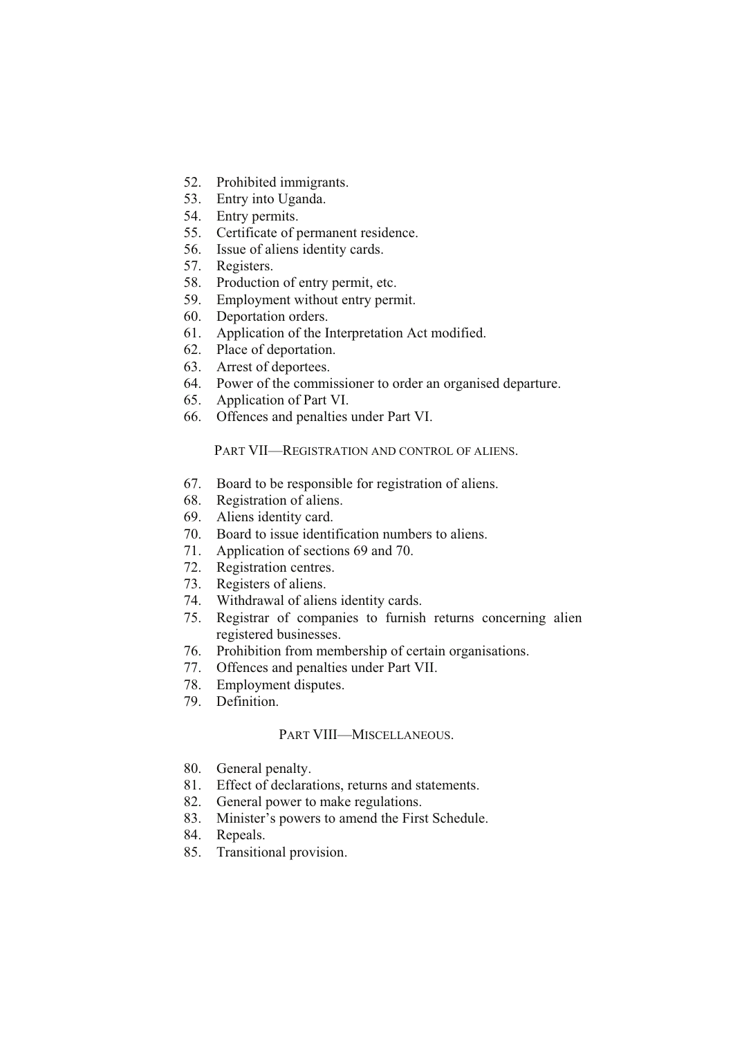- 52. Prohibited immigrants.
- 53. Entry into Uganda.
- 54. Entry permits.
- 55. Certificate of permanent residence.
- 56. Issue of aliens identity cards.
- 57. Registers.
- 58. Production of entry permit, etc.
- 59. Employment without entry permit.
- 60. Deportation orders.
- 61. Application of the Interpretation Act modified.
- 62. Place of deportation.
- 63. Arrest of deportees.
- 64. Power of the commissioner to order an organised departure.
- 65. Application of Part VI.
- 66. Offences and penalties under Part VI.

### PART VII—REGISTRATION AND CONTROL OF ALIENS.

- 67. Board to be responsible for registration of aliens.
- 68. Registration of aliens.
- 69. Aliens identity card.
- 70. Board to issue identification numbers to aliens.
- 71. Application of sections 69 and 70.
- 72. Registration centres.
- 73. Registers of aliens.
- 74. Withdrawal of aliens identity cards.
- 75. Registrar of companies to furnish returns concerning alien registered businesses.
- 76. Prohibition from membership of certain organisations.
- 77. Offences and penalties under Part VII.
- 78. Employment disputes.
- 79. Definition.

# PART VIII—MISCELLANEOUS.

- 80. General penalty.
- 81. Effect of declarations, returns and statements.
- 82. General power to make regulations.<br>83. Minister's powers to amend the Firs
- Minister's powers to amend the First Schedule.
- 84. Repeals.
- 85. Transitional provision.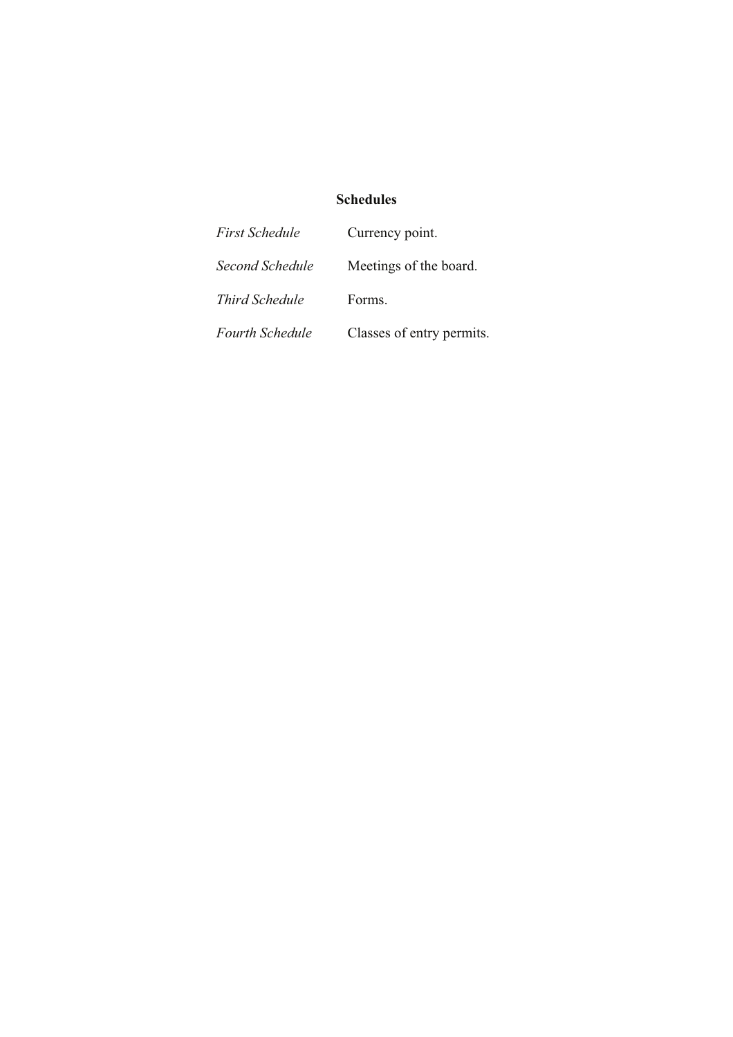# **Schedules**

| First Schedule  | Currency point.           |
|-----------------|---------------------------|
| Second Schedule | Meetings of the board.    |
| Third Schedule  | Forms.                    |
| Fourth Schedule | Classes of entry permits. |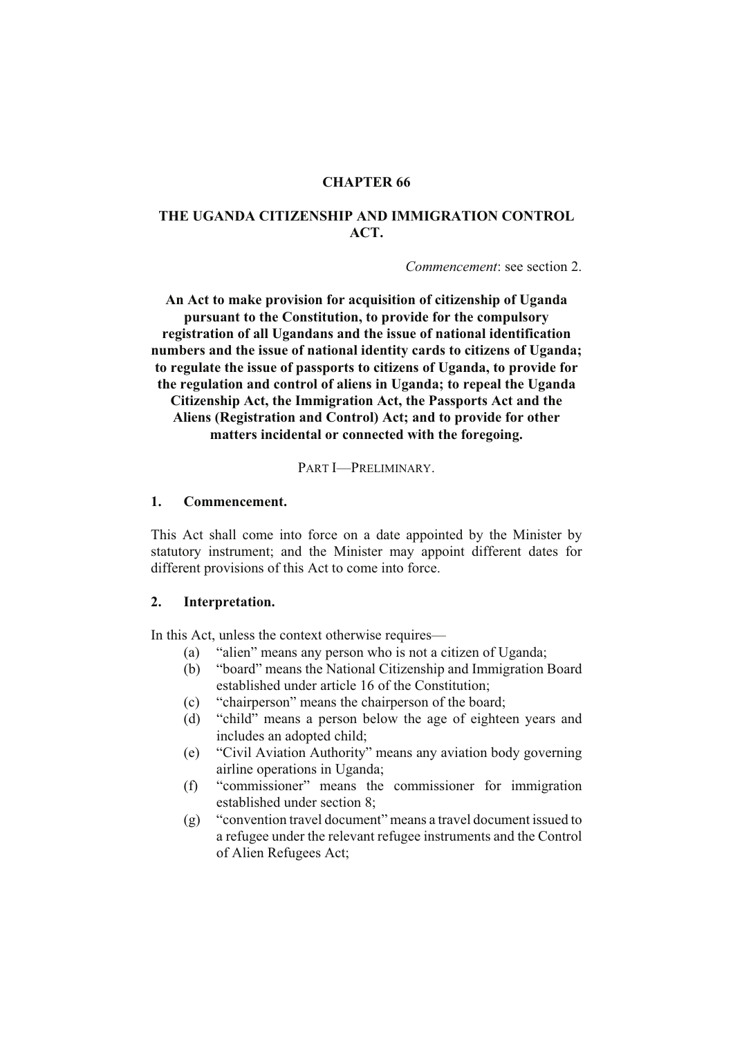# **CHAPTER 66**

# **THE UGANDA CITIZENSHIP AND IMMIGRATION CONTROL ACT.**

*Commencement*: see section 2.

**An Act to make provision for acquisition of citizenship of Uganda pursuant to the Constitution, to provide for the compulsory registration of all Ugandans and the issue of national identification numbers and the issue of national identity cards to citizens of Uganda; to regulate the issue of passports to citizens of Uganda, to provide for the regulation and control of aliens in Uganda; to repeal the Uganda Citizenship Act, the Immigration Act, the Passports Act and the Aliens (Registration and Control) Act; and to provide for other matters incidental or connected with the foregoing.**

PART I—PRELIMINARY.

#### **1. Commencement.**

This Act shall come into force on a date appointed by the Minister by statutory instrument; and the Minister may appoint different dates for different provisions of this Act to come into force.

#### **2. Interpretation.**

In this Act, unless the context otherwise requires—

- (a) "alien" means any person who is not a citizen of Uganda;
- (b) "board" means the National Citizenship and Immigration Board established under article 16 of the Constitution;
- (c) "chairperson" means the chairperson of the board;
- (d) "child" means a person below the age of eighteen years and includes an adopted child;
- (e) "Civil Aviation Authority" means any aviation body governing airline operations in Uganda;
- (f) "commissioner" means the commissioner for immigration established under section 8;
- (g) "convention travel document" means a travel document issued to a refugee under the relevant refugee instruments and the Control of Alien Refugees Act;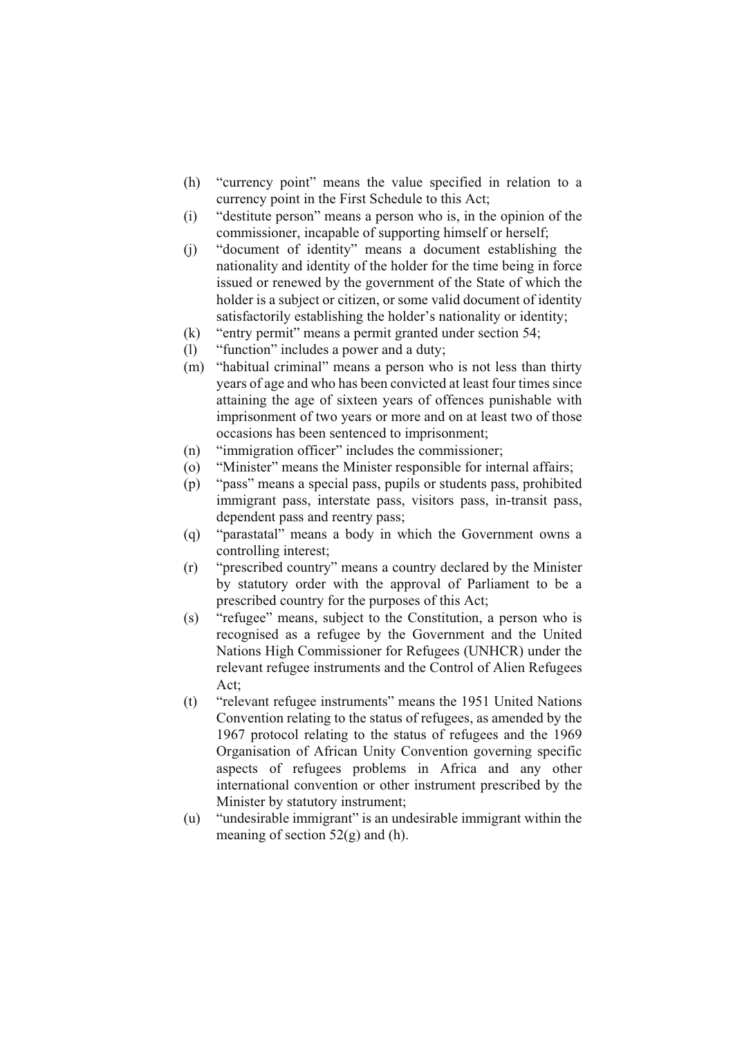- (h) "currency point" means the value specified in relation to a currency point in the First Schedule to this Act;
- (i) "destitute person" means a person who is, in the opinion of the commissioner, incapable of supporting himself or herself;
- (j) "document of identity" means a document establishing the nationality and identity of the holder for the time being in force issued or renewed by the government of the State of which the holder is a subject or citizen, or some valid document of identity satisfactorily establishing the holder's nationality or identity;
- (k) "entry permit" means a permit granted under section 54;
- (l) "function" includes a power and a duty;
- (m) "habitual criminal" means a person who is not less than thirty years of age and who has been convicted at least four times since attaining the age of sixteen years of offences punishable with imprisonment of two years or more and on at least two of those occasions has been sentenced to imprisonment;
- (n) "immigration officer" includes the commissioner;
- (o) "Minister" means the Minister responsible for internal affairs;
- (p) "pass" means a special pass, pupils or students pass, prohibited immigrant pass, interstate pass, visitors pass, in-transit pass, dependent pass and reentry pass;
- (q) "parastatal" means a body in which the Government owns a controlling interest;
- (r) "prescribed country" means a country declared by the Minister by statutory order with the approval of Parliament to be a prescribed country for the purposes of this Act;
- (s) "refugee" means, subject to the Constitution, a person who is recognised as a refugee by the Government and the United Nations High Commissioner for Refugees (UNHCR) under the relevant refugee instruments and the Control of Alien Refugees Act;
- (t) "relevant refugee instruments" means the 1951 United Nations Convention relating to the status of refugees, as amended by the 1967 protocol relating to the status of refugees and the 1969 Organisation of African Unity Convention governing specific aspects of refugees problems in Africa and any other international convention or other instrument prescribed by the Minister by statutory instrument;
- (u) "undesirable immigrant" is an undesirable immigrant within the meaning of section  $52(g)$  and (h).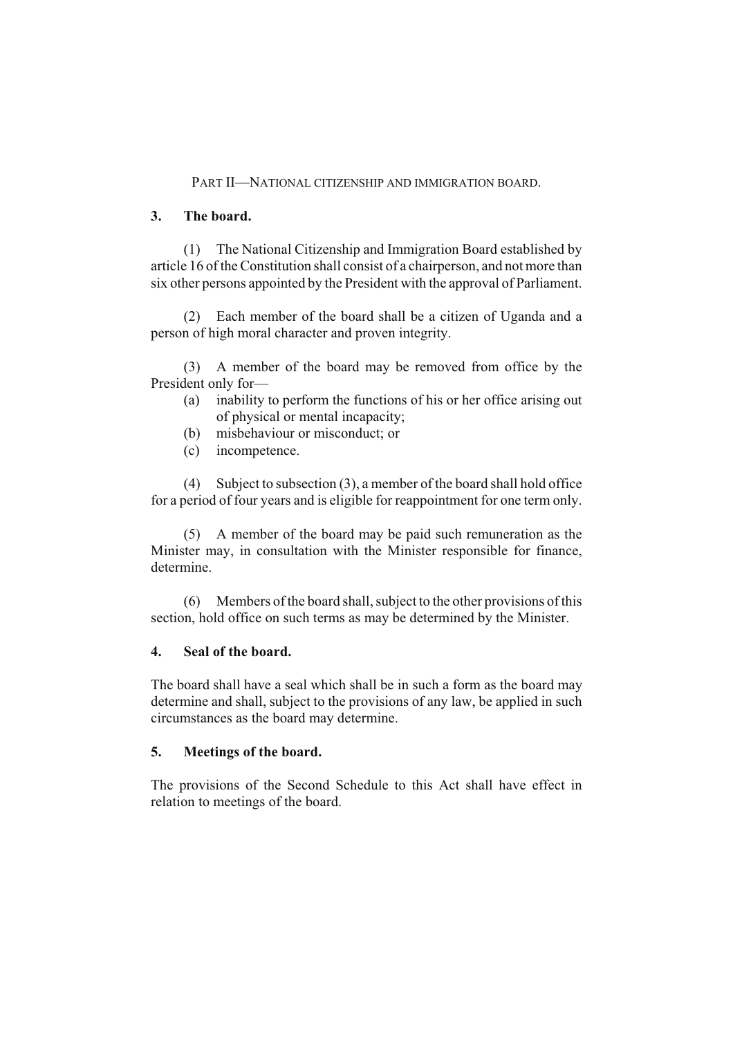### PART II—NATIONAL CITIZENSHIP AND IMMIGRATION BOARD.

### **3. The board.**

(1) The National Citizenship and Immigration Board established by article 16 of the Constitution shall consist of a chairperson, and not more than six other persons appointed by the President with the approval of Parliament.

(2) Each member of the board shall be a citizen of Uganda and a person of high moral character and proven integrity.

(3) A member of the board may be removed from office by the President only for—

- (a) inability to perform the functions of his or her office arising out of physical or mental incapacity;
- (b) misbehaviour or misconduct; or
- (c) incompetence.

(4) Subject to subsection (3), a member of the board shall hold office for a period of four years and is eligible for reappointment for one term only.

(5) A member of the board may be paid such remuneration as the Minister may, in consultation with the Minister responsible for finance, determine.

(6) Members of the board shall, subject to the other provisions of this section, hold office on such terms as may be determined by the Minister.

### **4. Seal of the board.**

The board shall have a seal which shall be in such a form as the board may determine and shall, subject to the provisions of any law, be applied in such circumstances as the board may determine.

### **5. Meetings of the board.**

The provisions of the Second Schedule to this Act shall have effect in relation to meetings of the board.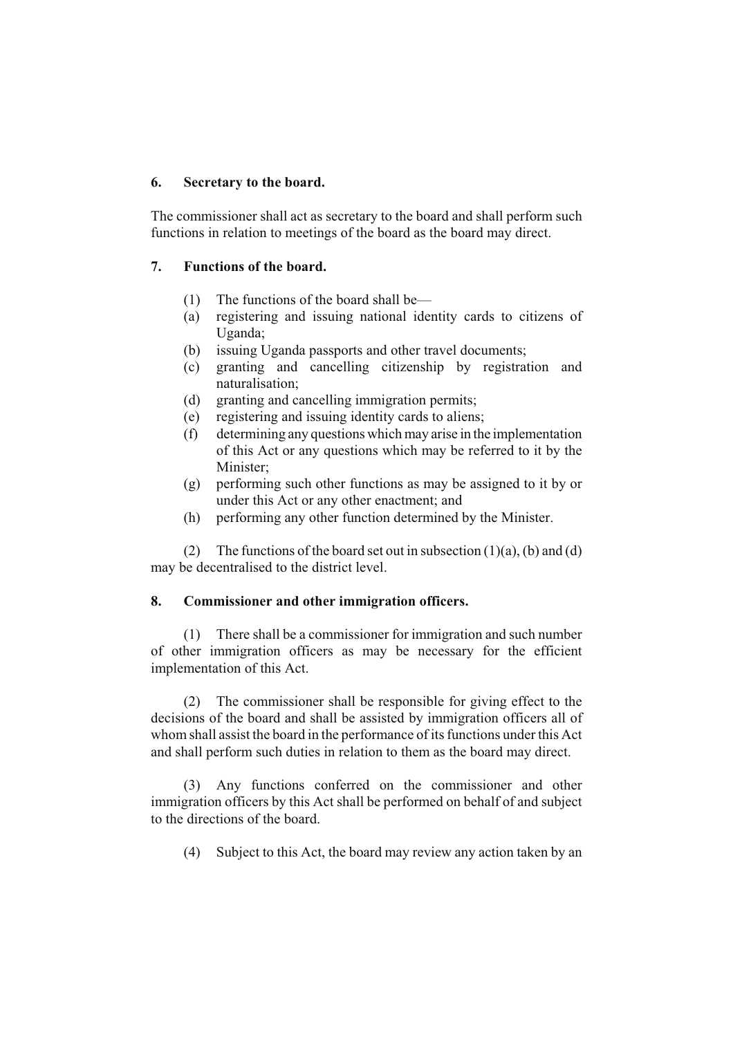# **6. Secretary to the board.**

The commissioner shall act as secretary to the board and shall perform such functions in relation to meetings of the board as the board may direct.

## **7. Functions of the board.**

- (1) The functions of the board shall be—
- (a) registering and issuing national identity cards to citizens of Uganda;
- (b) issuing Uganda passports and other travel documents;
- (c) granting and cancelling citizenship by registration and naturalisation;
- (d) granting and cancelling immigration permits;
- (e) registering and issuing identity cards to aliens;
- (f) determining any questions which may arise in the implementation of this Act or any questions which may be referred to it by the Minister;
- (g) performing such other functions as may be assigned to it by or under this Act or any other enactment; and
- (h) performing any other function determined by the Minister.

(2) The functions of the board set out in subsection  $(1)(a)$ ,  $(b)$  and  $(d)$ may be decentralised to the district level.

### **8. Commissioner and other immigration officers.**

(1) There shall be a commissioner for immigration and such number of other immigration officers as may be necessary for the efficient implementation of this Act.

(2) The commissioner shall be responsible for giving effect to the decisions of the board and shall be assisted by immigration officers all of whom shall assist the board in the performance of its functions under this Act and shall perform such duties in relation to them as the board may direct.

(3) Any functions conferred on the commissioner and other immigration officers by this Act shall be performed on behalf of and subject to the directions of the board.

(4) Subject to this Act, the board may review any action taken by an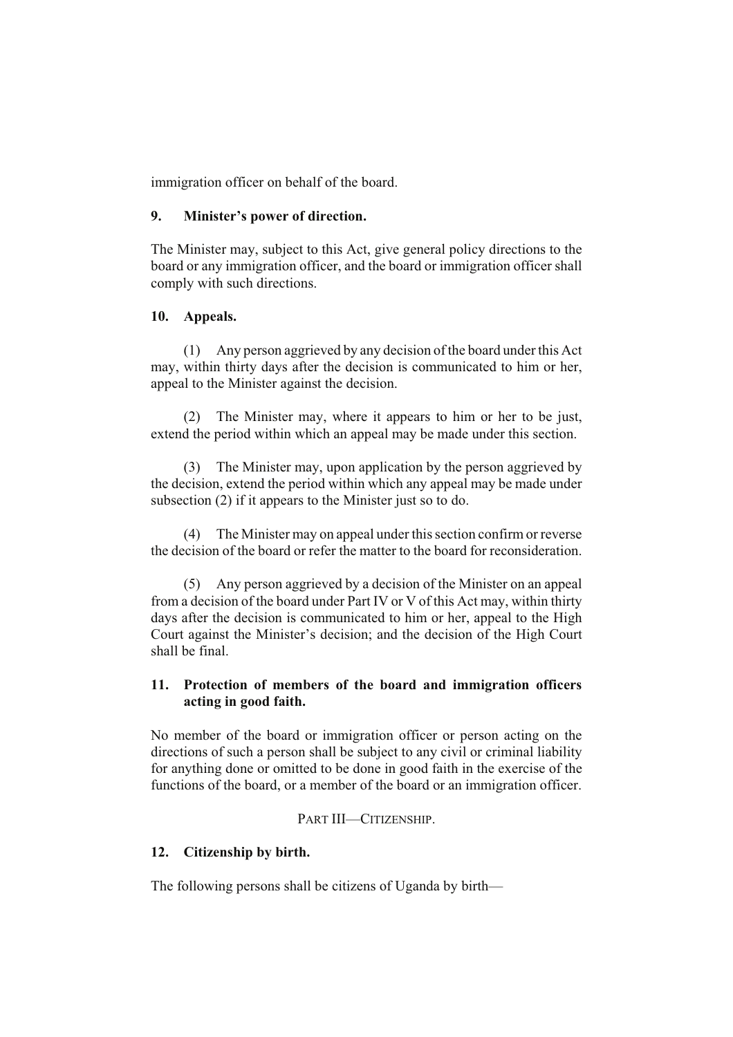immigration officer on behalf of the board.

### **9. Minister's power of direction.**

The Minister may, subject to this Act, give general policy directions to the board or any immigration officer, and the board or immigration officer shall comply with such directions.

### **10. Appeals.**

(1) Any person aggrieved by any decision of the board under this Act may, within thirty days after the decision is communicated to him or her, appeal to the Minister against the decision.

(2) The Minister may, where it appears to him or her to be just, extend the period within which an appeal may be made under this section.

(3) The Minister may, upon application by the person aggrieved by the decision, extend the period within which any appeal may be made under subsection (2) if it appears to the Minister just so to do.

(4) The Minister may on appeal under this section confirm or reverse the decision of the board or refer the matter to the board for reconsideration.

(5) Any person aggrieved by a decision of the Minister on an appeal from a decision of the board under Part IV or V of this Act may, within thirty days after the decision is communicated to him or her, appeal to the High Court against the Minister's decision; and the decision of the High Court shall be final.

# **11. Protection of members of the board and immigration officers acting in good faith.**

No member of the board or immigration officer or person acting on the directions of such a person shall be subject to any civil or criminal liability for anything done or omitted to be done in good faith in the exercise of the functions of the board, or a member of the board or an immigration officer.

### PART III—CITIZENSHIP.

# **12. Citizenship by birth.**

The following persons shall be citizens of Uganda by birth—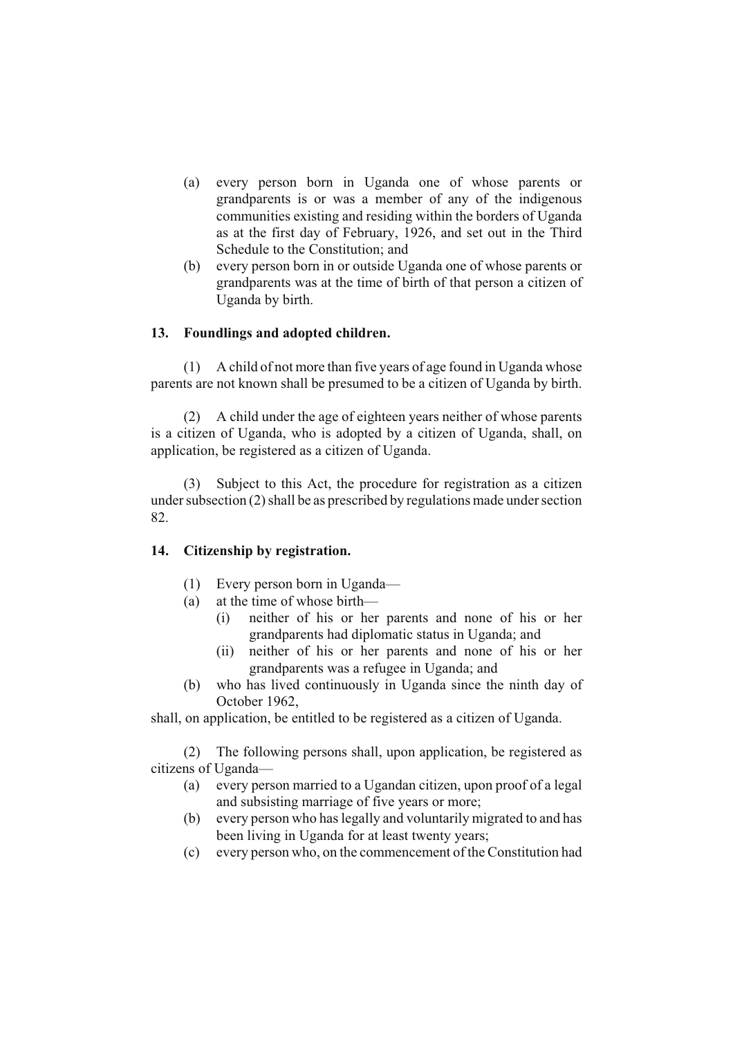- (a) every person born in Uganda one of whose parents or grandparents is or was a member of any of the indigenous communities existing and residing within the borders of Uganda as at the first day of February, 1926, and set out in the Third Schedule to the Constitution; and
- (b) every person born in or outside Uganda one of whose parents or grandparents was at the time of birth of that person a citizen of Uganda by birth.

### **13. Foundlings and adopted children.**

(1) A child of not more than five years of age found in Uganda whose parents are not known shall be presumed to be a citizen of Uganda by birth.

(2) A child under the age of eighteen years neither of whose parents is a citizen of Uganda, who is adopted by a citizen of Uganda, shall, on application, be registered as a citizen of Uganda.

(3) Subject to this Act, the procedure for registration as a citizen under subsection (2) shall be as prescribed by regulations made under section 82.

### **14. Citizenship by registration.**

- (1) Every person born in Uganda—
- (a) at the time of whose birth—
	- (i) neither of his or her parents and none of his or her grandparents had diplomatic status in Uganda; and
	- (ii) neither of his or her parents and none of his or her grandparents was a refugee in Uganda; and
- (b) who has lived continuously in Uganda since the ninth day of October 1962,

shall, on application, be entitled to be registered as a citizen of Uganda.

(2) The following persons shall, upon application, be registered as citizens of Uganda—

- (a) every person married to a Ugandan citizen, upon proof of a legal and subsisting marriage of five years or more;
- (b) every person who has legally and voluntarily migrated to and has been living in Uganda for at least twenty years;
- (c) every person who, on the commencement of the Constitution had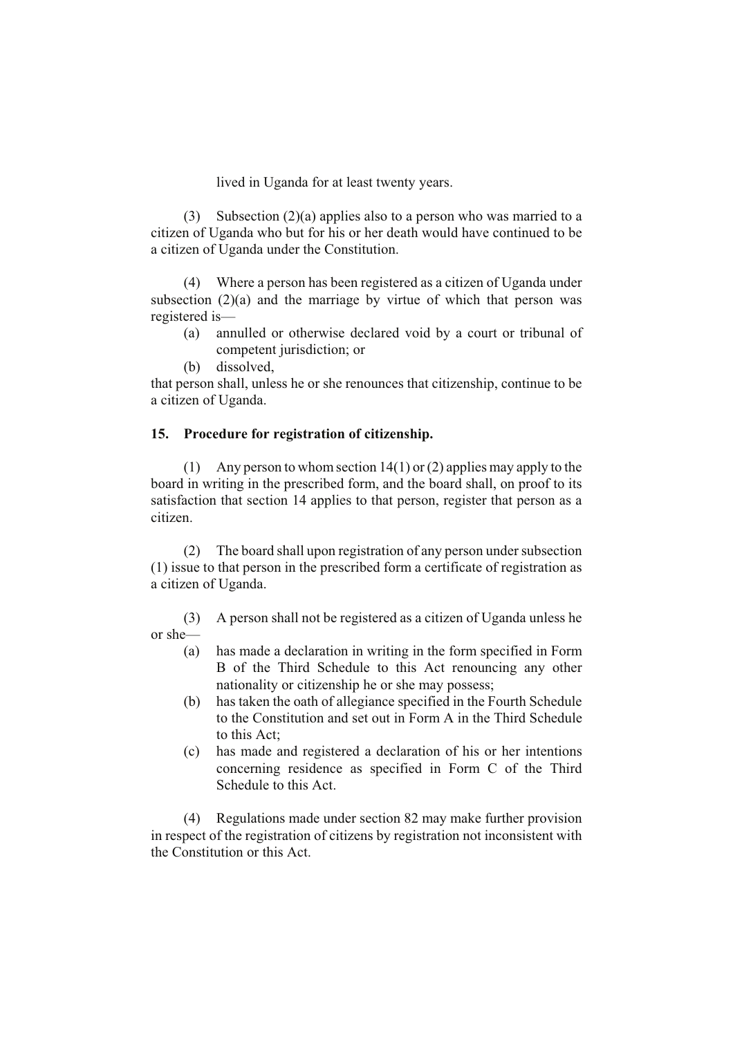lived in Uganda for at least twenty years.

(3) Subsection (2)(a) applies also to a person who was married to a citizen of Uganda who but for his or her death would have continued to be a citizen of Uganda under the Constitution.

(4) Where a person has been registered as a citizen of Uganda under subsection  $(2)(a)$  and the marriage by virtue of which that person was registered is—

- (a) annulled or otherwise declared void by a court or tribunal of competent jurisdiction; or
- (b) dissolved,

that person shall, unless he or she renounces that citizenship, continue to be a citizen of Uganda.

### **15. Procedure for registration of citizenship.**

(1) Any person to whom section 14(1) or (2) applies may apply to the board in writing in the prescribed form, and the board shall, on proof to its satisfaction that section 14 applies to that person, register that person as a citizen.

(2) The board shall upon registration of any person under subsection (1) issue to that person in the prescribed form a certificate of registration as a citizen of Uganda.

(3) A person shall not be registered as a citizen of Uganda unless he or she—

- (a) has made a declaration in writing in the form specified in Form B of the Third Schedule to this Act renouncing any other nationality or citizenship he or she may possess;
- (b) has taken the oath of allegiance specified in the Fourth Schedule to the Constitution and set out in Form A in the Third Schedule to this Act;
- (c) has made and registered a declaration of his or her intentions concerning residence as specified in Form C of the Third Schedule to this Act.

(4) Regulations made under section 82 may make further provision in respect of the registration of citizens by registration not inconsistent with the Constitution or this Act.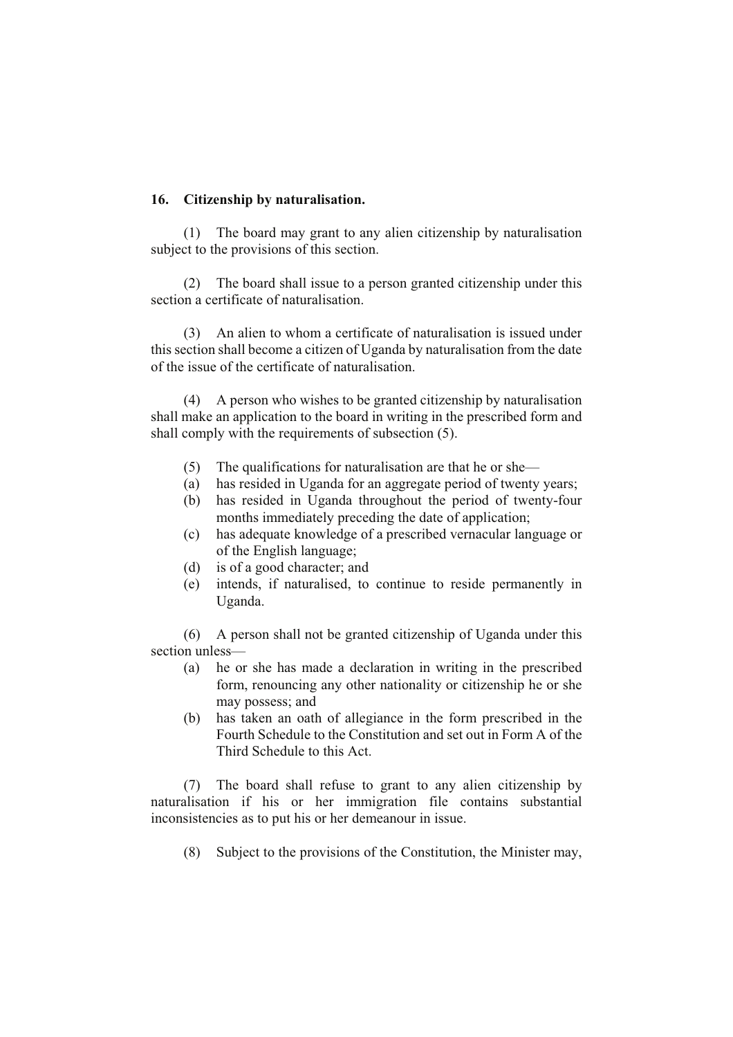### **16. Citizenship by naturalisation.**

(1) The board may grant to any alien citizenship by naturalisation subject to the provisions of this section.

(2) The board shall issue to a person granted citizenship under this section a certificate of naturalisation.

(3) An alien to whom a certificate of naturalisation is issued under this section shall become a citizen of Uganda by naturalisation from the date of the issue of the certificate of naturalisation.

(4) A person who wishes to be granted citizenship by naturalisation shall make an application to the board in writing in the prescribed form and shall comply with the requirements of subsection (5).

- (5) The qualifications for naturalisation are that he or she—
- (a) has resided in Uganda for an aggregate period of twenty years;
- (b) has resided in Uganda throughout the period of twenty-four months immediately preceding the date of application;
- (c) has adequate knowledge of a prescribed vernacular language or of the English language;
- (d) is of a good character; and
- (e) intends, if naturalised, to continue to reside permanently in Uganda.

(6) A person shall not be granted citizenship of Uganda under this section unless—

- (a) he or she has made a declaration in writing in the prescribed form, renouncing any other nationality or citizenship he or she may possess; and
- (b) has taken an oath of allegiance in the form prescribed in the Fourth Schedule to the Constitution and set out in Form A of the Third Schedule to this Act.

(7) The board shall refuse to grant to any alien citizenship by naturalisation if his or her immigration file contains substantial inconsistencies as to put his or her demeanour in issue.

(8) Subject to the provisions of the Constitution, the Minister may,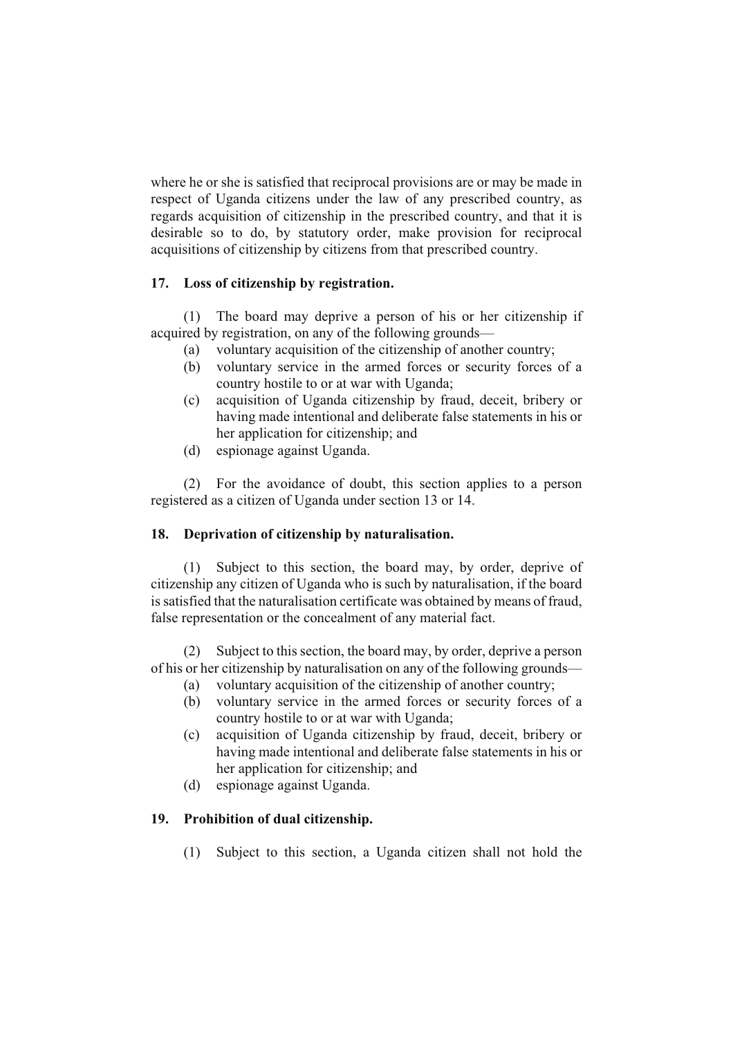where he or she is satisfied that reciprocal provisions are or may be made in respect of Uganda citizens under the law of any prescribed country, as regards acquisition of citizenship in the prescribed country, and that it is desirable so to do, by statutory order, make provision for reciprocal acquisitions of citizenship by citizens from that prescribed country.

# **17. Loss of citizenship by registration.**

(1) The board may deprive a person of his or her citizenship if acquired by registration, on any of the following grounds—

- (a) voluntary acquisition of the citizenship of another country;
- (b) voluntary service in the armed forces or security forces of a country hostile to or at war with Uganda;
- (c) acquisition of Uganda citizenship by fraud, deceit, bribery or having made intentional and deliberate false statements in his or her application for citizenship; and
- (d) espionage against Uganda.

(2) For the avoidance of doubt, this section applies to a person registered as a citizen of Uganda under section 13 or 14.

# **18. Deprivation of citizenship by naturalisation.**

(1) Subject to this section, the board may, by order, deprive of citizenship any citizen of Uganda who is such by naturalisation, if the board is satisfied that the naturalisation certificate was obtained by means of fraud, false representation or the concealment of any material fact.

(2) Subject to this section, the board may, by order, deprive a person of his or her citizenship by naturalisation on any of the following grounds—

- (a) voluntary acquisition of the citizenship of another country;
- (b) voluntary service in the armed forces or security forces of a country hostile to or at war with Uganda;
- (c) acquisition of Uganda citizenship by fraud, deceit, bribery or having made intentional and deliberate false statements in his or her application for citizenship; and
- (d) espionage against Uganda.

# **19. Prohibition of dual citizenship.**

(1) Subject to this section, a Uganda citizen shall not hold the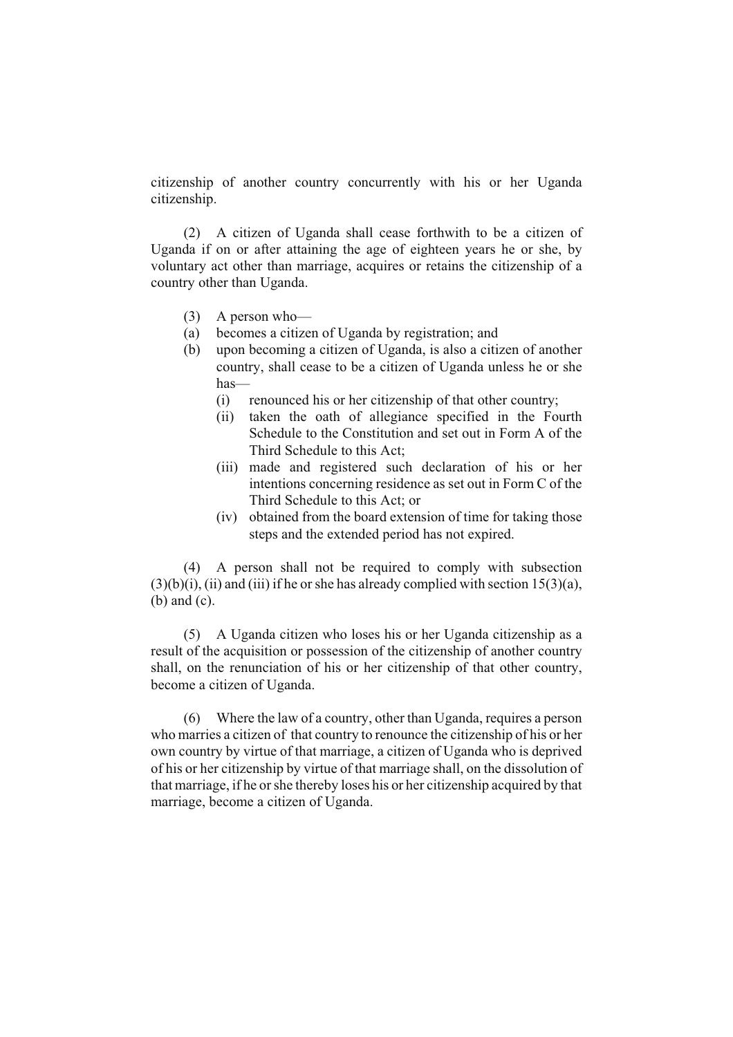citizenship of another country concurrently with his or her Uganda citizenship.

(2) A citizen of Uganda shall cease forthwith to be a citizen of Uganda if on or after attaining the age of eighteen years he or she, by voluntary act other than marriage, acquires or retains the citizenship of a country other than Uganda.

- (3) A person who—
- (a) becomes a citizen of Uganda by registration; and
- (b) upon becoming a citizen of Uganda, is also a citizen of another country, shall cease to be a citizen of Uganda unless he or she has—
	- (i) renounced his or her citizenship of that other country;
	- (ii) taken the oath of allegiance specified in the Fourth Schedule to the Constitution and set out in Form A of the Third Schedule to this Act;
	- (iii) made and registered such declaration of his or her intentions concerning residence as set out in Form C of the Third Schedule to this Act; or
	- (iv) obtained from the board extension of time for taking those steps and the extended period has not expired.

(4) A person shall not be required to comply with subsection  $(3)(b)(i)$ ,  $(ii)$  and  $(iii)$  if he or she has already complied with section 15(3)(a), (b) and (c).

(5) A Uganda citizen who loses his or her Uganda citizenship as a result of the acquisition or possession of the citizenship of another country shall, on the renunciation of his or her citizenship of that other country, become a citizen of Uganda.

(6) Where the law of a country, other than Uganda, requires a person who marries a citizen of that country to renounce the citizenship of his or her own country by virtue of that marriage, a citizen of Uganda who is deprived of his or her citizenship by virtue of that marriage shall, on the dissolution of that marriage, if he or she thereby loses his or her citizenship acquired by that marriage, become a citizen of Uganda.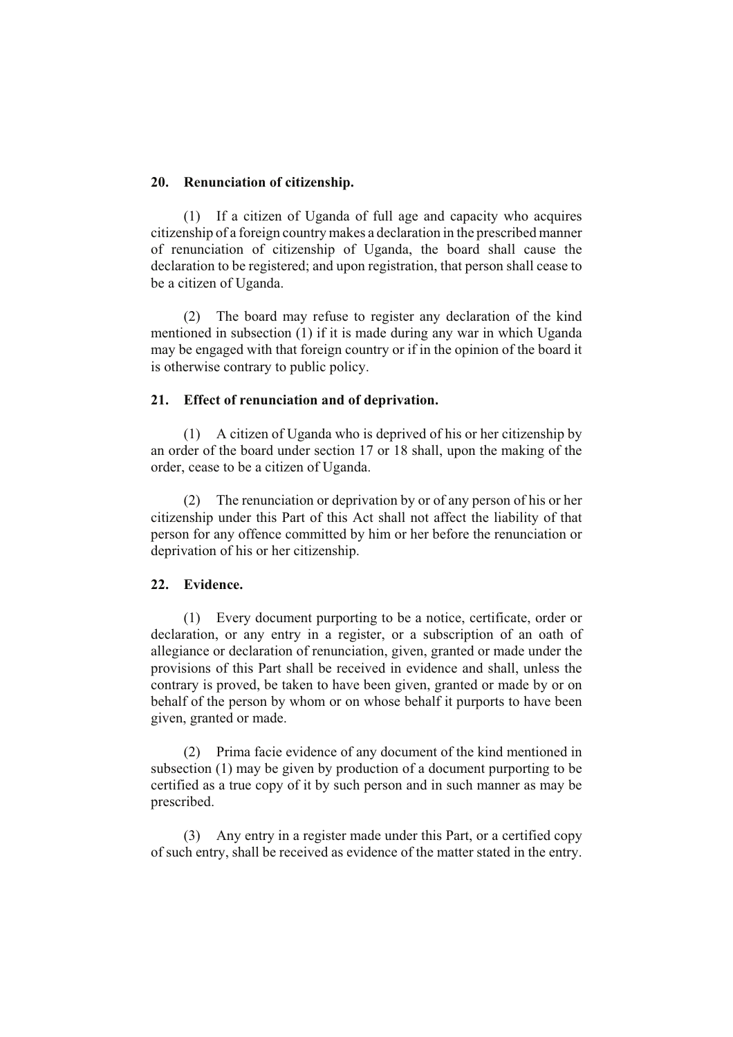### **20. Renunciation of citizenship.**

(1) If a citizen of Uganda of full age and capacity who acquires citizenship of a foreign country makes a declaration in the prescribed manner of renunciation of citizenship of Uganda, the board shall cause the declaration to be registered; and upon registration, that person shall cease to be a citizen of Uganda.

(2) The board may refuse to register any declaration of the kind mentioned in subsection (1) if it is made during any war in which Uganda may be engaged with that foreign country or if in the opinion of the board it is otherwise contrary to public policy.

### **21. Effect of renunciation and of deprivation.**

(1) A citizen of Uganda who is deprived of his or her citizenship by an order of the board under section 17 or 18 shall, upon the making of the order, cease to be a citizen of Uganda.

(2) The renunciation or deprivation by or of any person of his or her citizenship under this Part of this Act shall not affect the liability of that person for any offence committed by him or her before the renunciation or deprivation of his or her citizenship.

# **22. Evidence.**

(1) Every document purporting to be a notice, certificate, order or declaration, or any entry in a register, or a subscription of an oath of allegiance or declaration of renunciation, given, granted or made under the provisions of this Part shall be received in evidence and shall, unless the contrary is proved, be taken to have been given, granted or made by or on behalf of the person by whom or on whose behalf it purports to have been given, granted or made.

(2) Prima facie evidence of any document of the kind mentioned in subsection (1) may be given by production of a document purporting to be certified as a true copy of it by such person and in such manner as may be prescribed.

(3) Any entry in a register made under this Part, or a certified copy of such entry, shall be received as evidence of the matter stated in the entry.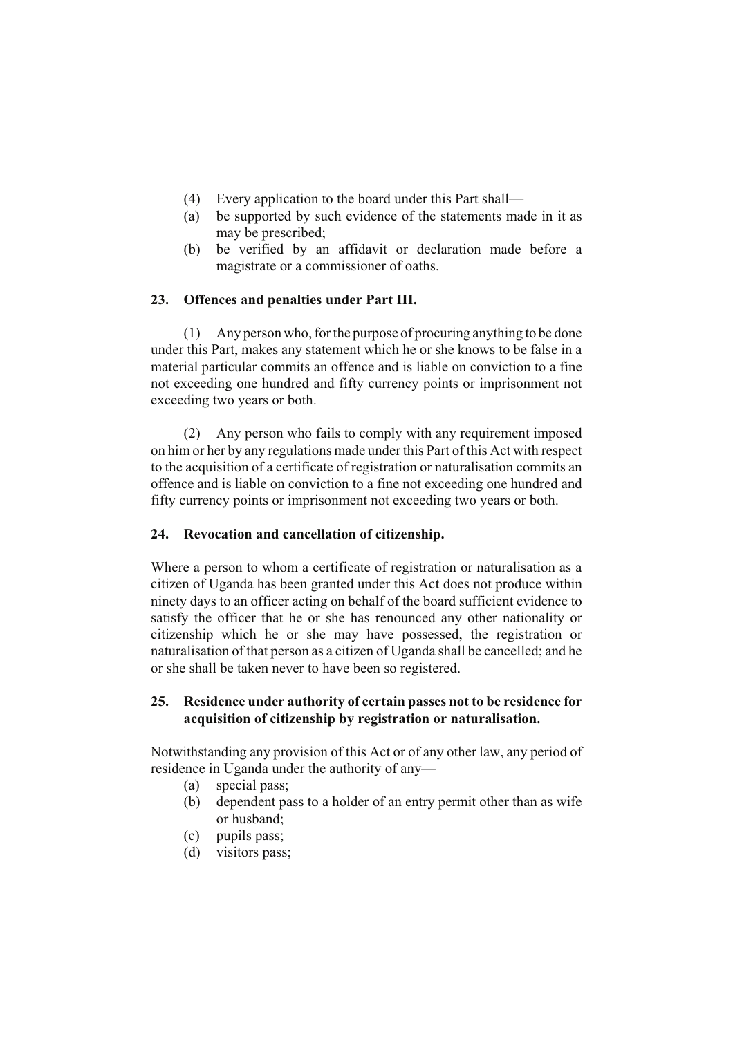- (4) Every application to the board under this Part shall—
- (a) be supported by such evidence of the statements made in it as may be prescribed;
- (b) be verified by an affidavit or declaration made before a magistrate or a commissioner of oaths.

### **23. Offences and penalties under Part III.**

(1) Any person who, for the purpose of procuring anything to be done under this Part, makes any statement which he or she knows to be false in a material particular commits an offence and is liable on conviction to a fine not exceeding one hundred and fifty currency points or imprisonment not exceeding two years or both.

(2) Any person who fails to comply with any requirement imposed on him or her by any regulations made under this Part of this Act with respect to the acquisition of a certificate of registration or naturalisation commits an offence and is liable on conviction to a fine not exceeding one hundred and fifty currency points or imprisonment not exceeding two years or both.

# **24. Revocation and cancellation of citizenship.**

Where a person to whom a certificate of registration or naturalisation as a citizen of Uganda has been granted under this Act does not produce within ninety days to an officer acting on behalf of the board sufficient evidence to satisfy the officer that he or she has renounced any other nationality or citizenship which he or she may have possessed, the registration or naturalisation of that person as a citizen of Uganda shall be cancelled; and he or she shall be taken never to have been so registered.

# **25. Residence under authority of certain passes not to be residence for acquisition of citizenship by registration or naturalisation.**

Notwithstanding any provision of this Act or of any other law, any period of residence in Uganda under the authority of any—

- (a) special pass;
- (b) dependent pass to a holder of an entry permit other than as wife or husband;
- (c) pupils pass;
- (d) visitors pass;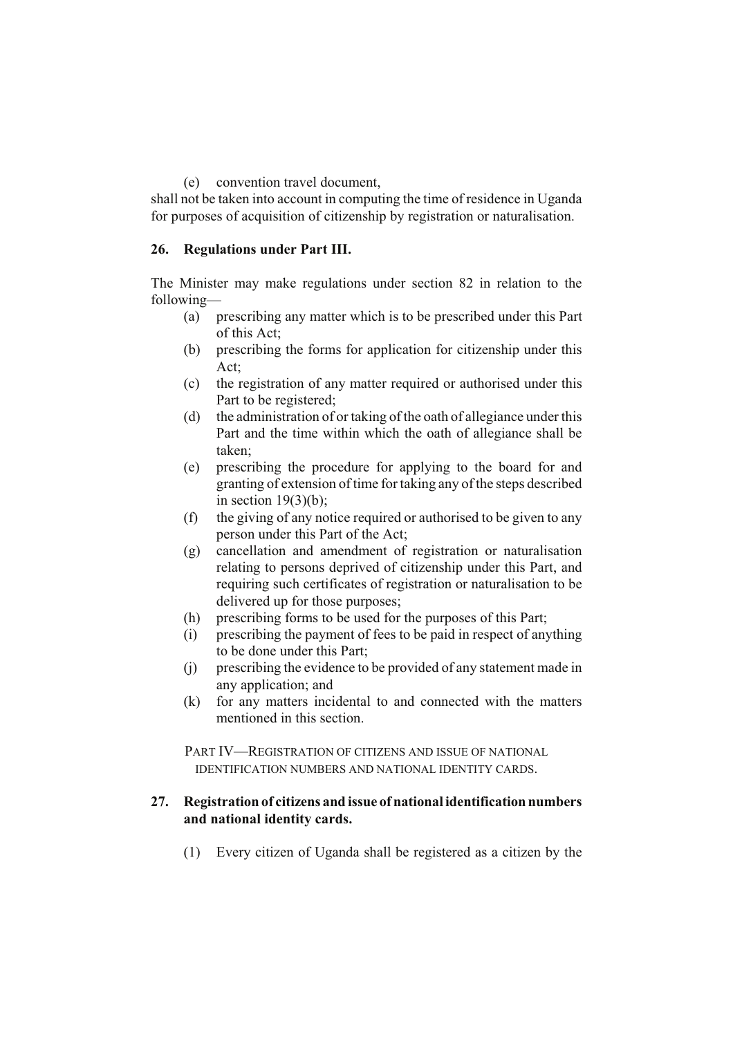### (e) convention travel document,

shall not be taken into account in computing the time of residence in Uganda for purposes of acquisition of citizenship by registration or naturalisation.

# **26. Regulations under Part III.**

The Minister may make regulations under section 82 in relation to the following—

- (a) prescribing any matter which is to be prescribed under this Part of this Act;
- (b) prescribing the forms for application for citizenship under this Act;
- (c) the registration of any matter required or authorised under this Part to be registered;
- (d) the administration of or taking of the oath of allegiance under this Part and the time within which the oath of allegiance shall be taken;
- (e) prescribing the procedure for applying to the board for and granting of extension of time for taking any of the steps described in section  $19(3)(b)$ ;
- (f) the giving of any notice required or authorised to be given to any person under this Part of the Act;
- (g) cancellation and amendment of registration or naturalisation relating to persons deprived of citizenship under this Part, and requiring such certificates of registration or naturalisation to be delivered up for those purposes;
- (h) prescribing forms to be used for the purposes of this Part;
- (i) prescribing the payment of fees to be paid in respect of anything to be done under this Part;
- (j) prescribing the evidence to be provided of any statement made in any application; and
- (k) for any matters incidental to and connected with the matters mentioned in this section.

PART IV—REGISTRATION OF CITIZENS AND ISSUE OF NATIONAL IDENTIFICATION NUMBERS AND NATIONAL IDENTITY CARDS.

### **27. Registration of citizens and issue of national identification numbers and national identity cards.**

(1) Every citizen of Uganda shall be registered as a citizen by the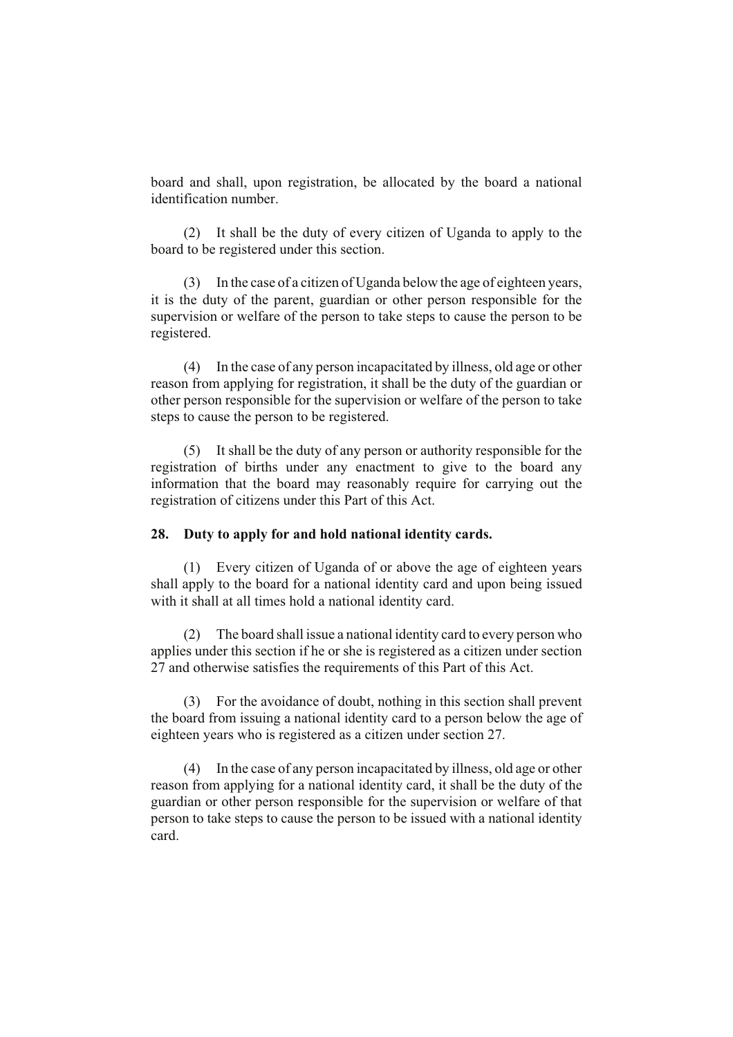board and shall, upon registration, be allocated by the board a national identification number.

(2) It shall be the duty of every citizen of Uganda to apply to the board to be registered under this section.

(3) In the case of a citizen of Uganda below the age of eighteen years, it is the duty of the parent, guardian or other person responsible for the supervision or welfare of the person to take steps to cause the person to be registered.

(4) In the case of any person incapacitated by illness, old age or other reason from applying for registration, it shall be the duty of the guardian or other person responsible for the supervision or welfare of the person to take steps to cause the person to be registered.

(5) It shall be the duty of any person or authority responsible for the registration of births under any enactment to give to the board any information that the board may reasonably require for carrying out the registration of citizens under this Part of this Act.

#### **28. Duty to apply for and hold national identity cards.**

(1) Every citizen of Uganda of or above the age of eighteen years shall apply to the board for a national identity card and upon being issued with it shall at all times hold a national identity card.

(2) The board shall issue a national identity card to every person who applies under this section if he or she is registered as a citizen under section 27 and otherwise satisfies the requirements of this Part of this Act.

(3) For the avoidance of doubt, nothing in this section shall prevent the board from issuing a national identity card to a person below the age of eighteen years who is registered as a citizen under section 27.

(4) In the case of any person incapacitated by illness, old age or other reason from applying for a national identity card, it shall be the duty of the guardian or other person responsible for the supervision or welfare of that person to take steps to cause the person to be issued with a national identity card.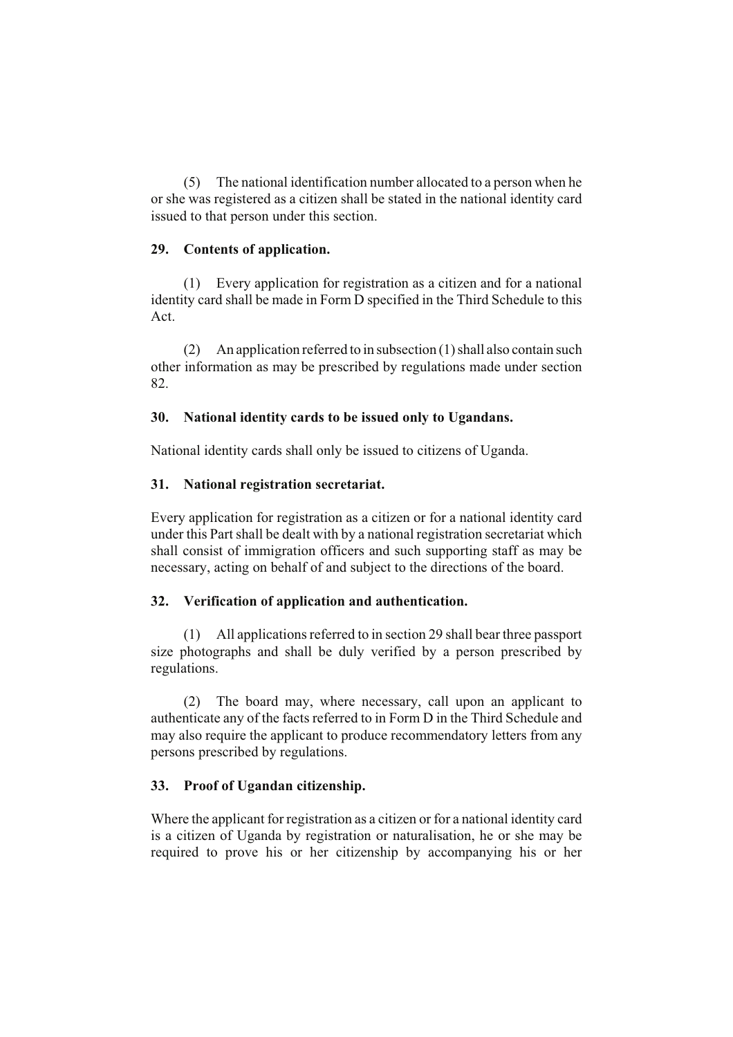(5) The national identification number allocated to a person when he or she was registered as a citizen shall be stated in the national identity card issued to that person under this section.

# **29. Contents of application.**

(1) Every application for registration as a citizen and for a national identity card shall be made in Form D specified in the Third Schedule to this Act.

(2) An application referred to in subsection (1) shall also contain such other information as may be prescribed by regulations made under section 82.

# **30. National identity cards to be issued only to Ugandans.**

National identity cards shall only be issued to citizens of Uganda.

### **31. National registration secretariat.**

Every application for registration as a citizen or for a national identity card under this Part shall be dealt with by a national registration secretariat which shall consist of immigration officers and such supporting staff as may be necessary, acting on behalf of and subject to the directions of the board.

# **32. Verification of application and authentication.**

(1) All applications referred to in section 29 shall bear three passport size photographs and shall be duly verified by a person prescribed by regulations.

(2) The board may, where necessary, call upon an applicant to authenticate any of the facts referred to in Form D in the Third Schedule and may also require the applicant to produce recommendatory letters from any persons prescribed by regulations.

# **33. Proof of Ugandan citizenship.**

Where the applicant for registration as a citizen or for a national identity card is a citizen of Uganda by registration or naturalisation, he or she may be required to prove his or her citizenship by accompanying his or her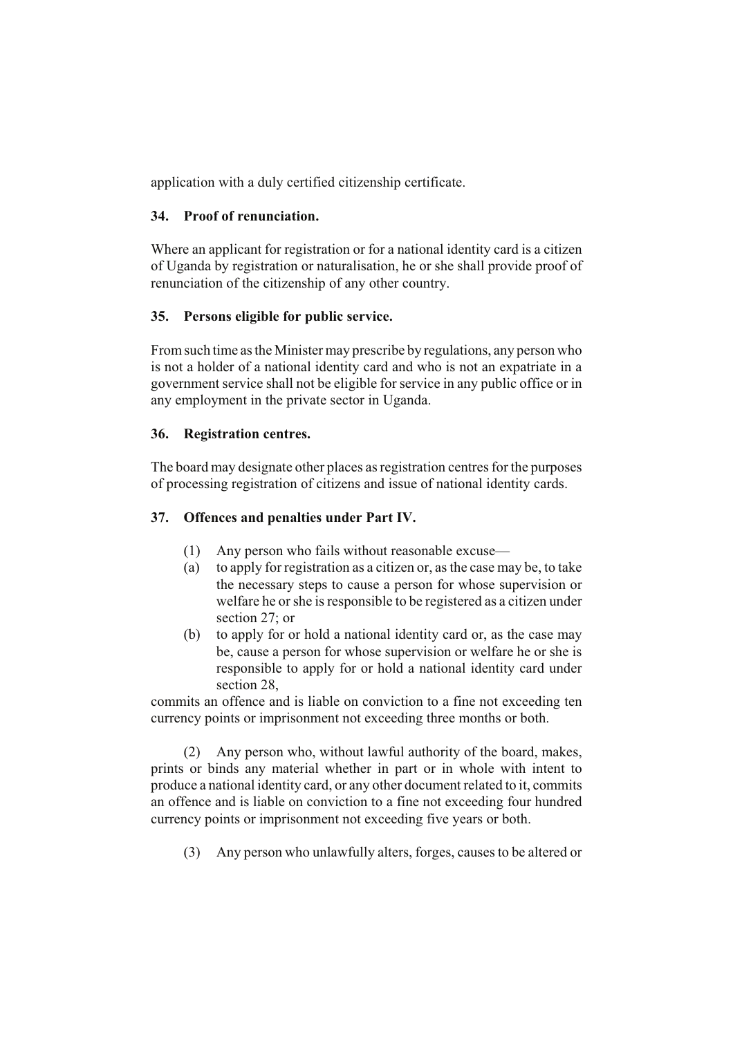application with a duly certified citizenship certificate.

# **34. Proof of renunciation.**

Where an applicant for registration or for a national identity card is a citizen of Uganda by registration or naturalisation, he or she shall provide proof of renunciation of the citizenship of any other country.

# **35. Persons eligible for public service.**

From such time as the Minister may prescribe by regulations, any person who is not a holder of a national identity card and who is not an expatriate in a government service shall not be eligible for service in any public office or in any employment in the private sector in Uganda.

# **36. Registration centres.**

The board may designate other places as registration centres for the purposes of processing registration of citizens and issue of national identity cards.

# **37. Offences and penalties under Part IV.**

- (1) Any person who fails without reasonable excuse—
- (a) to apply for registration as a citizen or, as the case may be, to take the necessary steps to cause a person for whose supervision or welfare he or she is responsible to be registered as a citizen under section 27; or
- (b) to apply for or hold a national identity card or, as the case may be, cause a person for whose supervision or welfare he or she is responsible to apply for or hold a national identity card under section 28

commits an offence and is liable on conviction to a fine not exceeding ten currency points or imprisonment not exceeding three months or both.

(2) Any person who, without lawful authority of the board, makes, prints or binds any material whether in part or in whole with intent to produce a national identity card, or any other document related to it, commits an offence and is liable on conviction to a fine not exceeding four hundred currency points or imprisonment not exceeding five years or both.

(3) Any person who unlawfully alters, forges, causes to be altered or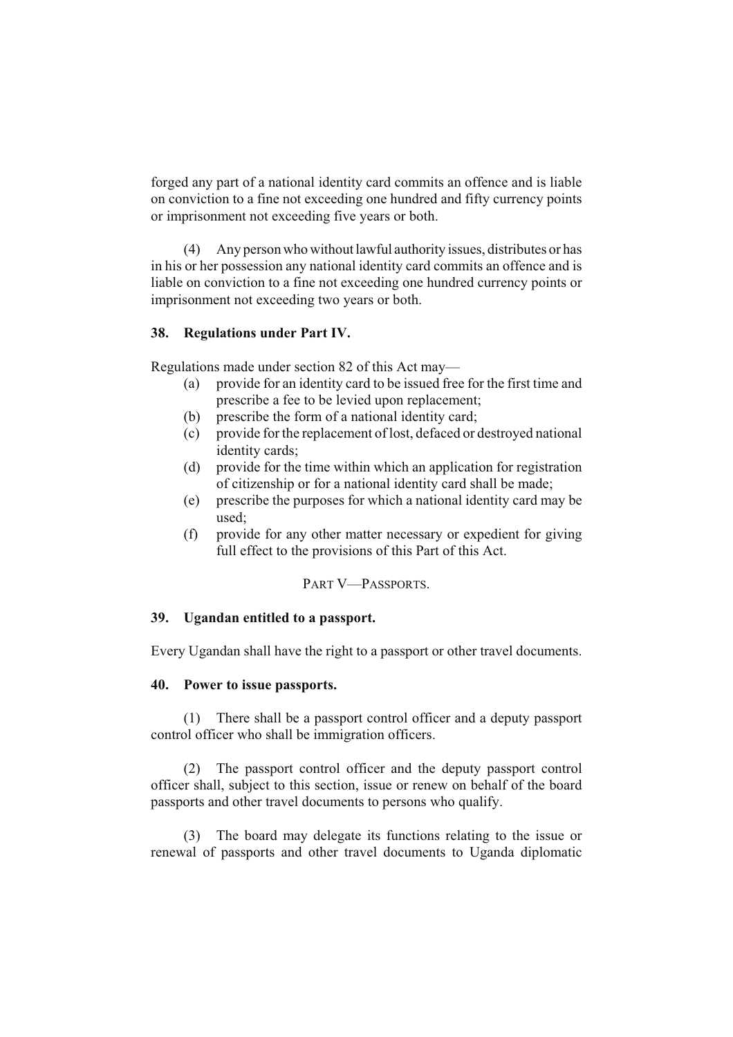forged any part of a national identity card commits an offence and is liable on conviction to a fine not exceeding one hundred and fifty currency points or imprisonment not exceeding five years or both.

(4) Any person who without lawful authority issues, distributes or has in his or her possession any national identity card commits an offence and is liable on conviction to a fine not exceeding one hundred currency points or imprisonment not exceeding two years or both.

# **38. Regulations under Part IV.**

Regulations made under section 82 of this Act may—

- (a) provide for an identity card to be issued free for the first time and prescribe a fee to be levied upon replacement;
- (b) prescribe the form of a national identity card;
- (c) provide for the replacement of lost, defaced or destroyed national identity cards;
- (d) provide for the time within which an application for registration of citizenship or for a national identity card shall be made;
- (e) prescribe the purposes for which a national identity card may be used;
- (f) provide for any other matter necessary or expedient for giving full effect to the provisions of this Part of this Act.

# PART V—PASSPORTS.

## **39. Ugandan entitled to a passport.**

Every Ugandan shall have the right to a passport or other travel documents.

### **40. Power to issue passports.**

(1) There shall be a passport control officer and a deputy passport control officer who shall be immigration officers.

(2) The passport control officer and the deputy passport control officer shall, subject to this section, issue or renew on behalf of the board passports and other travel documents to persons who qualify.

(3) The board may delegate its functions relating to the issue or renewal of passports and other travel documents to Uganda diplomatic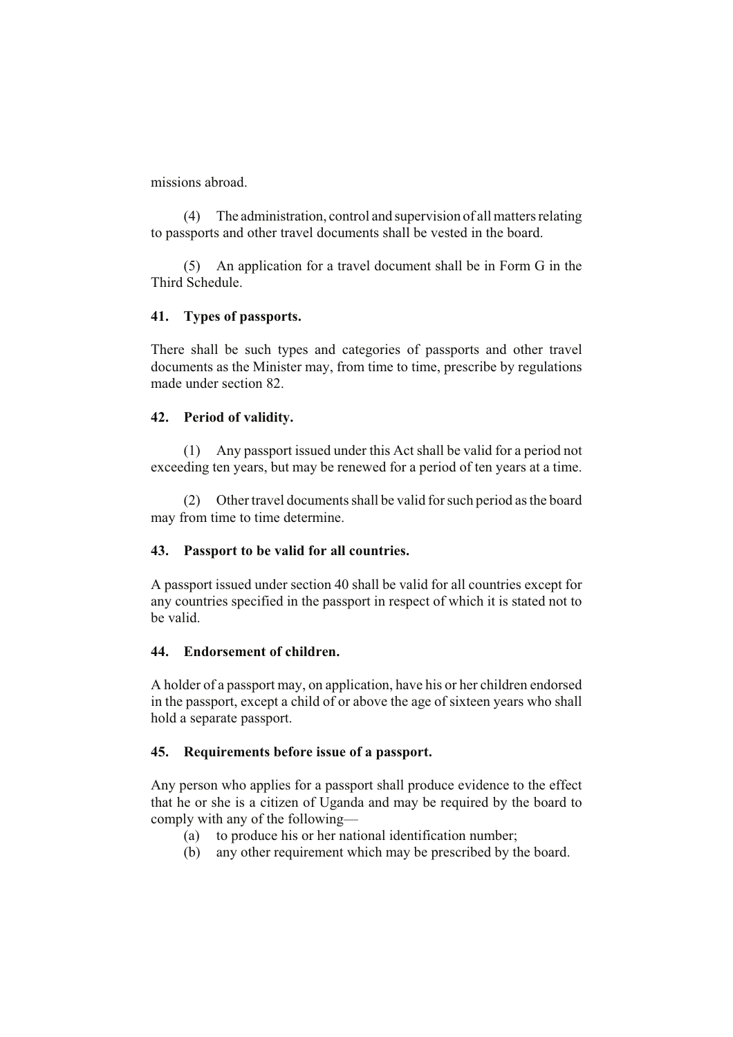missions abroad.

(4) The administration, control and supervision of all matters relating to passports and other travel documents shall be vested in the board.

(5) An application for a travel document shall be in Form G in the Third Schedule.

# **41. Types of passports.**

There shall be such types and categories of passports and other travel documents as the Minister may, from time to time, prescribe by regulations made under section 82.

# **42. Period of validity.**

(1) Any passport issued under this Act shall be valid for a period not exceeding ten years, but may be renewed for a period of ten years at a time.

(2) Other travel documents shall be valid for such period as the board may from time to time determine.

# **43. Passport to be valid for all countries.**

A passport issued under section 40 shall be valid for all countries except for any countries specified in the passport in respect of which it is stated not to be valid.

### **44. Endorsement of children.**

A holder of a passport may, on application, have his or her children endorsed in the passport, except a child of or above the age of sixteen years who shall hold a separate passport.

### **45. Requirements before issue of a passport.**

Any person who applies for a passport shall produce evidence to the effect that he or she is a citizen of Uganda and may be required by the board to comply with any of the following—

- (a) to produce his or her national identification number;
- (b) any other requirement which may be prescribed by the board.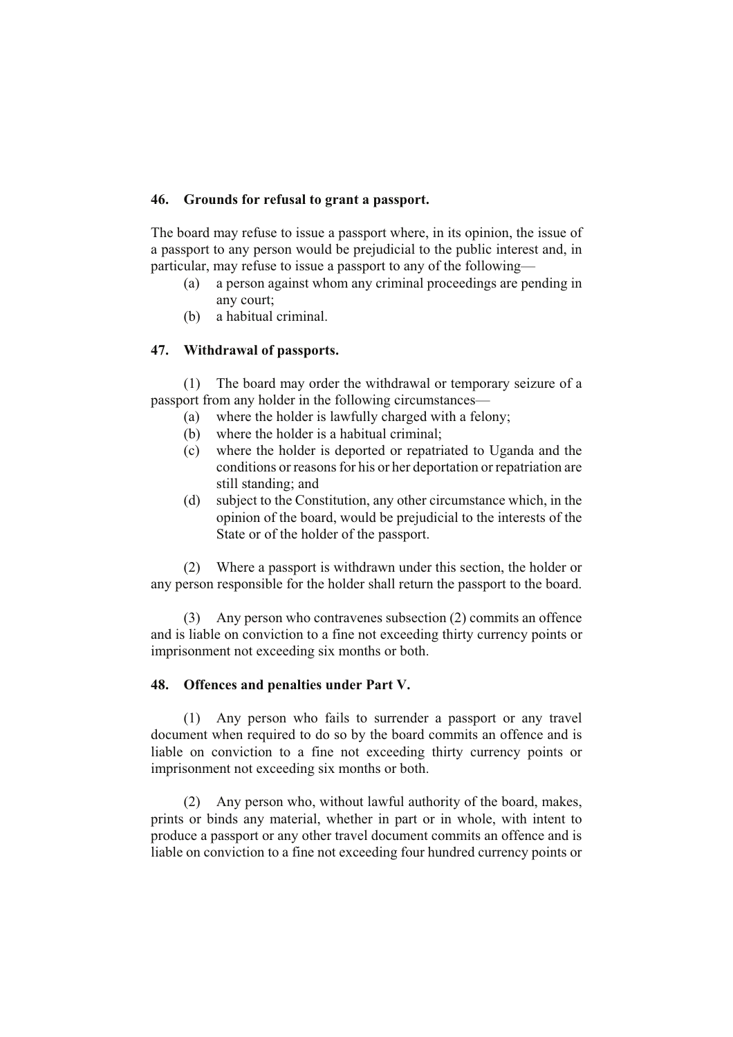### **46. Grounds for refusal to grant a passport.**

The board may refuse to issue a passport where, in its opinion, the issue of a passport to any person would be prejudicial to the public interest and, in particular, may refuse to issue a passport to any of the following—

- (a) a person against whom any criminal proceedings are pending in any court;
- (b) a habitual criminal.

# **47. Withdrawal of passports.**

(1) The board may order the withdrawal or temporary seizure of a passport from any holder in the following circumstances—

- (a) where the holder is lawfully charged with a felony;
- (b) where the holder is a habitual criminal;
- (c) where the holder is deported or repatriated to Uganda and the conditions or reasons for his or her deportation or repatriation are still standing; and
- (d) subject to the Constitution, any other circumstance which, in the opinion of the board, would be prejudicial to the interests of the State or of the holder of the passport.

(2) Where a passport is withdrawn under this section, the holder or any person responsible for the holder shall return the passport to the board.

(3) Any person who contravenes subsection (2) commits an offence and is liable on conviction to a fine not exceeding thirty currency points or imprisonment not exceeding six months or both.

# **48. Offences and penalties under Part V.**

(1) Any person who fails to surrender a passport or any travel document when required to do so by the board commits an offence and is liable on conviction to a fine not exceeding thirty currency points or imprisonment not exceeding six months or both.

(2) Any person who, without lawful authority of the board, makes, prints or binds any material, whether in part or in whole, with intent to produce a passport or any other travel document commits an offence and is liable on conviction to a fine not exceeding four hundred currency points or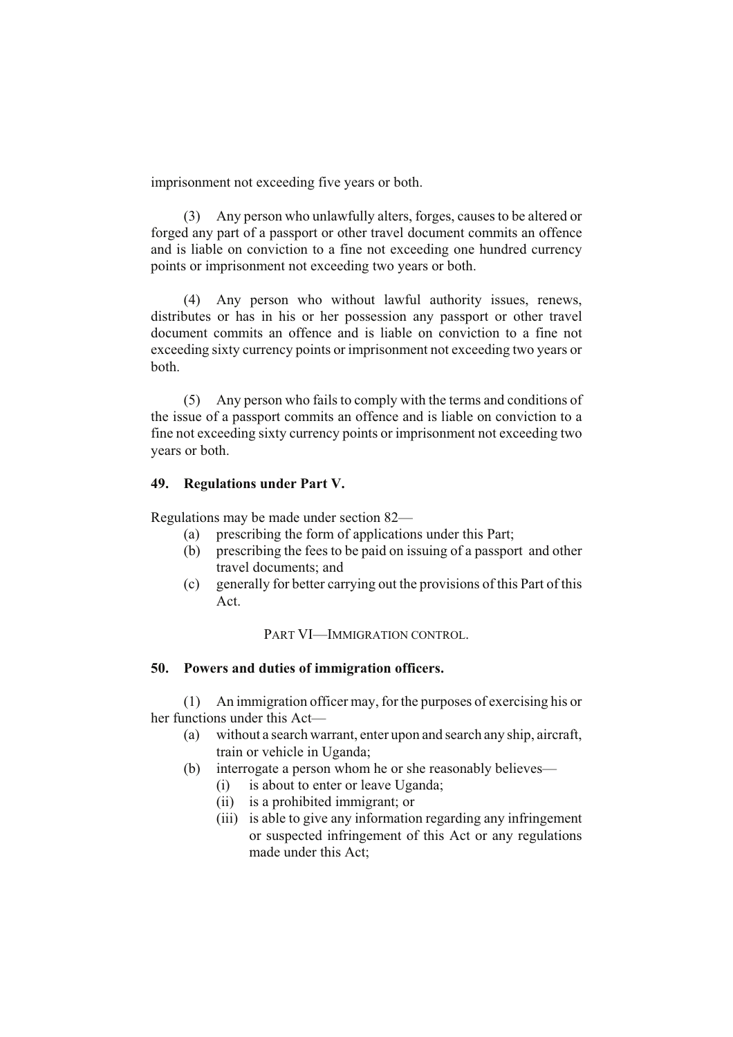imprisonment not exceeding five years or both.

(3) Any person who unlawfully alters, forges, causes to be altered or forged any part of a passport or other travel document commits an offence and is liable on conviction to a fine not exceeding one hundred currency points or imprisonment not exceeding two years or both.

(4) Any person who without lawful authority issues, renews, distributes or has in his or her possession any passport or other travel document commits an offence and is liable on conviction to a fine not exceeding sixty currency points or imprisonment not exceeding two years or both.

(5) Any person who fails to comply with the terms and conditions of the issue of a passport commits an offence and is liable on conviction to a fine not exceeding sixty currency points or imprisonment not exceeding two years or both.

### **49. Regulations under Part V.**

Regulations may be made under section 82—

- (a) prescribing the form of applications under this Part;
- (b) prescribing the fees to be paid on issuing of a passport and other travel documents; and
- (c) generally for better carrying out the provisions of this Part of this Act.

PART VI—IMMIGRATION CONTROL.

### **50. Powers and duties of immigration officers.**

(1) An immigration officer may, for the purposes of exercising his or her functions under this Act—

- (a) without a search warrant, enter upon and search any ship, aircraft, train or vehicle in Uganda;
- (b) interrogate a person whom he or she reasonably believes—
	- (i) is about to enter or leave Uganda;
	- (ii) is a prohibited immigrant; or
	- (iii) is able to give any information regarding any infringement or suspected infringement of this Act or any regulations made under this Act;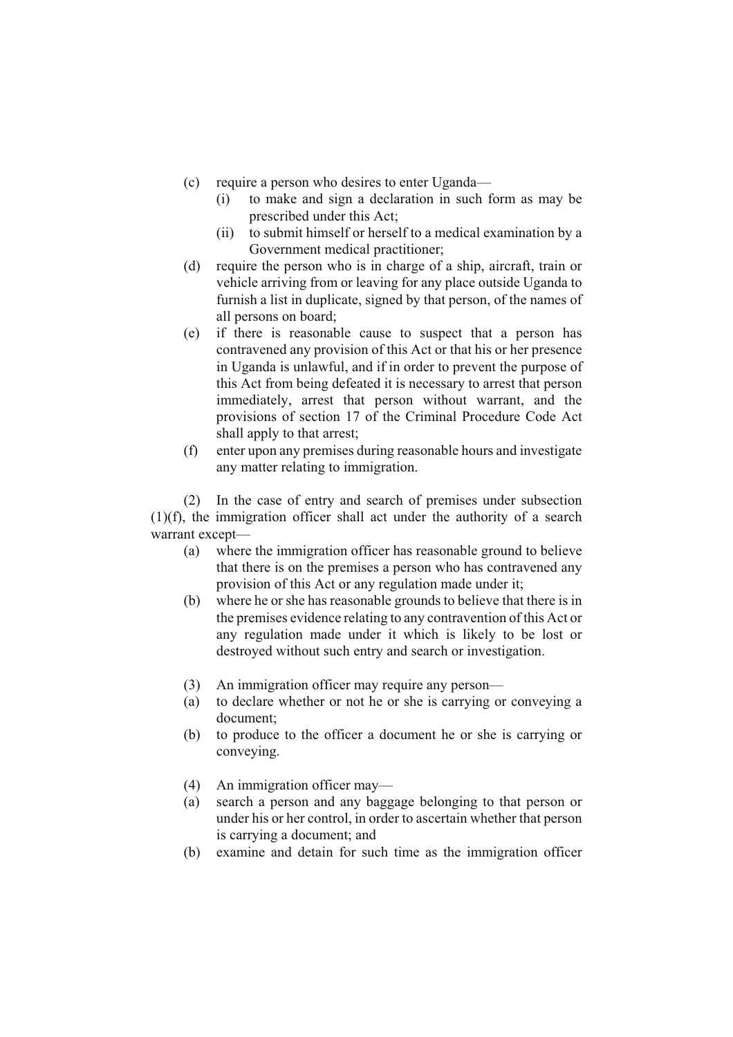- (c) require a person who desires to enter Uganda—
	- (i) to make and sign a declaration in such form as may be prescribed under this Act;
	- (ii) to submit himself or herself to a medical examination by a Government medical practitioner;
- (d) require the person who is in charge of a ship, aircraft, train or vehicle arriving from or leaving for any place outside Uganda to furnish a list in duplicate, signed by that person, of the names of all persons on board;
- (e) if there is reasonable cause to suspect that a person has contravened any provision of this Act or that his or her presence in Uganda is unlawful, and if in order to prevent the purpose of this Act from being defeated it is necessary to arrest that person immediately, arrest that person without warrant, and the provisions of section 17 of the Criminal Procedure Code Act shall apply to that arrest;
- (f) enter upon any premises during reasonable hours and investigate any matter relating to immigration.

(2) In the case of entry and search of premises under subsection (1)(f), the immigration officer shall act under the authority of a search warrant except—

- (a) where the immigration officer has reasonable ground to believe that there is on the premises a person who has contravened any provision of this Act or any regulation made under it;
- (b) where he or she has reasonable grounds to believe that there is in the premises evidence relating to any contravention of this Act or any regulation made under it which is likely to be lost or destroyed without such entry and search or investigation.
- (3) An immigration officer may require any person—
- (a) to declare whether or not he or she is carrying or conveying a document;
- (b) to produce to the officer a document he or she is carrying or conveying.
- (4) An immigration officer may—
- (a) search a person and any baggage belonging to that person or under his or her control, in order to ascertain whether that person is carrying a document; and
- (b) examine and detain for such time as the immigration officer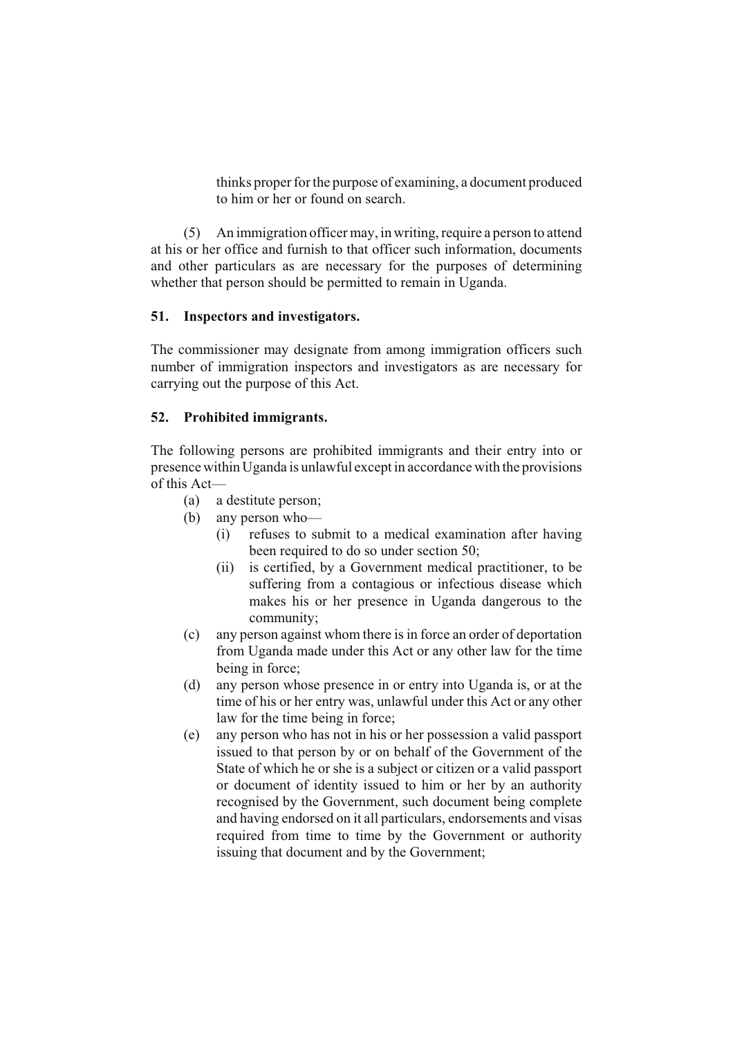thinks proper for the purpose of examining, a document produced to him or her or found on search.

(5) An immigration officer may, in writing, require a person to attend at his or her office and furnish to that officer such information, documents and other particulars as are necessary for the purposes of determining whether that person should be permitted to remain in Uganda.

### **51. Inspectors and investigators.**

The commissioner may designate from among immigration officers such number of immigration inspectors and investigators as are necessary for carrying out the purpose of this Act.

# **52. Prohibited immigrants.**

The following persons are prohibited immigrants and their entry into or presence within Uganda is unlawful except in accordance with the provisions of this Act—

- (a) a destitute person;
- (b) any person who—
	- (i) refuses to submit to a medical examination after having been required to do so under section 50;
	- (ii) is certified, by a Government medical practitioner, to be suffering from a contagious or infectious disease which makes his or her presence in Uganda dangerous to the community;
- (c) any person against whom there is in force an order of deportation from Uganda made under this Act or any other law for the time being in force;
- (d) any person whose presence in or entry into Uganda is, or at the time of his or her entry was, unlawful under this Act or any other law for the time being in force;
- (e) any person who has not in his or her possession a valid passport issued to that person by or on behalf of the Government of the State of which he or she is a subject or citizen or a valid passport or document of identity issued to him or her by an authority recognised by the Government, such document being complete and having endorsed on it all particulars, endorsements and visas required from time to time by the Government or authority issuing that document and by the Government;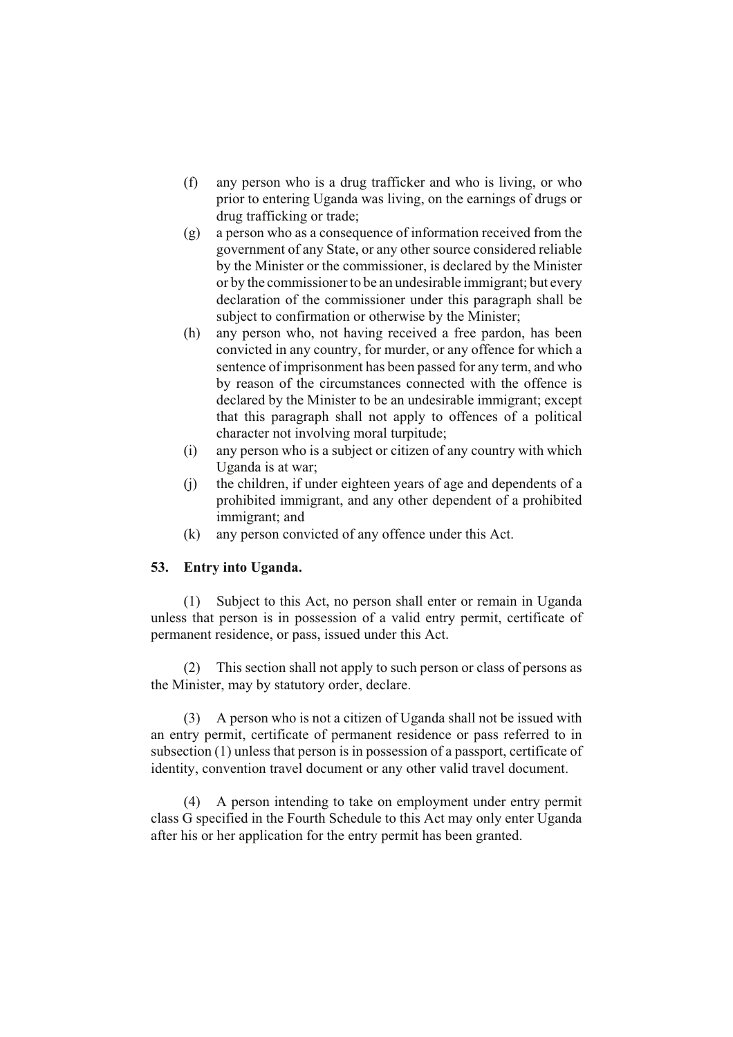- (f) any person who is a drug trafficker and who is living, or who prior to entering Uganda was living, on the earnings of drugs or drug trafficking or trade;
- (g) a person who as a consequence of information received from the government of any State, or any other source considered reliable by the Minister or the commissioner, is declared by the Minister or by the commissioner to be an undesirable immigrant; but every declaration of the commissioner under this paragraph shall be subject to confirmation or otherwise by the Minister;
- (h) any person who, not having received a free pardon, has been convicted in any country, for murder, or any offence for which a sentence of imprisonment has been passed for any term, and who by reason of the circumstances connected with the offence is declared by the Minister to be an undesirable immigrant; except that this paragraph shall not apply to offences of a political character not involving moral turpitude;
- (i) any person who is a subject or citizen of any country with which Uganda is at war;
- (j) the children, if under eighteen years of age and dependents of a prohibited immigrant, and any other dependent of a prohibited immigrant; and
- (k) any person convicted of any offence under this Act.

### **53. Entry into Uganda.**

(1) Subject to this Act, no person shall enter or remain in Uganda unless that person is in possession of a valid entry permit, certificate of permanent residence, or pass, issued under this Act.

(2) This section shall not apply to such person or class of persons as the Minister, may by statutory order, declare.

(3) A person who is not a citizen of Uganda shall not be issued with an entry permit, certificate of permanent residence or pass referred to in subsection (1) unless that person is in possession of a passport, certificate of identity, convention travel document or any other valid travel document.

(4) A person intending to take on employment under entry permit class G specified in the Fourth Schedule to this Act may only enter Uganda after his or her application for the entry permit has been granted.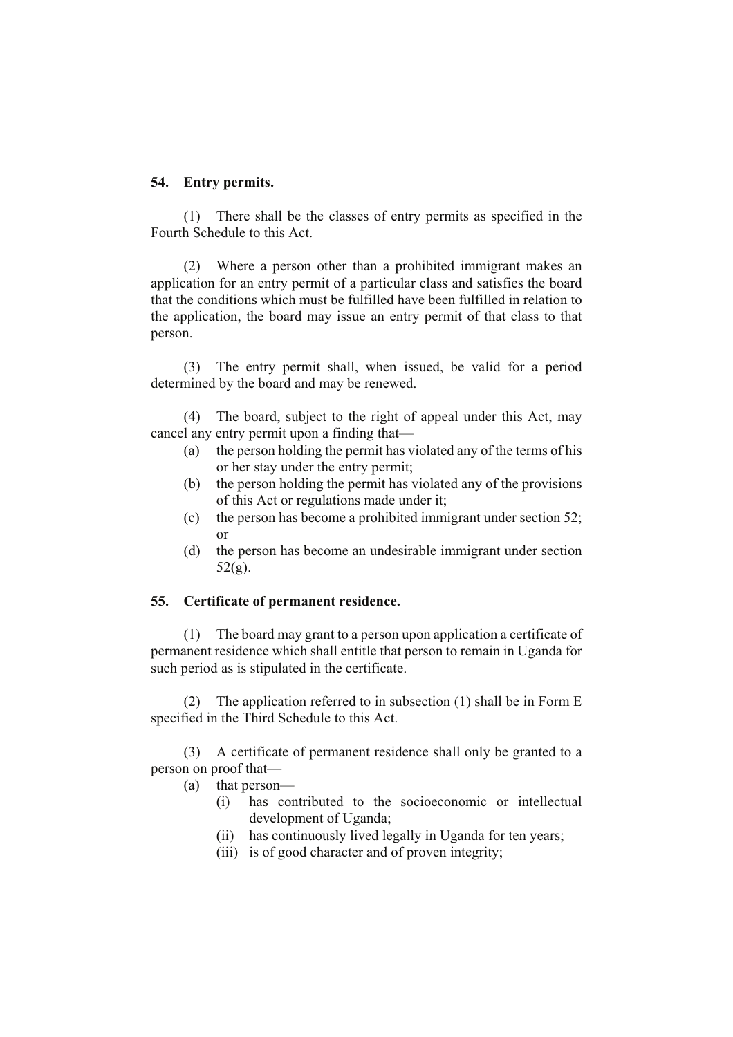### **54. Entry permits.**

(1) There shall be the classes of entry permits as specified in the Fourth Schedule to this Act.

(2) Where a person other than a prohibited immigrant makes an application for an entry permit of a particular class and satisfies the board that the conditions which must be fulfilled have been fulfilled in relation to the application, the board may issue an entry permit of that class to that person.

(3) The entry permit shall, when issued, be valid for a period determined by the board and may be renewed.

(4) The board, subject to the right of appeal under this Act, may cancel any entry permit upon a finding that—

- (a) the person holding the permit has violated any of the terms of his or her stay under the entry permit;
- (b) the person holding the permit has violated any of the provisions of this Act or regulations made under it;
- (c) the person has become a prohibited immigrant under section 52; or
- (d) the person has become an undesirable immigrant under section 52(g).

## **55. Certificate of permanent residence.**

(1) The board may grant to a person upon application a certificate of permanent residence which shall entitle that person to remain in Uganda for such period as is stipulated in the certificate.

(2) The application referred to in subsection (1) shall be in Form E specified in the Third Schedule to this Act.

(3) A certificate of permanent residence shall only be granted to a person on proof that—

- (a) that person—
	- (i) has contributed to the socioeconomic or intellectual development of Uganda;
	- (ii) has continuously lived legally in Uganda for ten years;
	- (iii) is of good character and of proven integrity;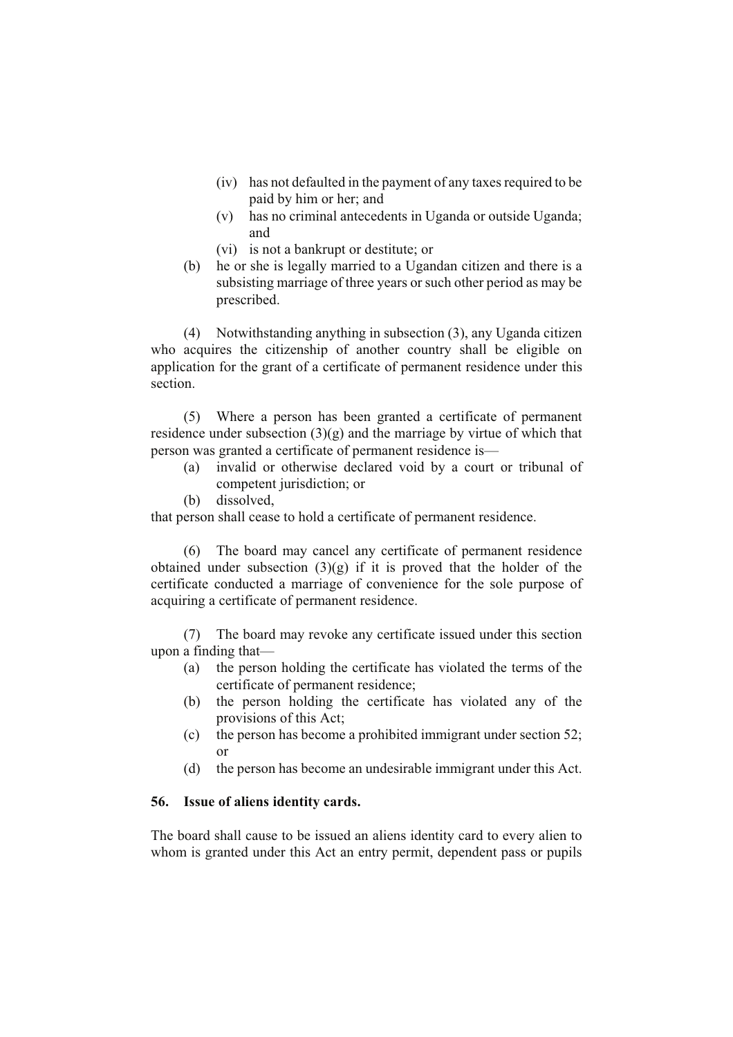- (iv) has not defaulted in the payment of any taxes required to be paid by him or her; and
- (v) has no criminal antecedents in Uganda or outside Uganda; and
- (vi) is not a bankrupt or destitute; or
- (b) he or she is legally married to a Ugandan citizen and there is a subsisting marriage of three years or such other period as may be prescribed.

(4) Notwithstanding anything in subsection (3), any Uganda citizen who acquires the citizenship of another country shall be eligible on application for the grant of a certificate of permanent residence under this section.

(5) Where a person has been granted a certificate of permanent residence under subsection  $(3)(g)$  and the marriage by virtue of which that person was granted a certificate of permanent residence is—

- (a) invalid or otherwise declared void by a court or tribunal of competent jurisdiction; or
- (b) dissolved,

that person shall cease to hold a certificate of permanent residence.

(6) The board may cancel any certificate of permanent residence obtained under subsection  $(3)(g)$  if it is proved that the holder of the certificate conducted a marriage of convenience for the sole purpose of acquiring a certificate of permanent residence.

(7) The board may revoke any certificate issued under this section upon a finding that—

- (a) the person holding the certificate has violated the terms of the certificate of permanent residence;
- (b) the person holding the certificate has violated any of the provisions of this Act;
- (c) the person has become a prohibited immigrant under section 52;  $\alpha r$
- (d) the person has become an undesirable immigrant under this Act.

### **56. Issue of aliens identity cards.**

The board shall cause to be issued an aliens identity card to every alien to whom is granted under this Act an entry permit, dependent pass or pupils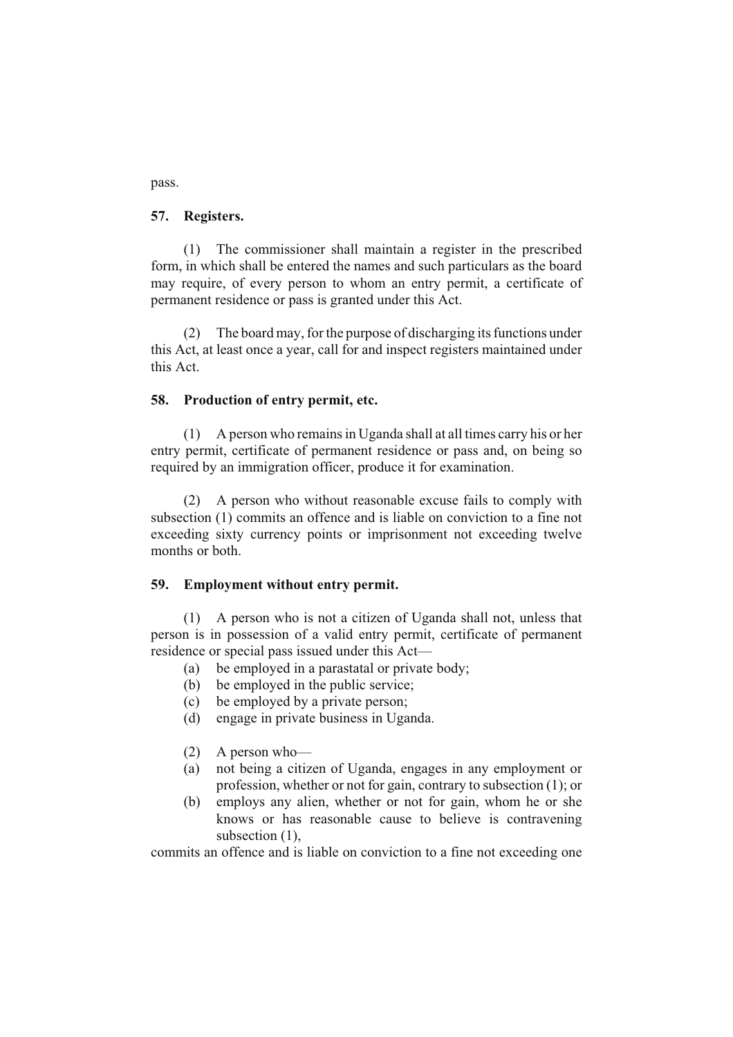pass.

### **57. Registers.**

(1) The commissioner shall maintain a register in the prescribed form, in which shall be entered the names and such particulars as the board may require, of every person to whom an entry permit, a certificate of permanent residence or pass is granted under this Act.

(2) The board may, for the purpose of discharging its functions under this Act, at least once a year, call for and inspect registers maintained under this Act.

### **58. Production of entry permit, etc.**

(1) A person who remains in Uganda shall at all times carry his or her entry permit, certificate of permanent residence or pass and, on being so required by an immigration officer, produce it for examination.

(2) A person who without reasonable excuse fails to comply with subsection (1) commits an offence and is liable on conviction to a fine not exceeding sixty currency points or imprisonment not exceeding twelve months or both.

### **59. Employment without entry permit.**

(1) A person who is not a citizen of Uganda shall not, unless that person is in possession of a valid entry permit, certificate of permanent residence or special pass issued under this Act—

- (a) be employed in a parastatal or private body;
- (b) be employed in the public service;
- (c) be employed by a private person;
- (d) engage in private business in Uganda.
- (2) A person who—
- (a) not being a citizen of Uganda, engages in any employment or profession, whether or not for gain, contrary to subsection (1); or
- (b) employs any alien, whether or not for gain, whom he or she knows or has reasonable cause to believe is contravening subsection  $(1)$ ,

commits an offence and is liable on conviction to a fine not exceeding one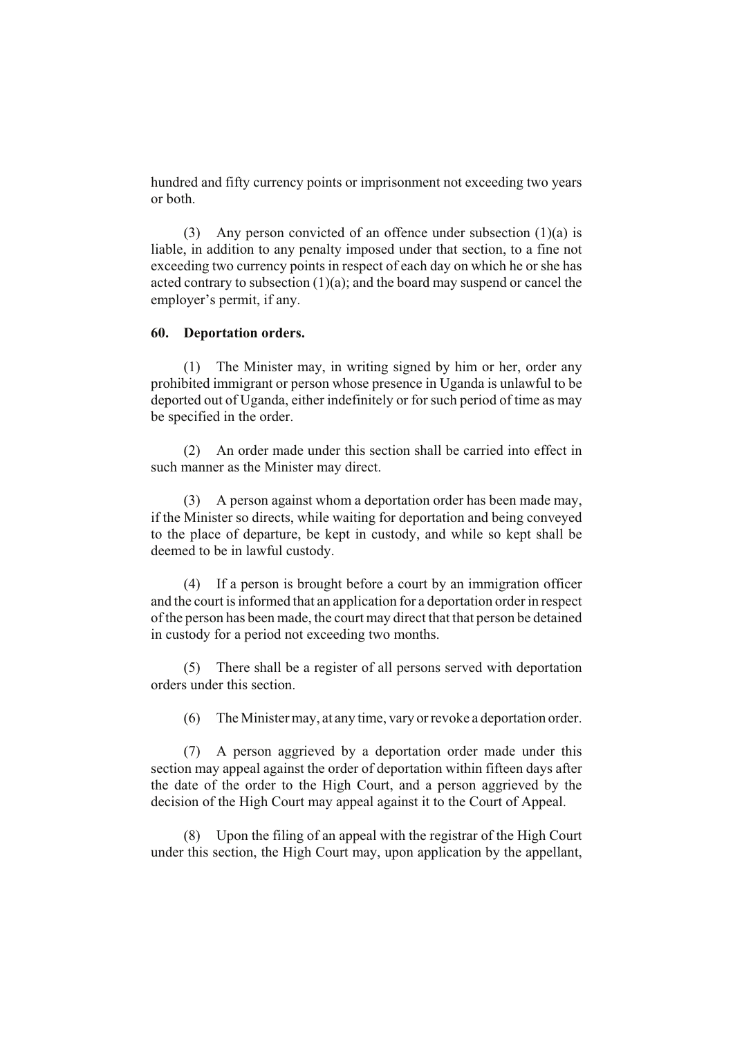hundred and fifty currency points or imprisonment not exceeding two years or both.

(3) Any person convicted of an offence under subsection (1)(a) is liable, in addition to any penalty imposed under that section, to a fine not exceeding two currency points in respect of each day on which he or she has acted contrary to subsection  $(1)(a)$ ; and the board may suspend or cancel the employer's permit, if any.

### **60. Deportation orders.**

(1) The Minister may, in writing signed by him or her, order any prohibited immigrant or person whose presence in Uganda is unlawful to be deported out of Uganda, either indefinitely or for such period of time as may be specified in the order.

(2) An order made under this section shall be carried into effect in such manner as the Minister may direct.

(3) A person against whom a deportation order has been made may, if the Minister so directs, while waiting for deportation and being conveyed to the place of departure, be kept in custody, and while so kept shall be deemed to be in lawful custody.

(4) If a person is brought before a court by an immigration officer and the court is informed that an application for a deportation order in respect of the person has been made, the court may direct that that person be detained in custody for a period not exceeding two months.

(5) There shall be a register of all persons served with deportation orders under this section.

(6) The Minister may, at any time, vary or revoke a deportation order.

(7) A person aggrieved by a deportation order made under this section may appeal against the order of deportation within fifteen days after the date of the order to the High Court, and a person aggrieved by the decision of the High Court may appeal against it to the Court of Appeal.

(8) Upon the filing of an appeal with the registrar of the High Court under this section, the High Court may, upon application by the appellant,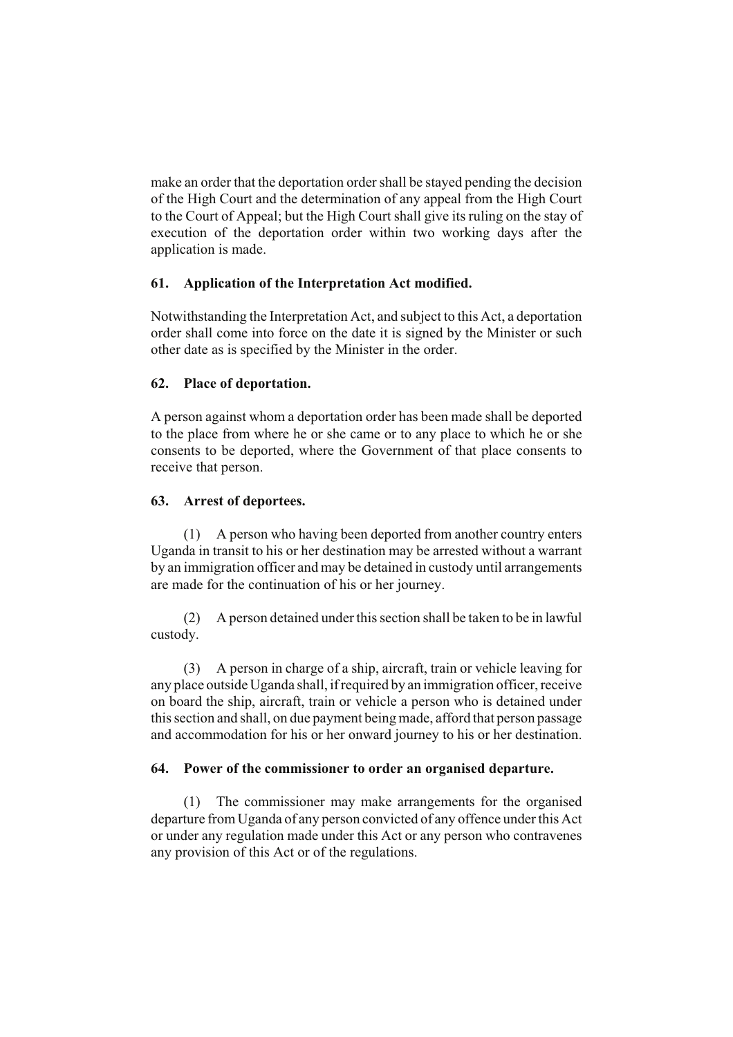make an order that the deportation order shall be stayed pending the decision of the High Court and the determination of any appeal from the High Court to the Court of Appeal; but the High Court shall give its ruling on the stay of execution of the deportation order within two working days after the application is made.

# **61. Application of the Interpretation Act modified.**

Notwithstanding the Interpretation Act, and subject to this Act, a deportation order shall come into force on the date it is signed by the Minister or such other date as is specified by the Minister in the order.

# **62. Place of deportation.**

A person against whom a deportation order has been made shall be deported to the place from where he or she came or to any place to which he or she consents to be deported, where the Government of that place consents to receive that person.

# **63. Arrest of deportees.**

(1) A person who having been deported from another country enters Uganda in transit to his or her destination may be arrested without a warrant by an immigration officer and may be detained in custody until arrangements are made for the continuation of his or her journey.

(2) A person detained under this section shall be taken to be in lawful custody.

(3) A person in charge of a ship, aircraft, train or vehicle leaving for any place outside Uganda shall, if required by an immigration officer, receive on board the ship, aircraft, train or vehicle a person who is detained under this section and shall, on due payment being made, afford that person passage and accommodation for his or her onward journey to his or her destination.

# **64. Power of the commissioner to order an organised departure.**

(1) The commissioner may make arrangements for the organised departure from Uganda of any person convicted of any offence under this Act or under any regulation made under this Act or any person who contravenes any provision of this Act or of the regulations.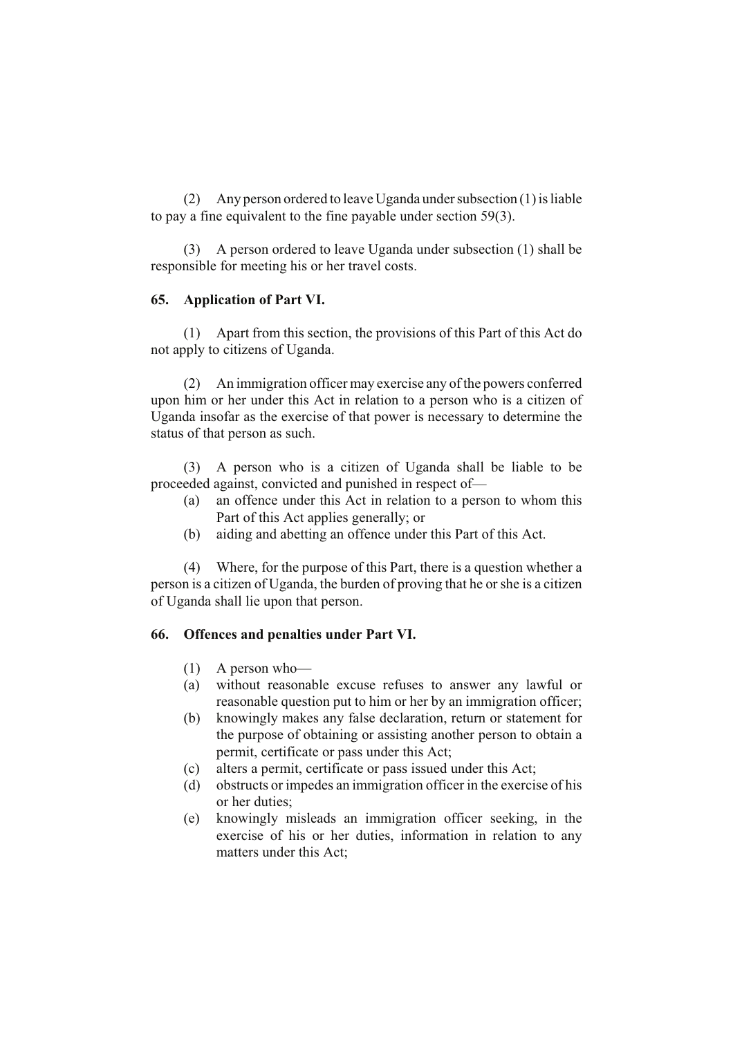(2) Any person ordered to leave Uganda under subsection (1) is liable to pay a fine equivalent to the fine payable under section 59(3).

(3) A person ordered to leave Uganda under subsection (1) shall be responsible for meeting his or her travel costs.

### **65. Application of Part VI.**

(1) Apart from this section, the provisions of this Part of this Act do not apply to citizens of Uganda.

(2) An immigration officer may exercise any of the powers conferred upon him or her under this Act in relation to a person who is a citizen of Uganda insofar as the exercise of that power is necessary to determine the status of that person as such.

(3) A person who is a citizen of Uganda shall be liable to be proceeded against, convicted and punished in respect of—

- (a) an offence under this Act in relation to a person to whom this Part of this Act applies generally; or
- (b) aiding and abetting an offence under this Part of this Act.

(4) Where, for the purpose of this Part, there is a question whether a person is a citizen of Uganda, the burden of proving that he or she is a citizen of Uganda shall lie upon that person.

### **66. Offences and penalties under Part VI.**

- (1) A person who—
- (a) without reasonable excuse refuses to answer any lawful or reasonable question put to him or her by an immigration officer;
- (b) knowingly makes any false declaration, return or statement for the purpose of obtaining or assisting another person to obtain a permit, certificate or pass under this Act;
- (c) alters a permit, certificate or pass issued under this Act;
- (d) obstructs or impedes an immigration officer in the exercise of his or her duties;
- (e) knowingly misleads an immigration officer seeking, in the exercise of his or her duties, information in relation to any matters under this Act;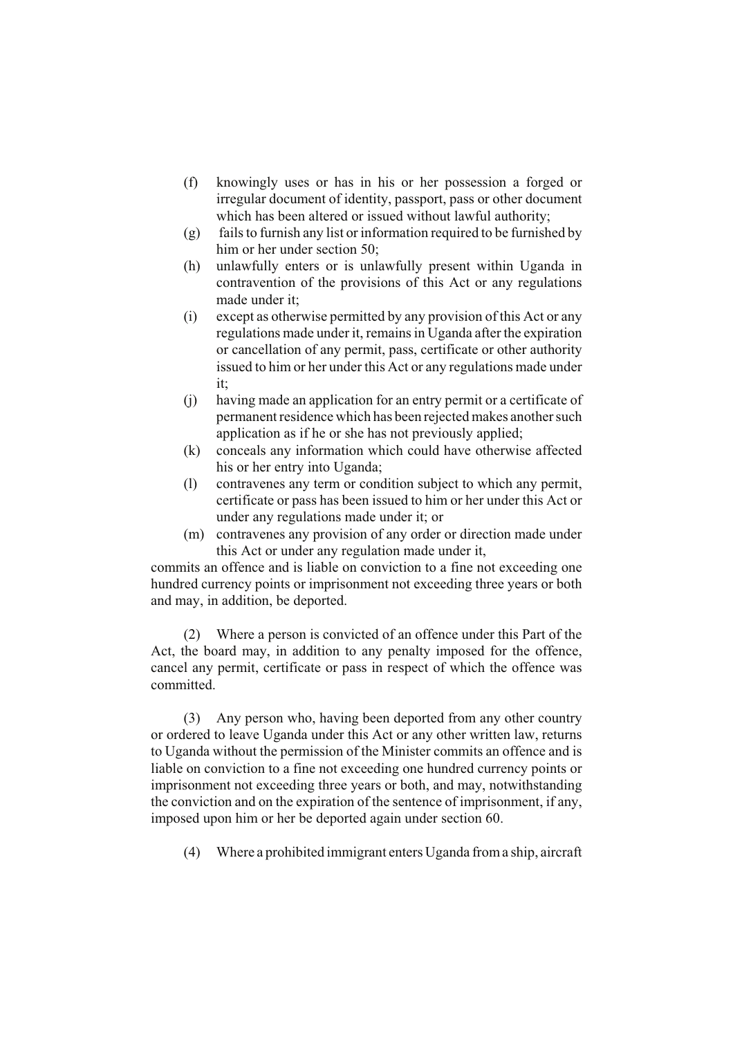- (f) knowingly uses or has in his or her possession a forged or irregular document of identity, passport, pass or other document which has been altered or issued without lawful authority;
- (g) fails to furnish any list or information required to be furnished by him or her under section 50;
- (h) unlawfully enters or is unlawfully present within Uganda in contravention of the provisions of this Act or any regulations made under it;
- (i) except as otherwise permitted by any provision of this Act or any regulations made under it, remains in Uganda after the expiration or cancellation of any permit, pass, certificate or other authority issued to him or her under this Act or any regulations made under it;
- (j) having made an application for an entry permit or a certificate of permanent residence which has been rejected makes another such application as if he or she has not previously applied;
- (k) conceals any information which could have otherwise affected his or her entry into Uganda;
- (l) contravenes any term or condition subject to which any permit, certificate or pass has been issued to him or her under this Act or under any regulations made under it; or
- (m) contravenes any provision of any order or direction made under this Act or under any regulation made under it,

commits an offence and is liable on conviction to a fine not exceeding one hundred currency points or imprisonment not exceeding three years or both and may, in addition, be deported.

(2) Where a person is convicted of an offence under this Part of the Act, the board may, in addition to any penalty imposed for the offence, cancel any permit, certificate or pass in respect of which the offence was committed.

(3) Any person who, having been deported from any other country or ordered to leave Uganda under this Act or any other written law, returns to Uganda without the permission of the Minister commits an offence and is liable on conviction to a fine not exceeding one hundred currency points or imprisonment not exceeding three years or both, and may, notwithstanding the conviction and on the expiration of the sentence of imprisonment, if any, imposed upon him or her be deported again under section 60.

(4) Where a prohibited immigrant enters Uganda from a ship, aircraft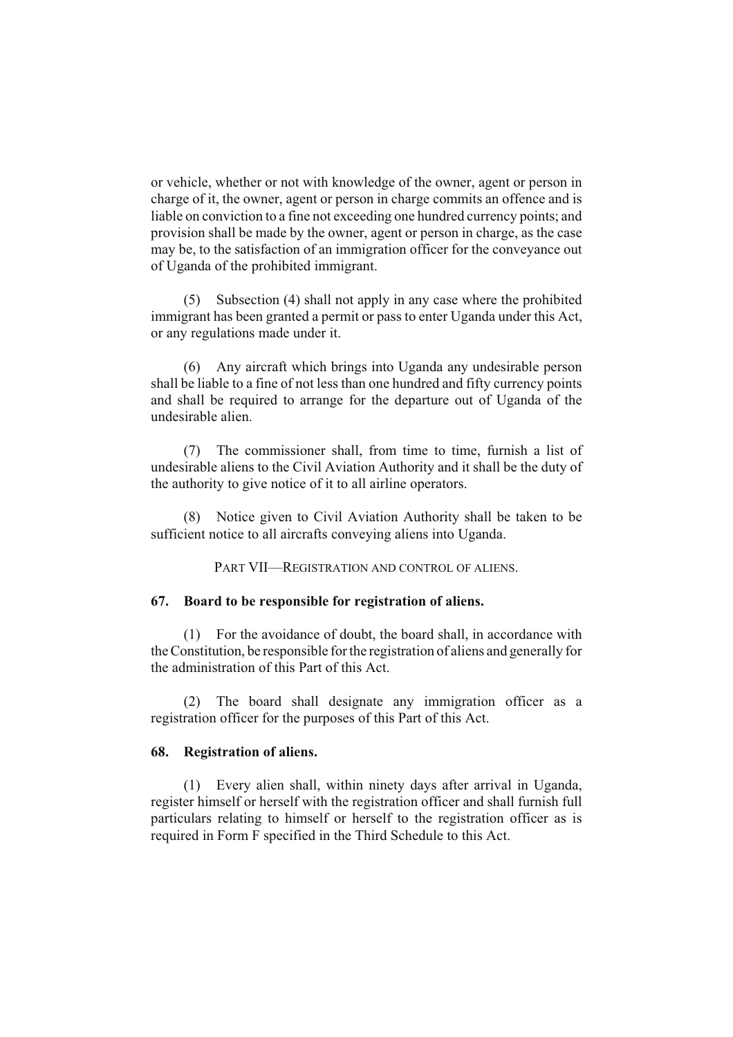or vehicle, whether or not with knowledge of the owner, agent or person in charge of it, the owner, agent or person in charge commits an offence and is liable on conviction to a fine not exceeding one hundred currency points; and provision shall be made by the owner, agent or person in charge, as the case may be, to the satisfaction of an immigration officer for the conveyance out of Uganda of the prohibited immigrant.

(5) Subsection (4) shall not apply in any case where the prohibited immigrant has been granted a permit or pass to enter Uganda under this Act, or any regulations made under it.

(6) Any aircraft which brings into Uganda any undesirable person shall be liable to a fine of not less than one hundred and fifty currency points and shall be required to arrange for the departure out of Uganda of the undesirable alien.

(7) The commissioner shall, from time to time, furnish a list of undesirable aliens to the Civil Aviation Authority and it shall be the duty of the authority to give notice of it to all airline operators.

(8) Notice given to Civil Aviation Authority shall be taken to be sufficient notice to all aircrafts conveying aliens into Uganda.

PART VII—REGISTRATION AND CONTROL OF ALIENS.

### **67. Board to be responsible for registration of aliens.**

(1) For the avoidance of doubt, the board shall, in accordance with the Constitution, be responsible for the registration of aliens and generally for the administration of this Part of this Act.

(2) The board shall designate any immigration officer as a registration officer for the purposes of this Part of this Act.

### **68. Registration of aliens.**

(1) Every alien shall, within ninety days after arrival in Uganda, register himself or herself with the registration officer and shall furnish full particulars relating to himself or herself to the registration officer as is required in Form F specified in the Third Schedule to this Act.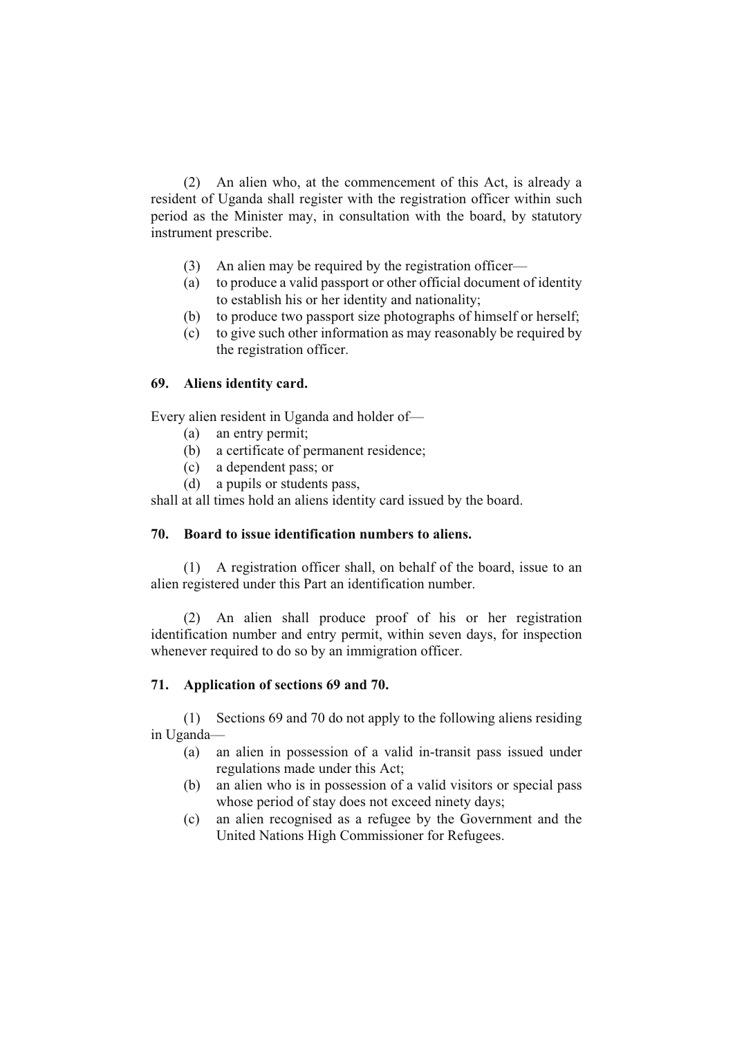(2) An alien who, at the commencement of this Act, is already a resident of Uganda shall register with the registration officer within such period as the Minister may, in consultation with the board, by statutory instrument prescribe.

- (3) An alien may be required by the registration officer—
- (a) to produce a valid passport or other official document of identity to establish his or her identity and nationality;
- (b) to produce two passport size photographs of himself or herself;
- (c) to give such other information as may reasonably be required by the registration officer.

# **69. Aliens identity card.**

Every alien resident in Uganda and holder of—

- (a) an entry permit;
- (b) a certificate of permanent residence;
- (c) a dependent pass; or
- (d) a pupils or students pass,

shall at all times hold an aliens identity card issued by the board.

# **70. Board to issue identification numbers to aliens.**

(1) A registration officer shall, on behalf of the board, issue to an alien registered under this Part an identification number.

(2) An alien shall produce proof of his or her registration identification number and entry permit, within seven days, for inspection whenever required to do so by an immigration officer.

# **71. Application of sections 69 and 70.**

(1) Sections 69 and 70 do not apply to the following aliens residing in Uganda—

- (a) an alien in possession of a valid in-transit pass issued under regulations made under this Act;
- (b) an alien who is in possession of a valid visitors or special pass whose period of stay does not exceed ninety days;
- (c) an alien recognised as a refugee by the Government and the United Nations High Commissioner for Refugees.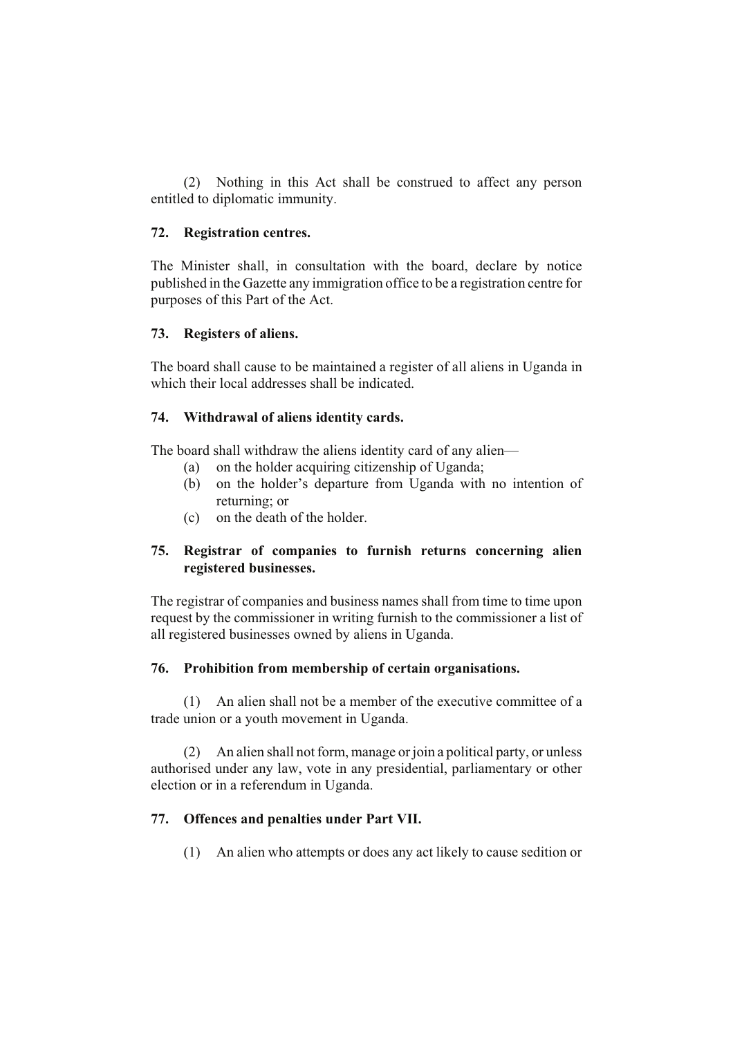(2) Nothing in this Act shall be construed to affect any person entitled to diplomatic immunity.

# **72. Registration centres.**

The Minister shall, in consultation with the board, declare by notice published in the Gazette any immigration office to be a registration centre for purposes of this Part of the Act.

### **73. Registers of aliens.**

The board shall cause to be maintained a register of all aliens in Uganda in which their local addresses shall be indicated.

# **74. Withdrawal of aliens identity cards.**

The board shall withdraw the aliens identity card of any alien—

- (a) on the holder acquiring citizenship of Uganda;
- (b) on the holder's departure from Uganda with no intention of returning; or
- (c) on the death of the holder.

# **75. Registrar of companies to furnish returns concerning alien registered businesses.**

The registrar of companies and business names shall from time to time upon request by the commissioner in writing furnish to the commissioner a list of all registered businesses owned by aliens in Uganda.

# **76. Prohibition from membership of certain organisations.**

(1) An alien shall not be a member of the executive committee of a trade union or a youth movement in Uganda.

(2) An alien shall not form, manage or join a political party, or unless authorised under any law, vote in any presidential, parliamentary or other election or in a referendum in Uganda.

# **77. Offences and penalties under Part VII.**

(1) An alien who attempts or does any act likely to cause sedition or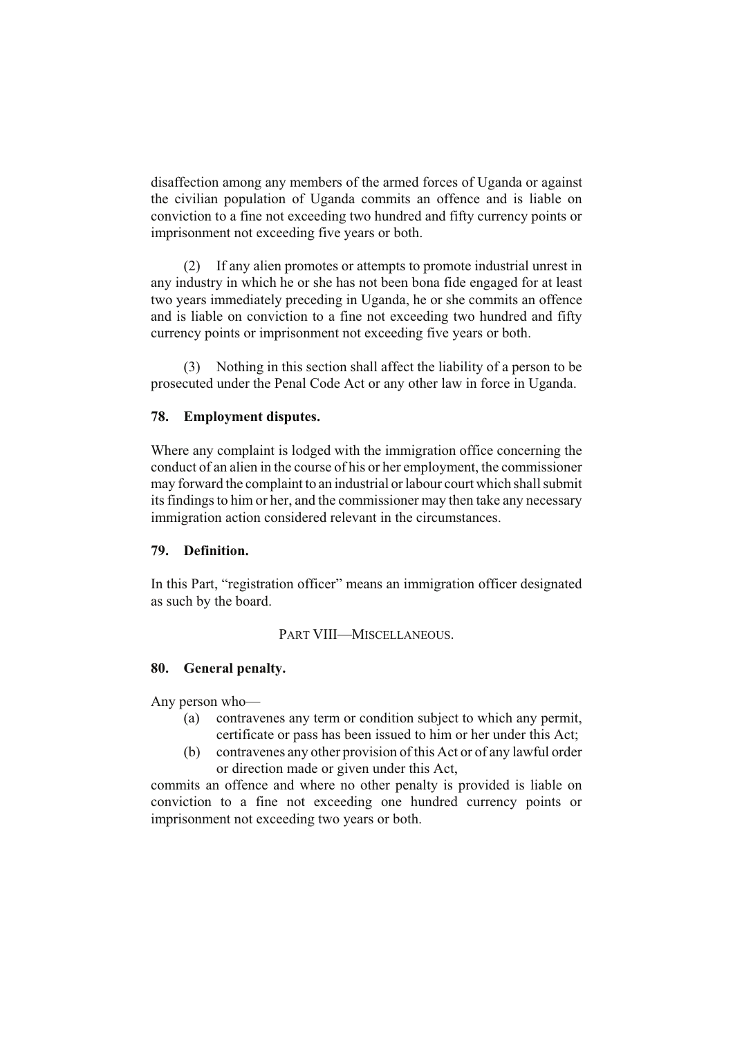disaffection among any members of the armed forces of Uganda or against the civilian population of Uganda commits an offence and is liable on conviction to a fine not exceeding two hundred and fifty currency points or imprisonment not exceeding five years or both.

(2) If any alien promotes or attempts to promote industrial unrest in any industry in which he or she has not been bona fide engaged for at least two years immediately preceding in Uganda, he or she commits an offence and is liable on conviction to a fine not exceeding two hundred and fifty currency points or imprisonment not exceeding five years or both.

(3) Nothing in this section shall affect the liability of a person to be prosecuted under the Penal Code Act or any other law in force in Uganda.

### **78. Employment disputes.**

Where any complaint is lodged with the immigration office concerning the conduct of an alien in the course of his or her employment, the commissioner may forward the complaint to an industrial or labour court which shall submit its findings to him or her, and the commissioner may then take any necessary immigration action considered relevant in the circumstances.

### **79. Definition.**

In this Part, "registration officer" means an immigration officer designated as such by the board.

### PART VIII—MISCELLANEOUS.

## **80. General penalty.**

Any person who—

- (a) contravenes any term or condition subject to which any permit, certificate or pass has been issued to him or her under this Act;
- (b) contravenes any other provision of this Act or of any lawful order or direction made or given under this Act,

commits an offence and where no other penalty is provided is liable on conviction to a fine not exceeding one hundred currency points or imprisonment not exceeding two years or both.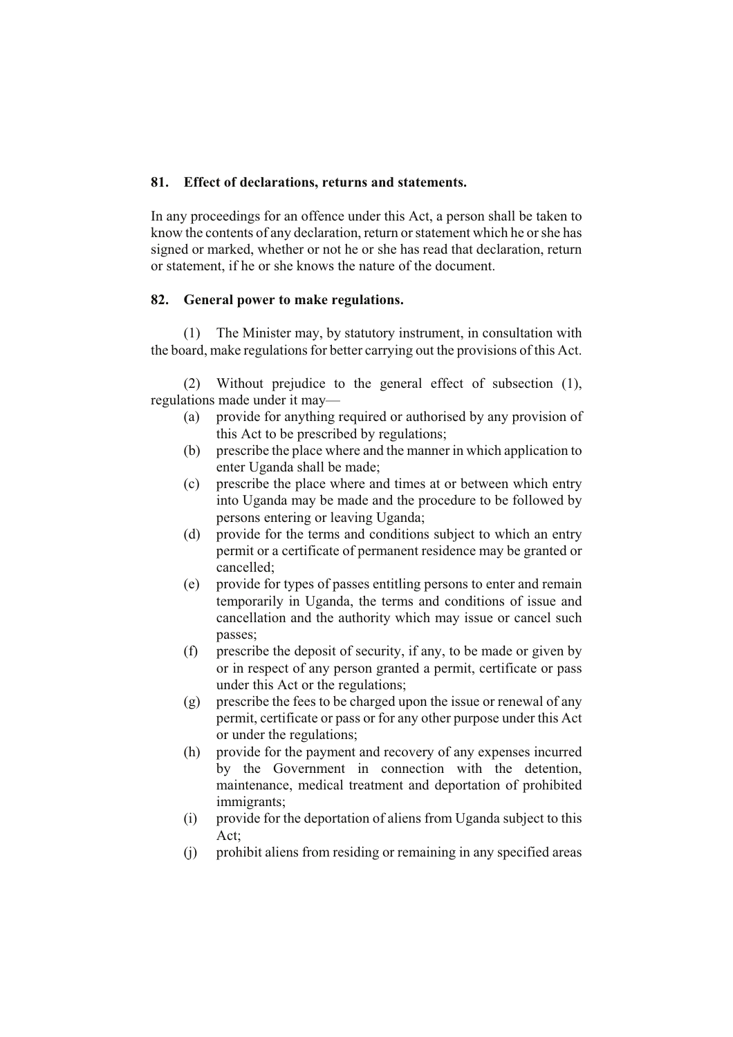### **81. Effect of declarations, returns and statements.**

In any proceedings for an offence under this Act, a person shall be taken to know the contents of any declaration, return or statement which he or she has signed or marked, whether or not he or she has read that declaration, return or statement, if he or she knows the nature of the document.

### **82. General power to make regulations.**

(1) The Minister may, by statutory instrument, in consultation with the board, make regulations for better carrying out the provisions of this Act.

(2) Without prejudice to the general effect of subsection (1), regulations made under it may—

- (a) provide for anything required or authorised by any provision of this Act to be prescribed by regulations;
- (b) prescribe the place where and the manner in which application to enter Uganda shall be made;
- (c) prescribe the place where and times at or between which entry into Uganda may be made and the procedure to be followed by persons entering or leaving Uganda;
- (d) provide for the terms and conditions subject to which an entry permit or a certificate of permanent residence may be granted or cancelled;
- (e) provide for types of passes entitling persons to enter and remain temporarily in Uganda, the terms and conditions of issue and cancellation and the authority which may issue or cancel such passes;
- (f) prescribe the deposit of security, if any, to be made or given by or in respect of any person granted a permit, certificate or pass under this Act or the regulations;
- (g) prescribe the fees to be charged upon the issue or renewal of any permit, certificate or pass or for any other purpose under this Act or under the regulations;
- (h) provide for the payment and recovery of any expenses incurred by the Government in connection with the detention, maintenance, medical treatment and deportation of prohibited immigrants;
- (i) provide for the deportation of aliens from Uganda subject to this Act;
- (j) prohibit aliens from residing or remaining in any specified areas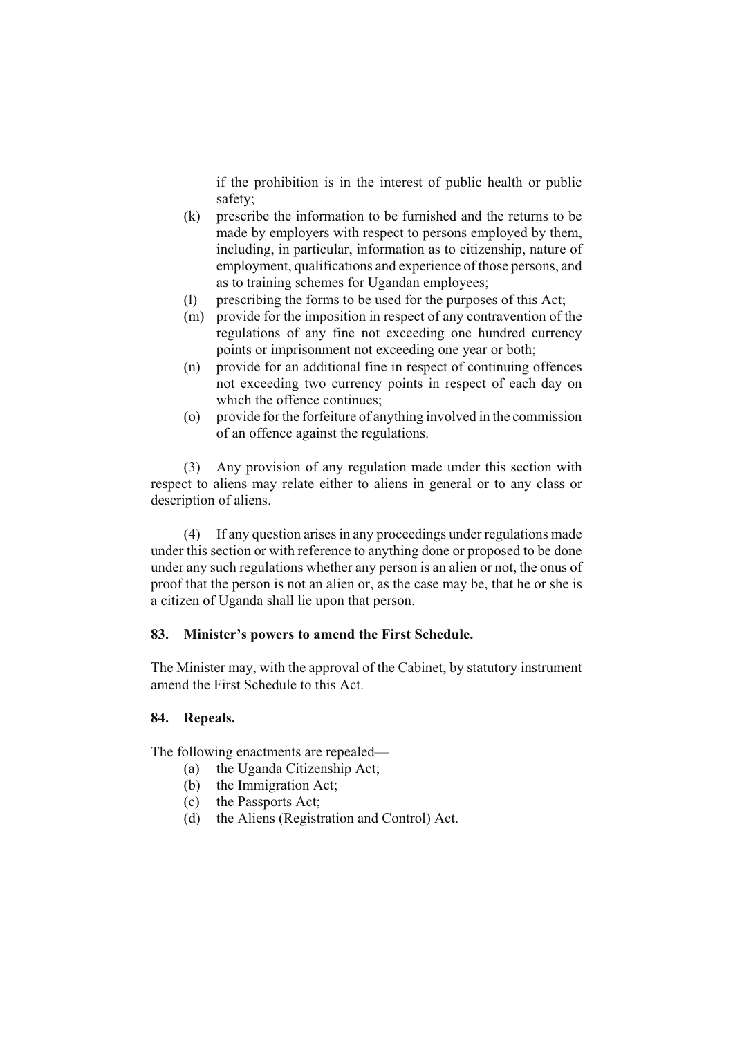if the prohibition is in the interest of public health or public safety;

- (k) prescribe the information to be furnished and the returns to be made by employers with respect to persons employed by them, including, in particular, information as to citizenship, nature of employment, qualifications and experience of those persons, and as to training schemes for Ugandan employees;
- (l) prescribing the forms to be used for the purposes of this Act;
- (m) provide for the imposition in respect of any contravention of the regulations of any fine not exceeding one hundred currency points or imprisonment not exceeding one year or both;
- (n) provide for an additional fine in respect of continuing offences not exceeding two currency points in respect of each day on which the offence continues;
- (o) provide for the forfeiture of anything involved in the commission of an offence against the regulations.

(3) Any provision of any regulation made under this section with respect to aliens may relate either to aliens in general or to any class or description of aliens.

(4) If any question arises in any proceedings under regulations made under this section or with reference to anything done or proposed to be done under any such regulations whether any person is an alien or not, the onus of proof that the person is not an alien or, as the case may be, that he or she is a citizen of Uganda shall lie upon that person.

# **83. Minister's powers to amend the First Schedule.**

The Minister may, with the approval of the Cabinet, by statutory instrument amend the First Schedule to this Act.

# **84. Repeals.**

The following enactments are repealed—

- (a) the Uganda Citizenship Act;
- (b) the Immigration Act;
- (c) the Passports Act;
- (d) the Aliens (Registration and Control) Act.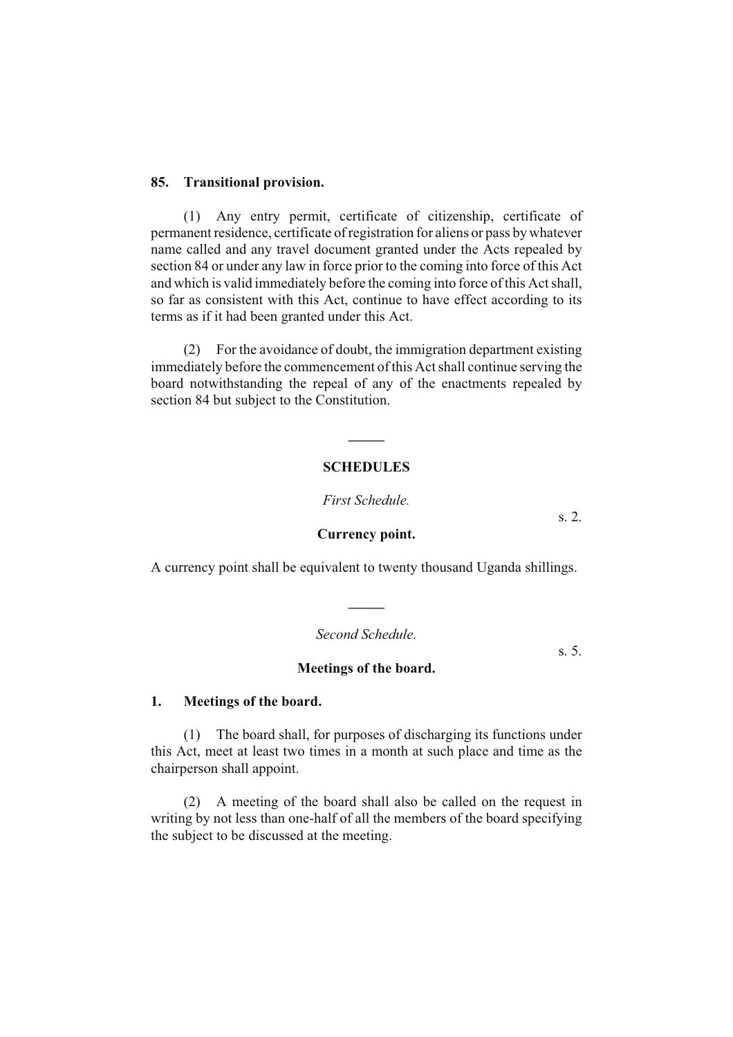### **85. Transitional provision.**

(1) Any entry permit, certificate of citizenship, certificate of permanent residence, certificate of registration for aliens or pass by whatever name called and any travel document granted under the Acts repealed by section 84 or under any law in force prior to the coming into force of this Act and which is valid immediately before the coming into force of this Act shall, so far as consistent with this Act, continue to have effect according to its terms as if it had been granted under this Act.

(2) For the avoidance of doubt, the immigration department existing immediately before the commencement of this Act shall continue serving the board notwithstanding the repeal of any of the enactments repealed by section 84 but subject to the Constitution.

### **SCHEDULES**

**\_\_\_\_\_**

*First Schedule.*

#### **Currency point.**

A currency point shall be equivalent to twenty thousand Uganda shillings.

*Second Schedule.*

**\_\_\_\_\_**

**Meetings of the board.**

**1. Meetings of the board.**

(1) The board shall, for purposes of discharging its functions under this Act, meet at least two times in a month at such place and time as the chairperson shall appoint.

(2) A meeting of the board shall also be called on the request in writing by not less than one-half of all the members of the board specifying the subject to be discussed at the meeting.

s. 2.

s. 5.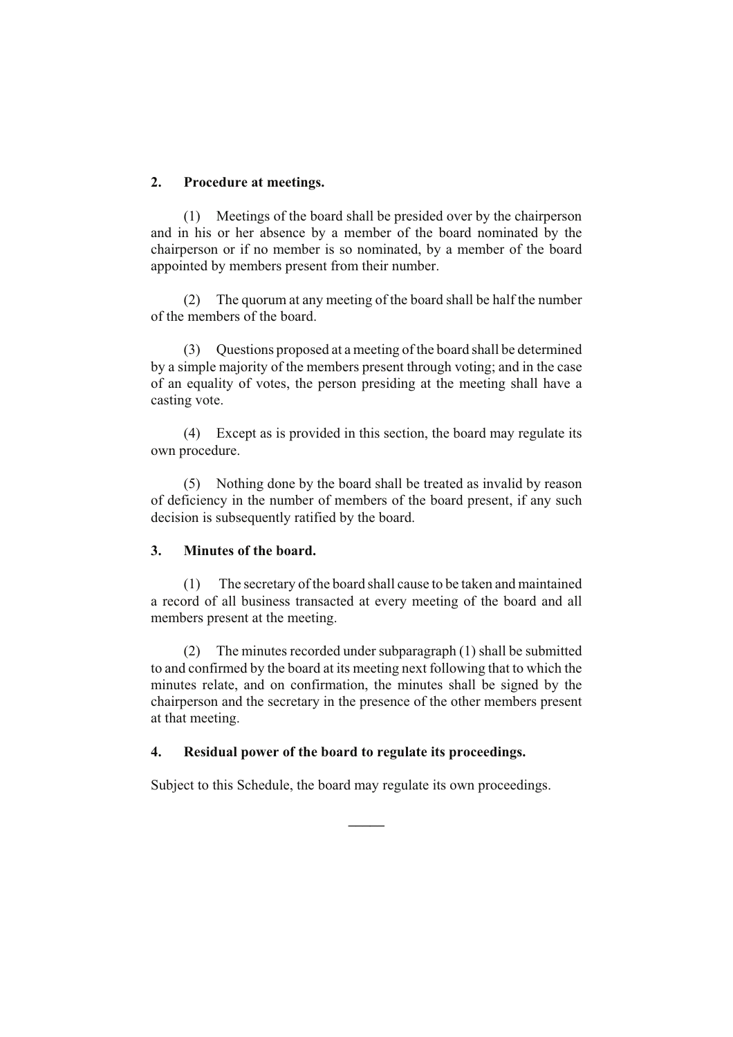# **2. Procedure at meetings.**

(1) Meetings of the board shall be presided over by the chairperson and in his or her absence by a member of the board nominated by the chairperson or if no member is so nominated, by a member of the board appointed by members present from their number.

(2) The quorum at any meeting of the board shall be half the number of the members of the board.

(3) Questions proposed at a meeting of the board shall be determined by a simple majority of the members present through voting; and in the case of an equality of votes, the person presiding at the meeting shall have a casting vote.

(4) Except as is provided in this section, the board may regulate its own procedure.

(5) Nothing done by the board shall be treated as invalid by reason of deficiency in the number of members of the board present, if any such decision is subsequently ratified by the board.

### **3. Minutes of the board.**

(1) The secretary of the board shall cause to be taken and maintained a record of all business transacted at every meeting of the board and all members present at the meeting.

(2) The minutes recorded under subparagraph (1) shall be submitted to and confirmed by the board at its meeting next following that to which the minutes relate, and on confirmation, the minutes shall be signed by the chairperson and the secretary in the presence of the other members present at that meeting.

### **4. Residual power of the board to regulate its proceedings.**

Subject to this Schedule, the board may regulate its own proceedings.

**\_\_\_\_\_**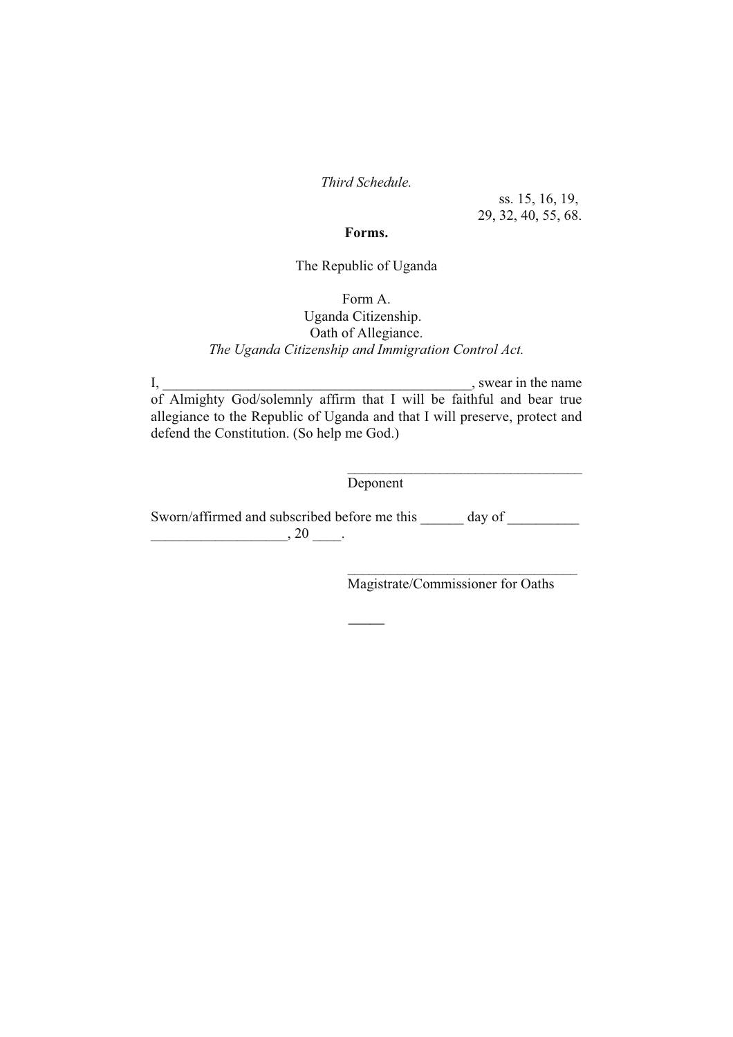*Third Schedule.*

ss. 15, 16, 19, 29, 32, 40, 55, 68.

### **Forms.**

# The Republic of Uganda

Form A.

# Uganda Citizenship. Oath of Allegiance. *The Uganda Citizenship and Immigration Control Act.*

I, \_\_\_\_\_\_\_\_\_\_\_\_\_\_\_\_\_\_\_\_\_\_\_\_\_\_\_\_\_\_\_\_\_\_\_\_\_\_\_\_\_\_\_, swear in the name of Almighty God/solemnly affirm that I will be faithful and bear true allegiance to the Republic of Uganda and that I will preserve, protect and defend the Constitution. (So help me God.)

Deponent

Sworn/affirmed and subscribed before me this \_\_\_\_\_\_ day of \_\_\_\_\_\_\_\_\_\_  $\overline{\phantom{a}}$   $\overline{\phantom{a}}$  , 20  $\overline{\phantom{a}}$ .

**\_\_\_\_\_**

Magistrate/Commissioner for Oaths

\_\_\_\_\_\_\_\_\_\_\_\_\_\_\_\_\_\_\_\_\_\_\_\_\_\_\_\_\_\_\_\_

\_\_\_\_\_\_\_\_\_\_\_\_\_\_\_\_\_\_\_\_\_\_\_\_\_\_\_\_\_\_\_\_\_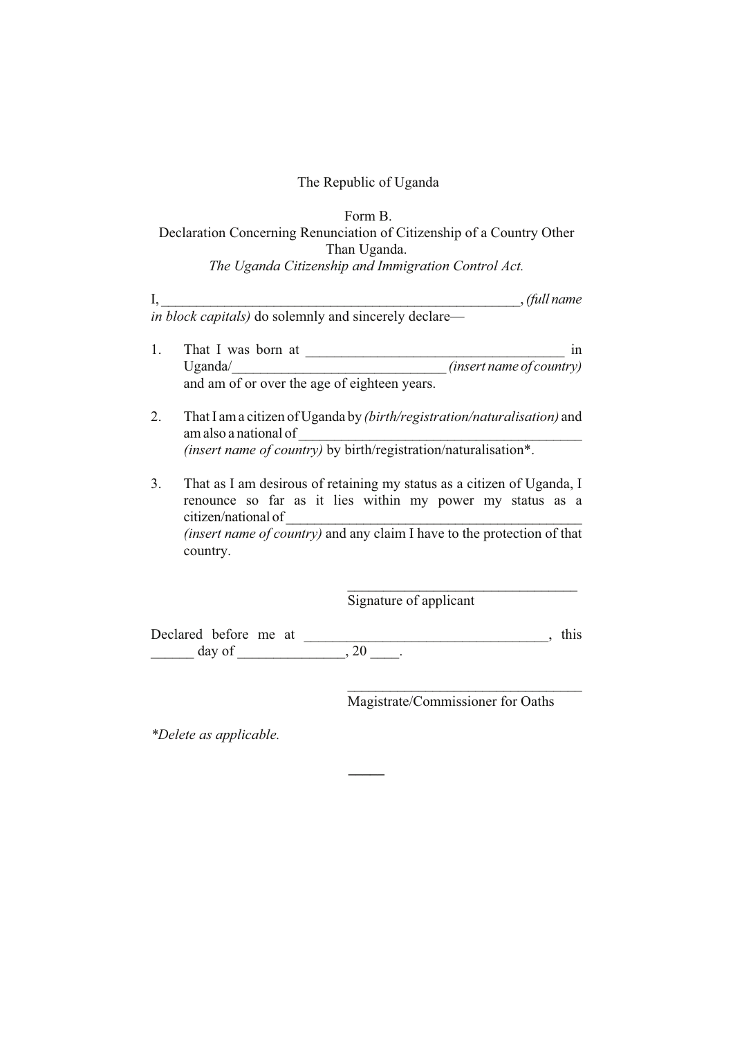# Form B. Declaration Concerning Renunciation of Citizenship of a Country Other Than Uganda. *The Uganda Citizenship and Immigration Control Act.*

|    | , (full name<br><i>in block capitals</i> ) do solemnly and sincerely declare—                                                                                                                                                                            |
|----|----------------------------------------------------------------------------------------------------------------------------------------------------------------------------------------------------------------------------------------------------------|
|    | That I was born at<br>in<br>(insert name of country)<br>Uganda/<br>and am of or over the age of eighteen years.                                                                                                                                          |
|    | That I am a citizen of Uganda by <i>(birth/registration/naturalisation)</i> and<br>am also a national of<br>(insert name of country) by birth/registration/naturalisation*.                                                                              |
| 3. | That as I am desirous of retaining my status as a citizen of Uganda, I<br>renounce so far as it lies within my power my status as a<br>citizen/national of<br><i>(insert name of country)</i> and any claim I have to the protection of that<br>country. |

Signature of applicant

Declared before me at \_\_\_\_\_\_\_\_\_\_\_\_\_\_\_\_\_\_\_\_\_\_\_\_\_\_\_\_\_\_\_\_\_\_, this \_\_\_\_\_\_ day of \_\_\_\_\_\_\_\_\_\_\_\_\_\_\_, 20 \_\_\_\_.

**\_\_\_\_\_**

Magistrate/Commissioner for Oaths

 $\mathcal{L}_\text{max}$  , where  $\mathcal{L}_\text{max}$  and  $\mathcal{L}_\text{max}$  and  $\mathcal{L}_\text{max}$ 

\_\_\_\_\_\_\_\_\_\_\_\_\_\_\_\_\_\_\_\_\_\_\_\_\_\_\_\_\_\_\_\_

*\*Delete as applicable.*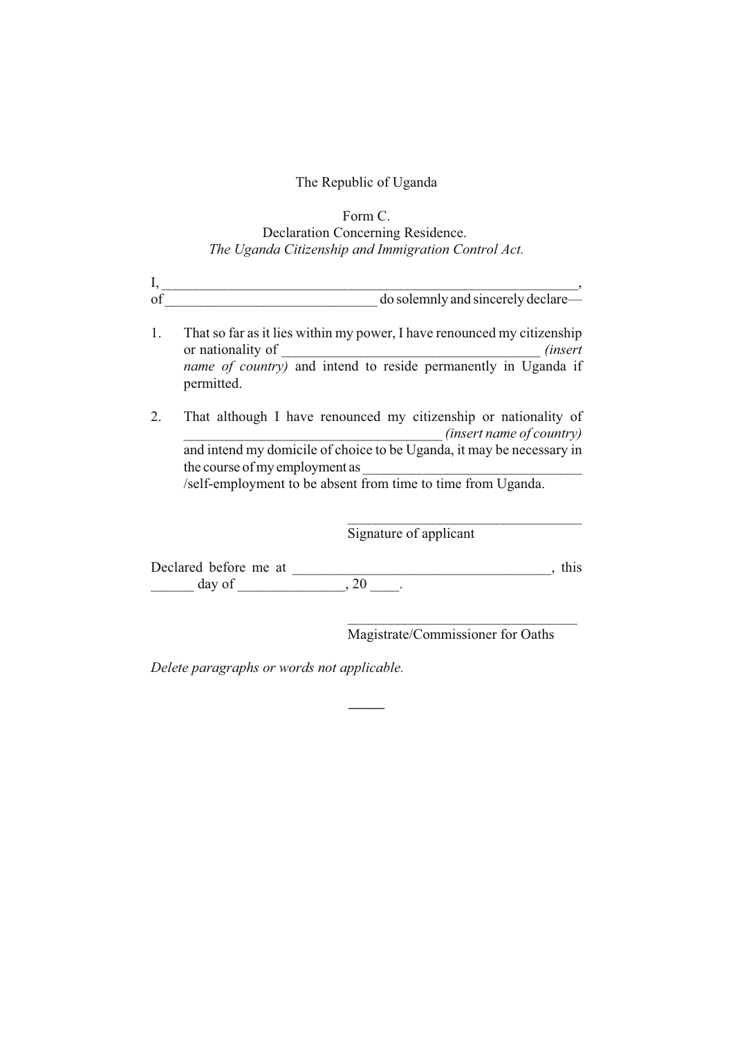# Form C. Declaration Concerning Residence. *The Uganda Citizenship and Immigration Control Act.*

| do solemnly and sincerely declare— |
|------------------------------------|

- 1. That so far as it lies within my power, I have renounced my citizenship or nationality of  $(insert$ *name of country)* and intend to reside permanently in Uganda if permitted.
- 2. That although I have renounced my citizenship or nationality of \_\_\_\_\_\_\_\_\_\_\_\_\_\_\_\_\_\_\_\_\_\_\_\_\_\_\_\_\_\_\_\_\_\_\_\_ *(insert name of country)* and intend my domicile of choice to be Uganda, it may be necessary in the course of my employment as /self-employment to be absent from time to time from Uganda.

\_\_\_\_\_\_\_\_\_\_\_\_\_\_\_\_\_\_\_\_\_\_\_\_\_\_\_\_\_\_\_\_\_ Signature of applicant

Declared before me at \_\_\_\_\_\_\_\_\_\_\_\_\_\_\_\_\_\_\_\_\_\_\_\_\_\_\_\_\_\_\_\_\_\_\_\_, this \_\_\_\_\_\_ day of \_\_\_\_\_\_\_\_\_\_\_\_\_\_\_, 20 \_\_\_\_.

**\_\_\_\_\_**

Magistrate/Commissioner for Oaths

 $\mathcal{L}_\text{max}$  , and the set of the set of the set of the set of the set of the set of the set of the set of the set of the set of the set of the set of the set of the set of the set of the set of the set of the set of the

*Delete paragraphs or words not applicable.*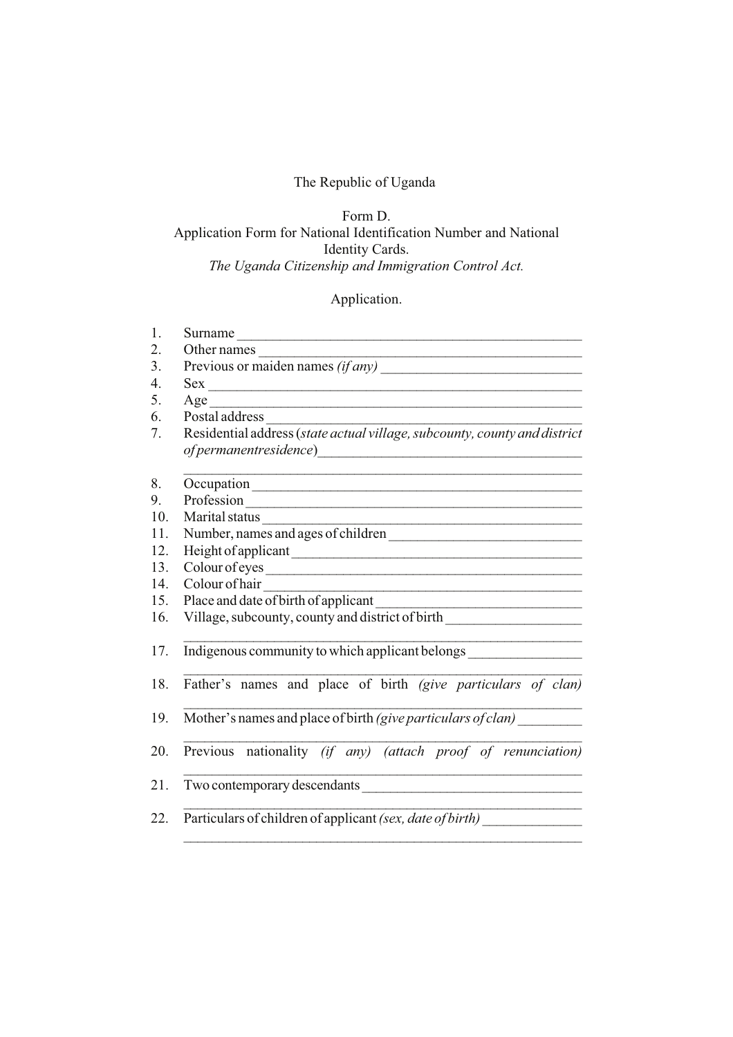# Form D. Application Form for National Identification Number and National Identity Cards. *The Uganda Citizenship and Immigration Control Act.*

# Application.

| 1.  | Surname                                                                                                     |  |  |  |  |  |
|-----|-------------------------------------------------------------------------------------------------------------|--|--|--|--|--|
| 2.  | Other names $\frac{1}{\text{Previous or maiden names } (if any)}$                                           |  |  |  |  |  |
| 3.  |                                                                                                             |  |  |  |  |  |
| 4.  | Sex                                                                                                         |  |  |  |  |  |
| 5.  |                                                                                                             |  |  |  |  |  |
| 6.  | Postal address                                                                                              |  |  |  |  |  |
| 7.  | Residential address (state actual village, subcounty, county and district                                   |  |  |  |  |  |
| 8.  |                                                                                                             |  |  |  |  |  |
| 9.  |                                                                                                             |  |  |  |  |  |
| 10. | Marital status                                                                                              |  |  |  |  |  |
| 11. | Number, names and ages of children                                                                          |  |  |  |  |  |
| 12. | Height of applicant                                                                                         |  |  |  |  |  |
| 13. | Colour of eyes                                                                                              |  |  |  |  |  |
| 14. | Colour of hair<br>the control of the control of the control of the control of the control of the control of |  |  |  |  |  |
| 15. | Place and date of birth of applicant                                                                        |  |  |  |  |  |
| 16. | Village, subcounty, county and district of birth _______________________________                            |  |  |  |  |  |
| 17. | Indigenous community to which applicant belongs ________________________________                            |  |  |  |  |  |
| 18. | Father's names and place of birth (give particulars of clan)                                                |  |  |  |  |  |
| 19. | Mother's names and place of birth (give particulars of clan)                                                |  |  |  |  |  |
| 20. | Previous nationality (if any) (attach proof of renunciation)                                                |  |  |  |  |  |
| 21. |                                                                                                             |  |  |  |  |  |
| 22. | Particulars of children of applicant (sex, date of birth)                                                   |  |  |  |  |  |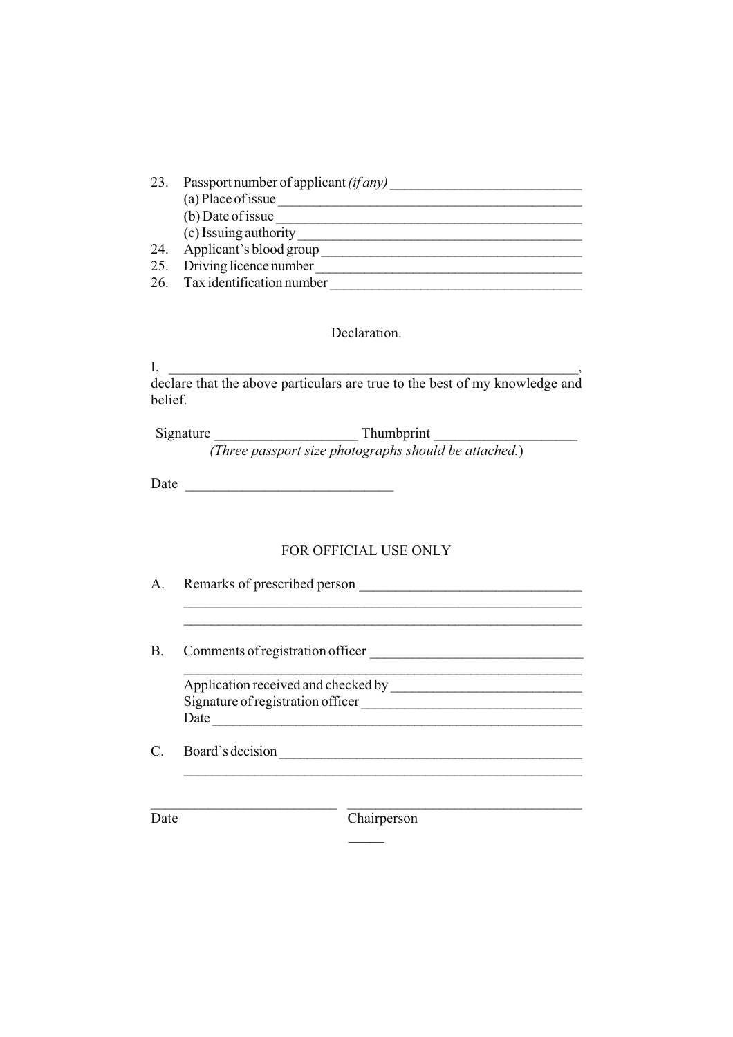| 23. | Passport number of applicant $(ifany)$ |
|-----|----------------------------------------|
|     | (a) Place of issue                     |
|     | (b) Date of issue                      |
|     | (c) Issuing authority                  |
| 24. | Applicant's blood group                |
|     | 25. Driving licence number             |
|     | 26. Tax identification number          |

# Declaration.

 $\rm I, \_\_$ declare that the above particulars are true to the best of my knowledge and belief.

Signature \_\_\_\_\_\_\_\_\_\_\_\_\_\_\_\_\_\_\_\_ Thumbprint \_\_\_\_\_\_\_\_\_\_\_\_\_\_\_\_\_\_\_\_ *(Three passport size photographs should be attached.*)

Date \_\_\_\_\_\_\_\_\_\_\_\_\_\_\_\_\_\_\_\_\_\_\_\_\_\_\_\_\_

# FOR OFFICIAL USE ONLY

| A.        | Remarks of prescribed person                                                     |  |  |
|-----------|----------------------------------------------------------------------------------|--|--|
| <b>B.</b> | Comments of registration officer                                                 |  |  |
|           | Application received and checked by<br>Signature of registration officer<br>Date |  |  |
|           | Board's decision                                                                 |  |  |
| Date.     | Chairperson                                                                      |  |  |

**\_\_\_\_\_**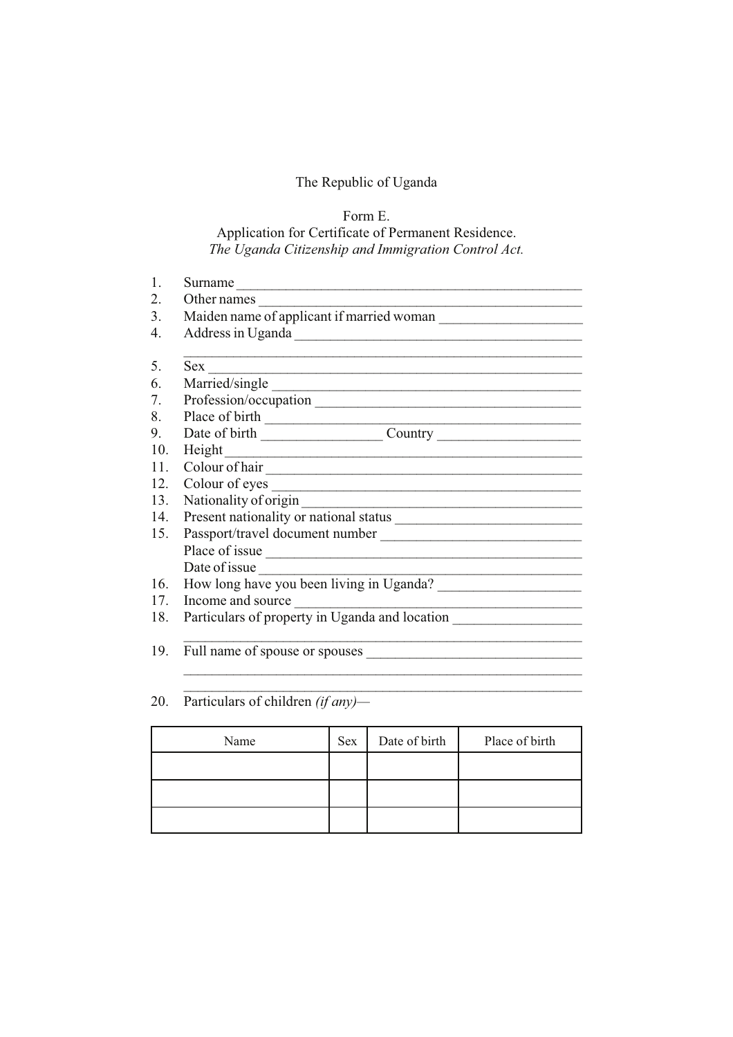# Form E. Application for Certificate of Permanent Residence. *The Uganda Citizenship and Immigration Control Act.*

| 1.              | Surname                                        |  |  |  |  |
|-----------------|------------------------------------------------|--|--|--|--|
| 2.              | Other names                                    |  |  |  |  |
| 3.              | Maiden name of applicant if married woman      |  |  |  |  |
| 4.              |                                                |  |  |  |  |
|                 |                                                |  |  |  |  |
| 5.              | Sex                                            |  |  |  |  |
| 6.              |                                                |  |  |  |  |
| 7.              |                                                |  |  |  |  |
| 8.              |                                                |  |  |  |  |
| 9.              |                                                |  |  |  |  |
| 10.             | Height                                         |  |  |  |  |
| 11 <sub>1</sub> | Colour of hair                                 |  |  |  |  |
| 12.             | Colour of eyes                                 |  |  |  |  |
| 13.             | Nationality of origin                          |  |  |  |  |
| 14.             |                                                |  |  |  |  |
| 15.             |                                                |  |  |  |  |
|                 |                                                |  |  |  |  |
|                 | Date of issue                                  |  |  |  |  |
| 16.             | How long have you been living in Uganda?       |  |  |  |  |
| 17.             | Income and source                              |  |  |  |  |
| 18.             | Particulars of property in Uganda and location |  |  |  |  |
|                 |                                                |  |  |  |  |
| 19.             | Full name of spouse or spouses                 |  |  |  |  |
|                 |                                                |  |  |  |  |

# 20. Particulars of children *(if any)—*

| Name | Sex | Date of birth | Place of birth |
|------|-----|---------------|----------------|
|      |     |               |                |
|      |     |               |                |
|      |     |               |                |

 $\mathcal{L}_\text{max}$  , and the contribution of the contribution of the contribution of the contribution of the contribution of the contribution of the contribution of the contribution of the contribution of the contribution of t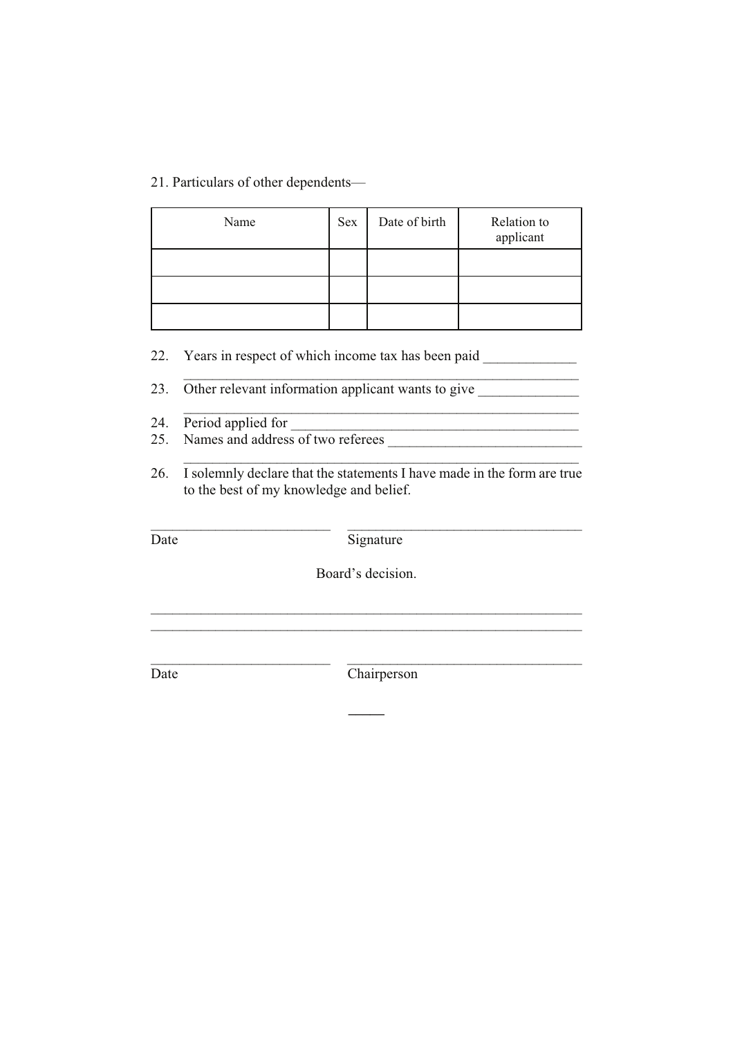21. Particulars of other dependents—

| Name | Sex | Date of birth | Relation to<br>applicant |
|------|-----|---------------|--------------------------|
|      |     |               |                          |
|      |     |               |                          |
|      |     |               |                          |

22. Years in respect of which income tax has been paid

23. Other relevant information applicant wants to give

- 24. Period applied for
- 25. Names and address of two referees
- 26. I solemnly declare that the statements I have made in the form are true to the best of my knowledge and belief.

\_\_\_\_\_\_\_\_\_\_\_\_\_\_\_\_\_\_\_\_\_\_\_\_\_ \_\_\_\_\_\_\_\_\_\_\_\_\_\_\_\_\_\_\_\_\_\_\_\_\_\_\_\_\_\_\_\_\_

\_\_\_\_\_\_\_\_\_\_\_\_\_\_\_\_\_\_\_\_\_\_\_\_\_\_\_\_\_\_\_\_\_\_\_\_\_\_\_\_\_\_\_\_\_\_\_\_\_\_\_\_\_\_\_

\_\_\_\_\_\_\_\_\_\_\_\_\_\_\_\_\_\_\_\_\_\_\_\_\_\_\_\_\_\_\_\_\_\_\_\_\_\_\_\_\_\_\_\_\_\_\_\_\_\_\_\_\_\_\_

 $\overline{\phantom{a}}$  ,  $\overline{\phantom{a}}$  ,  $\overline{\phantom{a}}$  ,  $\overline{\phantom{a}}$  ,  $\overline{\phantom{a}}$  ,  $\overline{\phantom{a}}$  ,  $\overline{\phantom{a}}$  ,  $\overline{\phantom{a}}$  ,  $\overline{\phantom{a}}$  ,  $\overline{\phantom{a}}$  ,  $\overline{\phantom{a}}$  ,  $\overline{\phantom{a}}$  ,  $\overline{\phantom{a}}$  ,  $\overline{\phantom{a}}$  ,  $\overline{\phantom{a}}$  ,  $\overline{\phantom{a}}$ 

Date Signature

Board's decision.

\_\_\_\_\_\_\_\_\_\_\_\_\_\_\_\_\_\_\_\_\_\_\_\_\_\_\_\_\_\_\_\_\_\_\_\_\_\_\_\_\_\_\_\_\_\_\_\_\_\_\_\_\_\_\_\_\_\_\_\_ \_\_\_\_\_\_\_\_\_\_\_\_\_\_\_\_\_\_\_\_\_\_\_\_\_\_\_\_\_\_\_\_\_\_\_\_\_\_\_\_\_\_\_\_\_\_\_\_\_\_\_\_\_\_\_\_\_\_\_\_

\_\_\_\_\_\_\_\_\_\_\_\_\_\_\_\_\_\_\_\_\_\_\_\_\_ \_\_\_\_\_\_\_\_\_\_\_\_\_\_\_\_\_\_\_\_\_\_\_\_\_\_\_\_\_\_\_\_\_

**\_\_\_\_\_**

Date Chairperson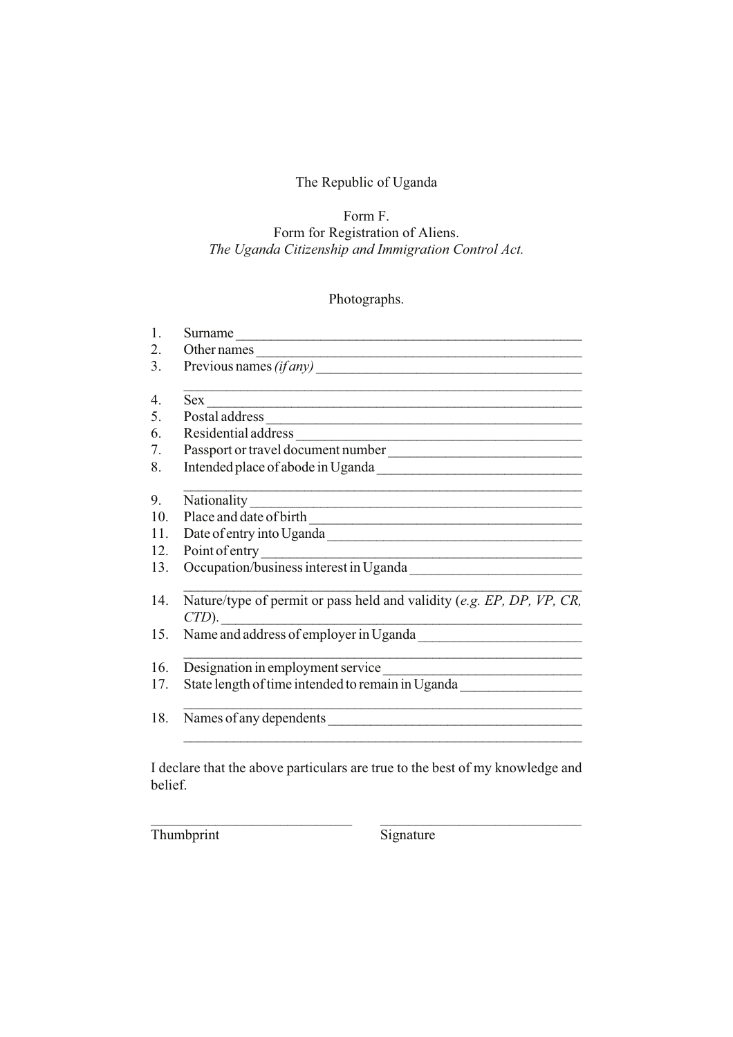# Form F. Form for Registration of Aliens. *The Uganda Citizenship and Immigration Control Act.*

# Photographs.

| 1.  | Surname                                                                                                                             |
|-----|-------------------------------------------------------------------------------------------------------------------------------------|
| 2.  | Other names<br><u> 1989 - Johann Barbara, martin amerikan basar dan bagian dalam basar dalam basar dalam basar dalam basar dala</u> |
| 3.  | Previous names (if any)                                                                                                             |
| 4.  | Sex                                                                                                                                 |
| 5.  | Postal address                                                                                                                      |
| 6.  |                                                                                                                                     |
| 7.  | Passport or travel document number                                                                                                  |
| 8.  |                                                                                                                                     |
| 9.  | Nationality                                                                                                                         |
| 10. | Place and date of birth                                                                                                             |
| 11. |                                                                                                                                     |
| 12. |                                                                                                                                     |
| 13. | Point of entry<br>Occupation/business interest in Uganda<br><u>Correction</u>                                                       |
| 14. | Nature/type of permit or pass held and validity (e.g. EP, DP, VP, CR,<br>$CTD$ ).                                                   |
| 15. | Name and address of employer in Uganda                                                                                              |
| 16. | the control of the control of the control of the control of the control of the control of<br>Designation in employment service      |
| 17. | State length of time intended to remain in Uganda                                                                                   |
| 18. |                                                                                                                                     |
|     |                                                                                                                                     |

I declare that the above particulars are true to the best of my knowledge and belief.

 $\_$  , and the set of the set of the set of the set of the set of the set of the set of the set of the set of the set of the set of the set of the set of the set of the set of the set of the set of the set of the set of th

Thumbprint Signature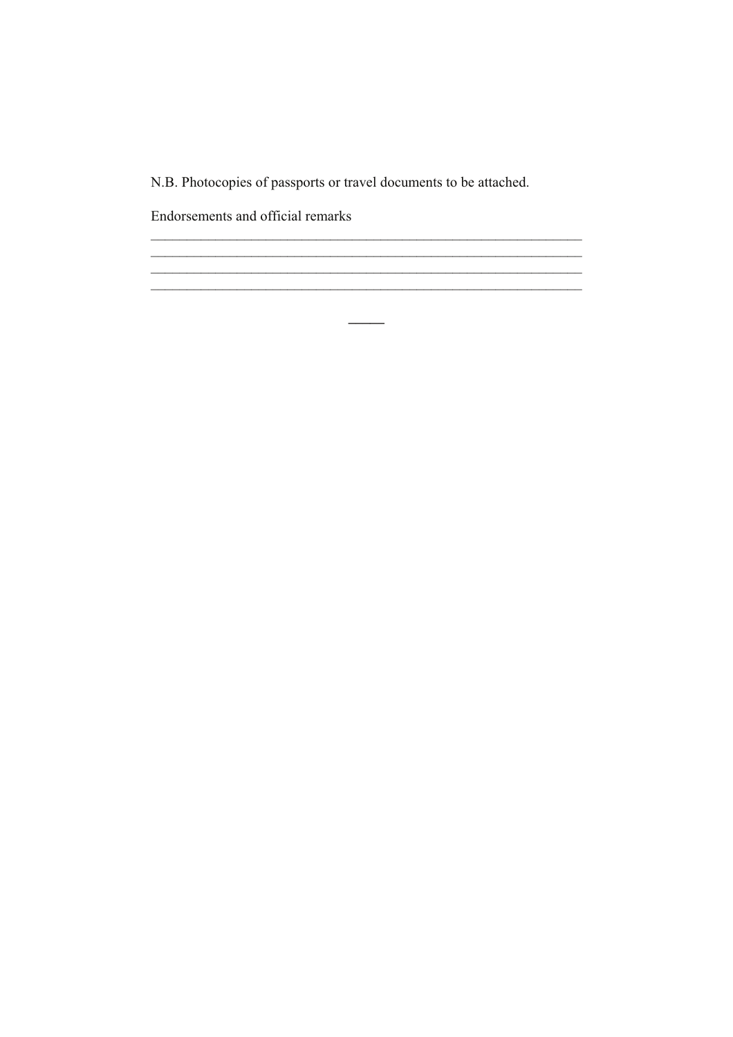N.B. Photocopies of passports or travel documents to be attached.

<u> 1989 - Johann John Stone, mars and deutscher Stone († 1951)</u> 

 $\overline{\phantom{a}}$ 

Endorsements and official remarks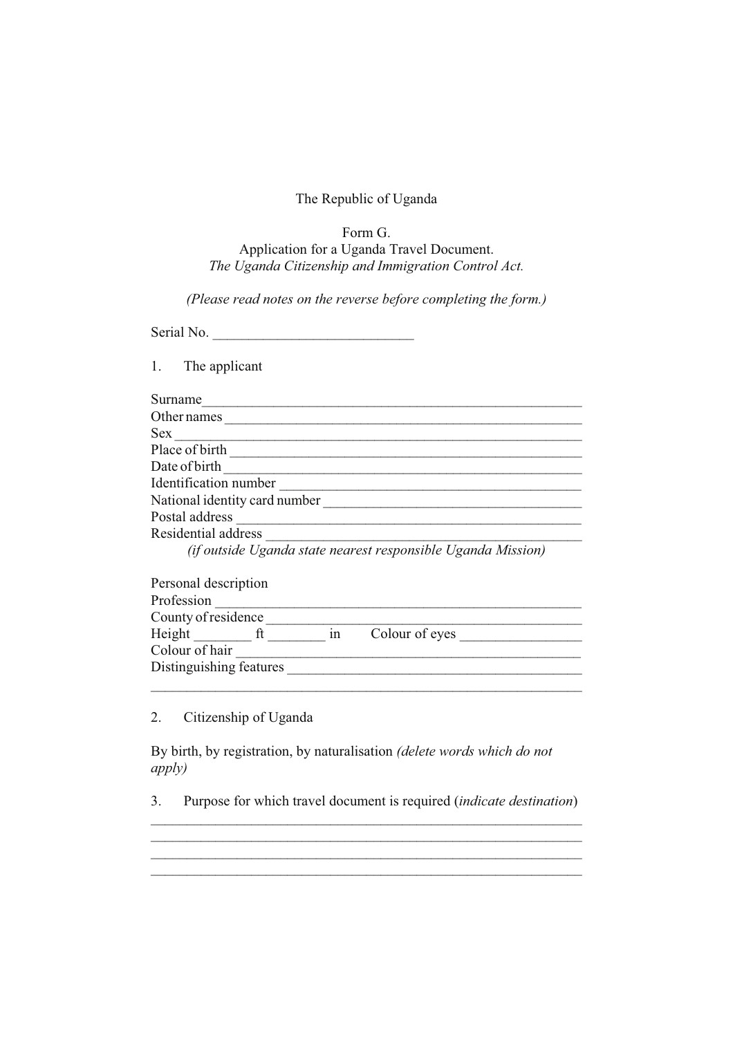# Form G. Application for a Uganda Travel Document. *The Uganda Citizenship and Immigration Control Act.*

*(Please read notes on the reverse before completing the form.)*

Serial No.

1. The applicant

| Surname                                                      |
|--------------------------------------------------------------|
| Other names                                                  |
| <b>Sex</b>                                                   |
| Place of birth                                               |
| Date of birth                                                |
| Identification number                                        |
| National identity card number                                |
| Postal address                                               |
| Residential address                                          |
| (if outside Uganda state nearest responsible Uganda Mission) |

| Personal description    |    |                |  |
|-------------------------|----|----------------|--|
| Profession              |    |                |  |
| County of residence     |    |                |  |
| Height                  | in | Colour of eyes |  |
| Colour of hair          |    |                |  |
| Distinguishing features |    |                |  |
|                         |    |                |  |

2. Citizenship of Uganda

By birth, by registration, by naturalisation *(delete words which do not apply)*

3. Purpose for which travel document is required (*indicate destination*) \_\_\_\_\_\_\_\_\_\_\_\_\_\_\_\_\_\_\_\_\_\_\_\_\_\_\_\_\_\_\_\_\_\_\_\_\_\_\_\_\_\_\_\_\_\_\_\_\_\_\_\_\_\_\_\_\_\_\_\_

 $\_$  , and the set of the set of the set of the set of the set of the set of the set of the set of the set of the set of the set of the set of the set of the set of the set of the set of the set of the set of the set of th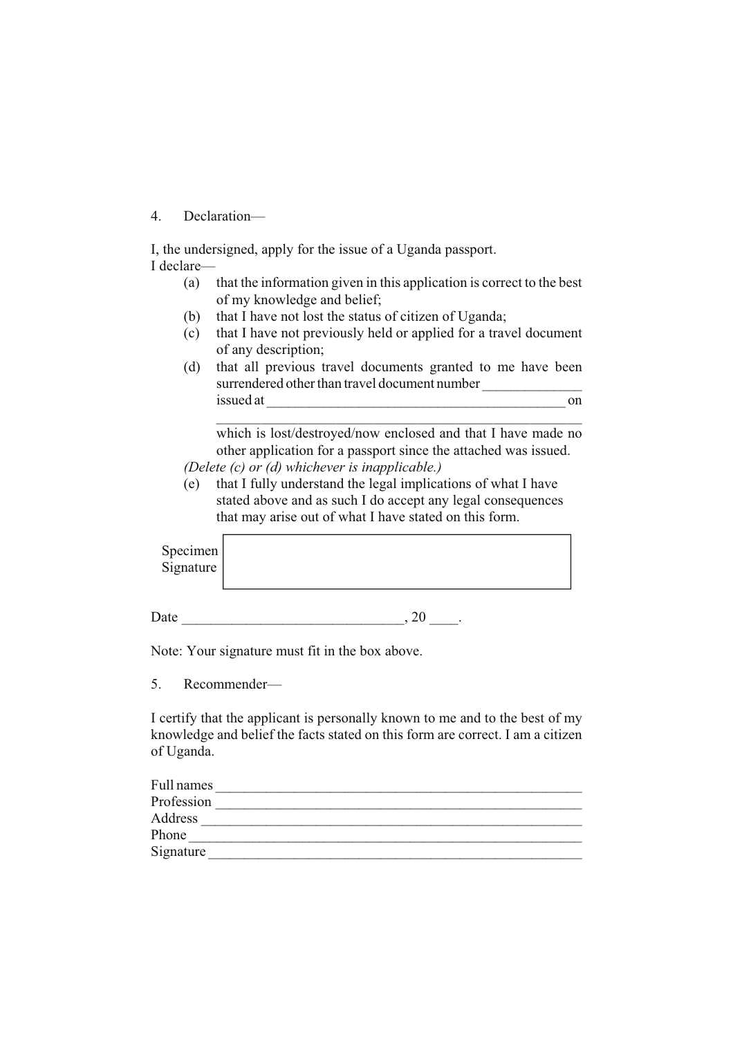### 4. Declaration—

I, the undersigned, apply for the issue of a Uganda passport.

- I declare—
	- (a) that the information given in this application is correct to the best of my knowledge and belief;
	- (b) that I have not lost the status of citizen of Uganda;
	- (c) that I have not previously held or applied for a travel document of any description;
	- (d) that all previous travel documents granted to me have been surrendered other than travel document number issued at \_\_\_\_\_\_\_\_\_\_\_\_\_\_\_\_\_\_\_\_\_\_\_\_\_\_\_\_\_\_\_\_\_\_\_\_\_\_\_\_\_\_ on

which is lost/destroyed/now enclosed and that I have made no other application for a passport since the attached was issued. *(Delete (c) or (d) whichever is inapplicable.)*

\_\_\_\_\_\_\_\_\_\_\_\_\_\_\_\_\_\_\_\_\_\_\_\_\_\_\_\_\_\_\_\_\_\_\_\_\_\_\_\_\_\_\_\_\_\_\_\_\_

(e) that I fully understand the legal implications of what I have stated above and as such I do accept any legal consequences that may arise out of what I have stated on this form.

| Specimen<br>Signature |  |  |  |
|-----------------------|--|--|--|
|                       |  |  |  |

Date  $\qquad \qquad \ldots \qquad \qquad .20$ 

Note: Your signature must fit in the box above.

5. Recommender—

I certify that the applicant is personally known to me and to the best of my knowledge and belief the facts stated on this form are correct. I am a citizen of Uganda.

| Full names |  |
|------------|--|
| Profession |  |
| Address    |  |
| Phone      |  |
| Signature  |  |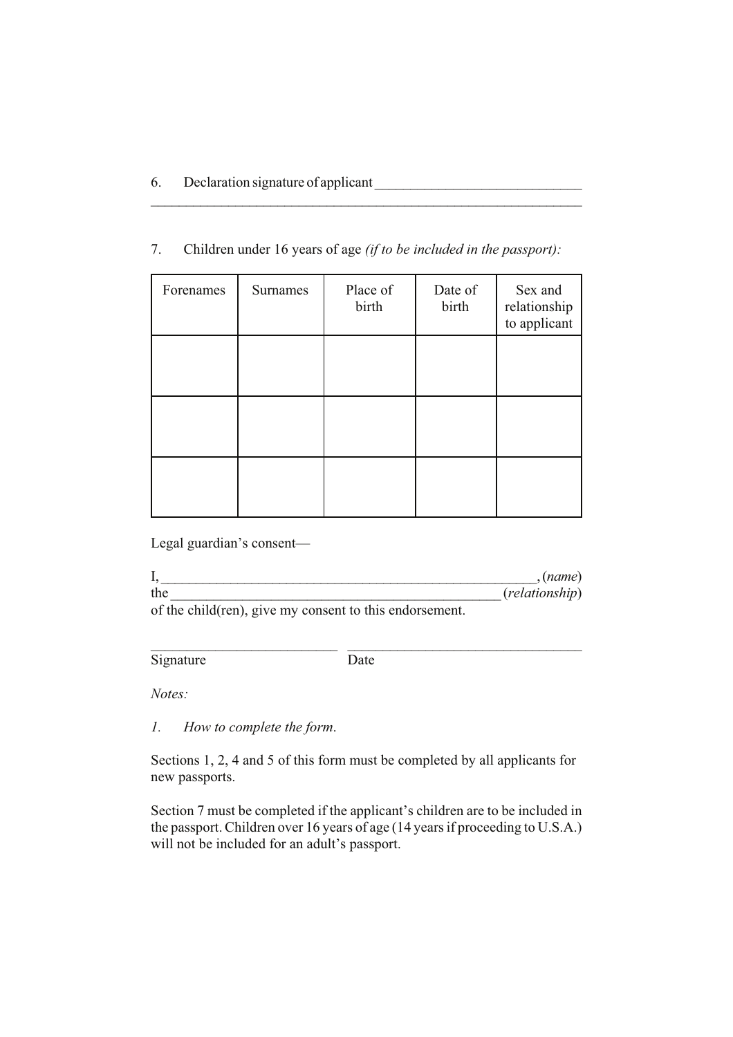# 7. Children under 16 years of age *(if to be included in the passport):*

 $\mathcal{L}_\mathcal{L}$  , and the contribution of the contribution of the contribution of the contribution of the contribution of the contribution of the contribution of the contribution of the contribution of the contribution of

| Forenames | Surnames | Place of<br>birth | Date of<br>birth | Sex and<br>relationship<br>to applicant |
|-----------|----------|-------------------|------------------|-----------------------------------------|
|           |          |                   |                  |                                         |
|           |          |                   |                  |                                         |
|           |          |                   |                  |                                         |

Legal guardian's consent—

|                                                       | (name)                  |
|-------------------------------------------------------|-------------------------|
| the                                                   | ( <i>relationship</i> ) |
| of the child(ren) give my consent to this endorsement |                         |

of the child(ren), give my consent to this endorsement.

Signature Date

\_\_\_\_\_\_\_\_\_\_\_\_\_\_\_\_\_\_\_\_\_\_\_\_\_\_ \_\_\_\_\_\_\_\_\_\_\_\_\_\_\_\_\_\_\_\_\_\_\_\_\_\_\_\_\_\_\_\_\_

*Notes:*

*1. How to complete the form*.

Sections 1, 2, 4 and 5 of this form must be completed by all applicants for new passports.

Section 7 must be completed if the applicant's children are to be included in the passport. Children over 16 years of age (14 years if proceeding to U.S.A.) will not be included for an adult's passport.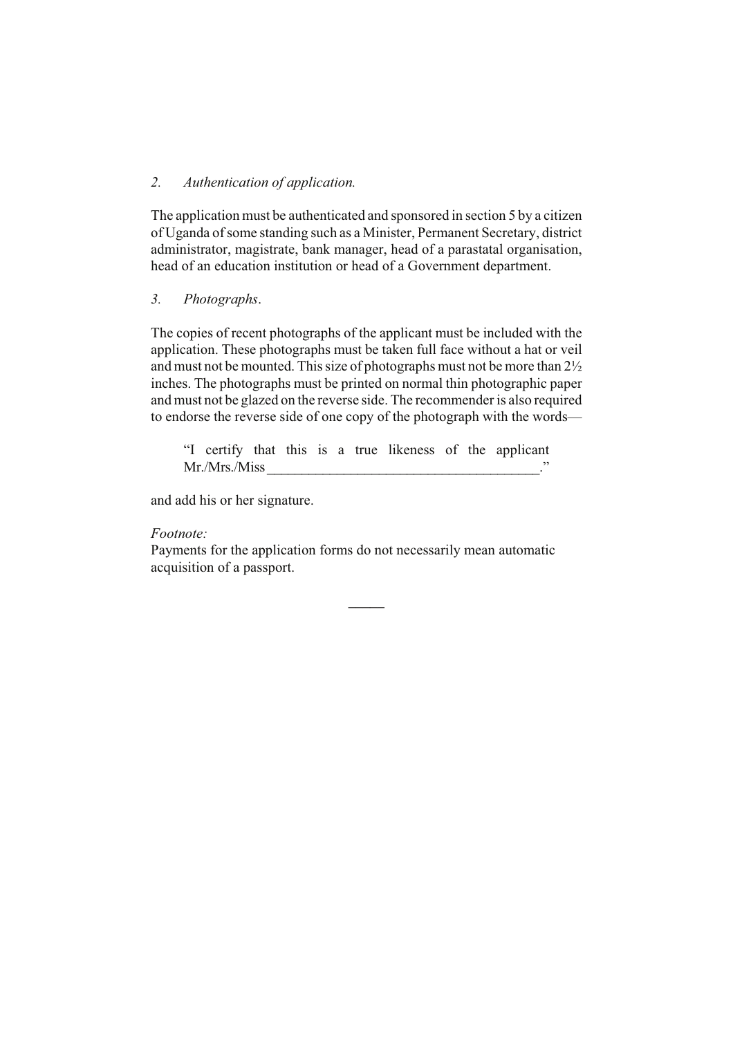# *2. Authentication of application.*

The application must be authenticated and sponsored in section 5 by a citizen of Uganda of some standing such as a Minister, Permanent Secretary, district administrator, magistrate, bank manager, head of a parastatal organisation, head of an education institution or head of a Government department.

### *3. Photographs*.

The copies of recent photographs of the applicant must be included with the application. These photographs must be taken full face without a hat or veil and must not be mounted. This size of photographs must not be more than 2½ inches. The photographs must be printed on normal thin photographic paper and must not be glazed on the reverse side. The recommender is also required to endorse the reverse side of one copy of the photograph with the words—

"I certify that this is a true likeness of the applicant Mr./Mrs./Miss \_\_\_\_\_\_\_\_\_\_\_\_\_\_\_\_\_\_\_\_\_\_\_\_\_\_\_\_\_\_\_\_\_\_\_\_\_\_\_."

and add his or her signature.

# *Footnote:*

Payments for the application forms do not necessarily mean automatic acquisition of a passport.

**\_\_\_\_\_**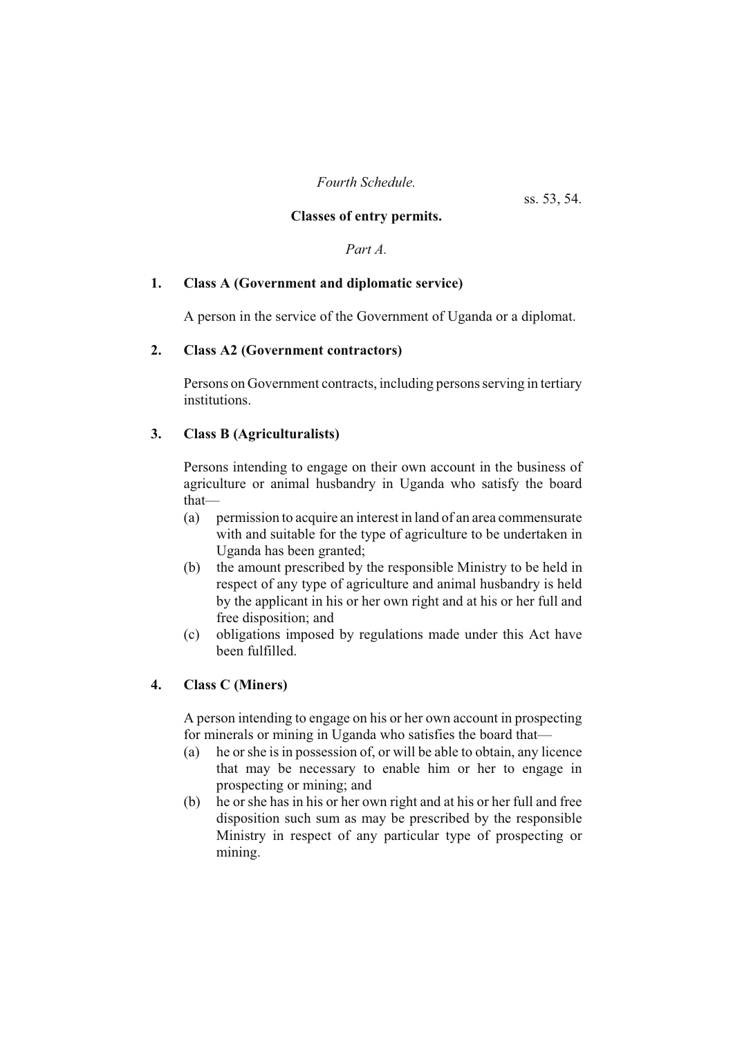*Fourth Schedule.*

ss. 53, 54.

# **Classes of entry permits.**

*Part A.*

# **1. Class A (Government and diplomatic service)**

A person in the service of the Government of Uganda or a diplomat.

# **2. Class A2 (Government contractors)**

Persons on Government contracts, including persons serving in tertiary institutions.

# **3. Class B (Agriculturalists)**

Persons intending to engage on their own account in the business of agriculture or animal husbandry in Uganda who satisfy the board that—

- (a) permission to acquire an interest in land of an area commensurate with and suitable for the type of agriculture to be undertaken in Uganda has been granted;
- (b) the amount prescribed by the responsible Ministry to be held in respect of any type of agriculture and animal husbandry is held by the applicant in his or her own right and at his or her full and free disposition; and
- (c) obligations imposed by regulations made under this Act have been fulfilled.

# **4. Class C (Miners)**

A person intending to engage on his or her own account in prospecting for minerals or mining in Uganda who satisfies the board that—

- (a) he or she is in possession of, or will be able to obtain, any licence that may be necessary to enable him or her to engage in prospecting or mining; and
- (b) he or she has in his or her own right and at his or her full and free disposition such sum as may be prescribed by the responsible Ministry in respect of any particular type of prospecting or mining.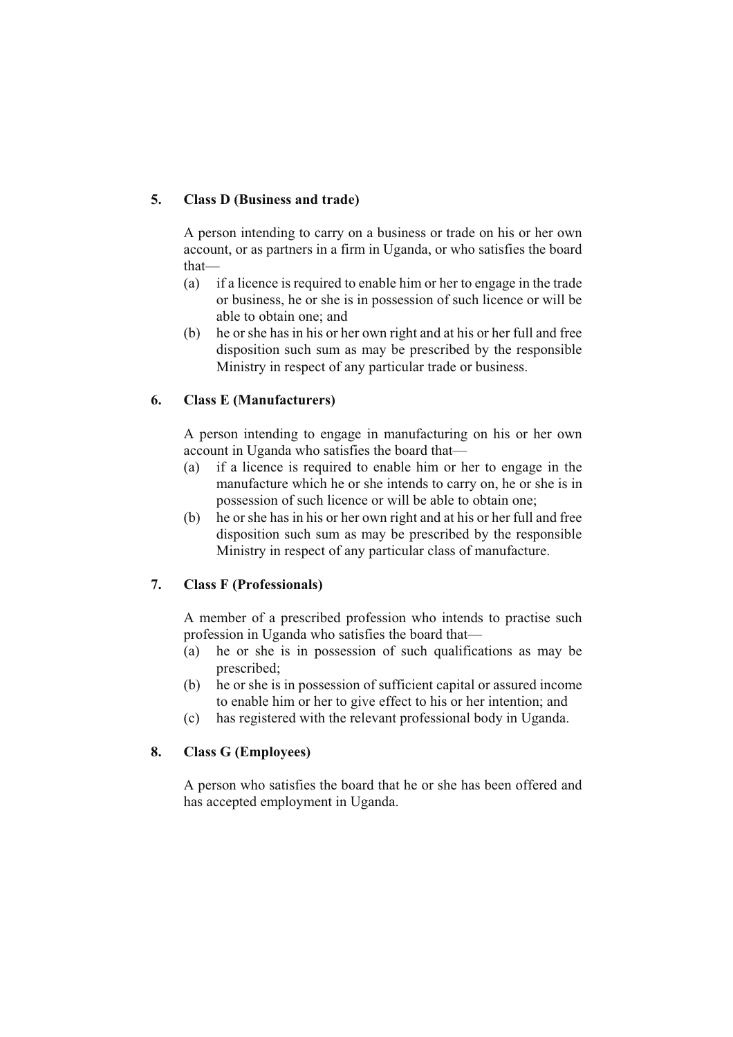# **5. Class D (Business and trade)**

A person intending to carry on a business or trade on his or her own account, or as partners in a firm in Uganda, or who satisfies the board that—

- (a) if a licence is required to enable him or her to engage in the trade or business, he or she is in possession of such licence or will be able to obtain one; and
- (b) he or she has in his or her own right and at his or her full and free disposition such sum as may be prescribed by the responsible Ministry in respect of any particular trade or business.

# **6. Class E (Manufacturers)**

A person intending to engage in manufacturing on his or her own account in Uganda who satisfies the board that—

- (a) if a licence is required to enable him or her to engage in the manufacture which he or she intends to carry on, he or she is in possession of such licence or will be able to obtain one;
- (b) he or she has in his or her own right and at his or her full and free disposition such sum as may be prescribed by the responsible Ministry in respect of any particular class of manufacture.

# **7. Class F (Professionals)**

A member of a prescribed profession who intends to practise such profession in Uganda who satisfies the board that—

- (a) he or she is in possession of such qualifications as may be prescribed;
- (b) he or she is in possession of sufficient capital or assured income to enable him or her to give effect to his or her intention; and
- (c) has registered with the relevant professional body in Uganda.

# **8. Class G (Employees)**

A person who satisfies the board that he or she has been offered and has accepted employment in Uganda.